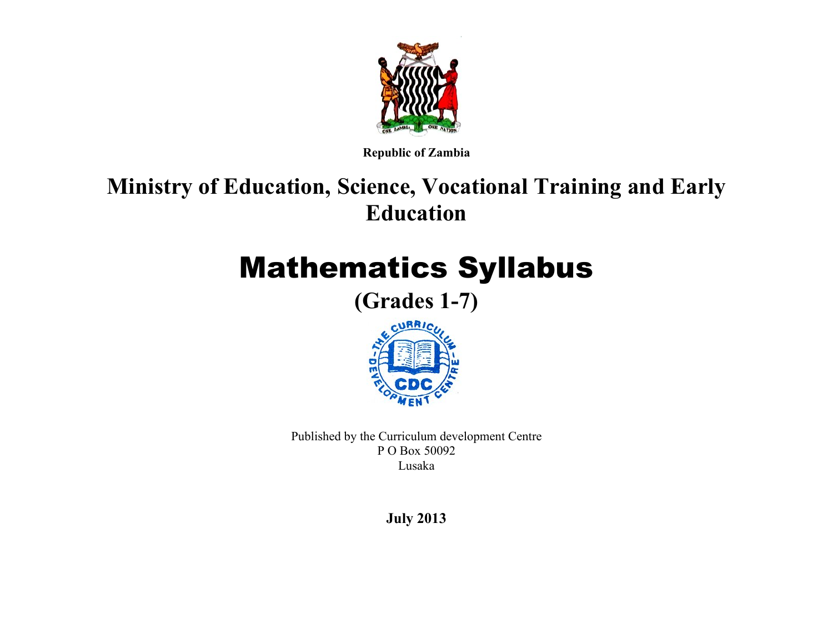

**Republic of Zambia**

# **Ministry of Education, Science, Vocational Training and Early Education**

# Mathematics Syllabus

**(Grades 1-7)**



Published by the Curriculum development Centre P O Box 50092 Lusaka

**July 2013**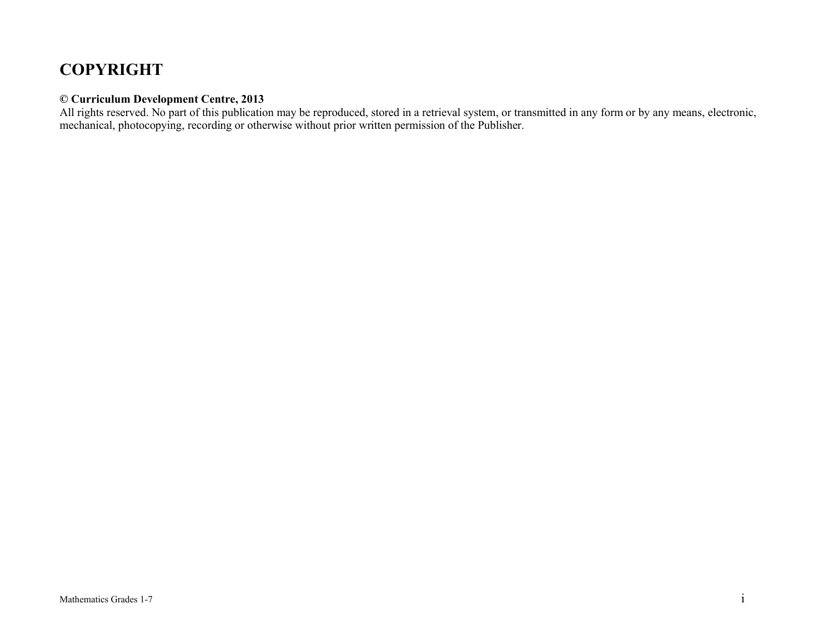## **COPYRIGHT**

#### **© Curriculum Development Centre, 2013**

All rights reserved. No part of this publication may be reproduced, stored in a retrieval system, or transmitted in any form or by any means, electronic, mechanical, photocopying, recording or otherwise without prior written permission of the Publisher.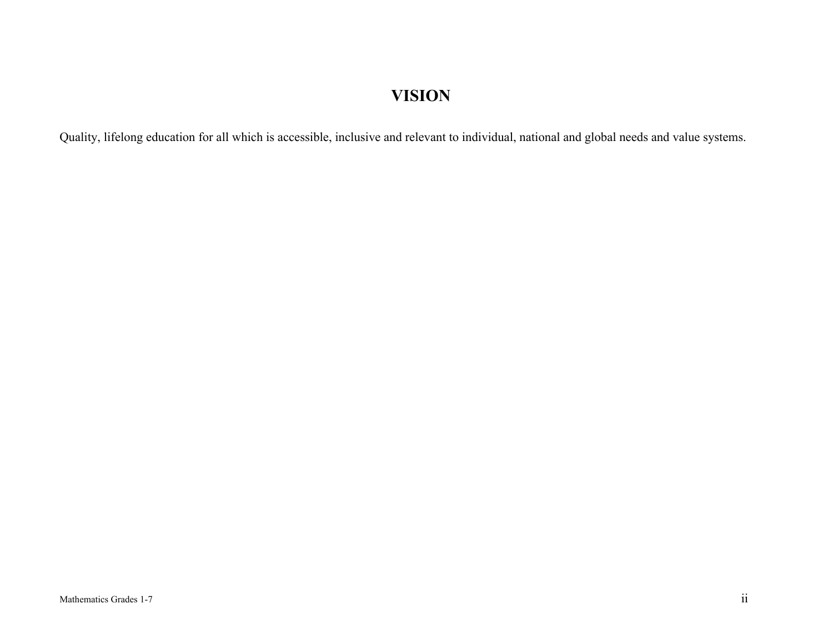# **VISION**

Quality, lifelong education for all which is accessible, inclusive and relevant to individual, national and global needs and value systems.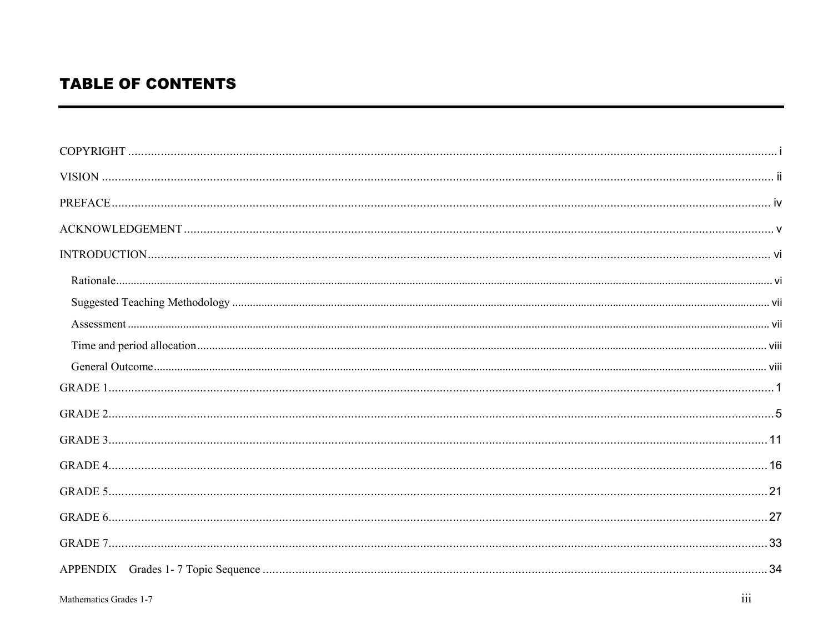### **TABLE OF CONTENTS**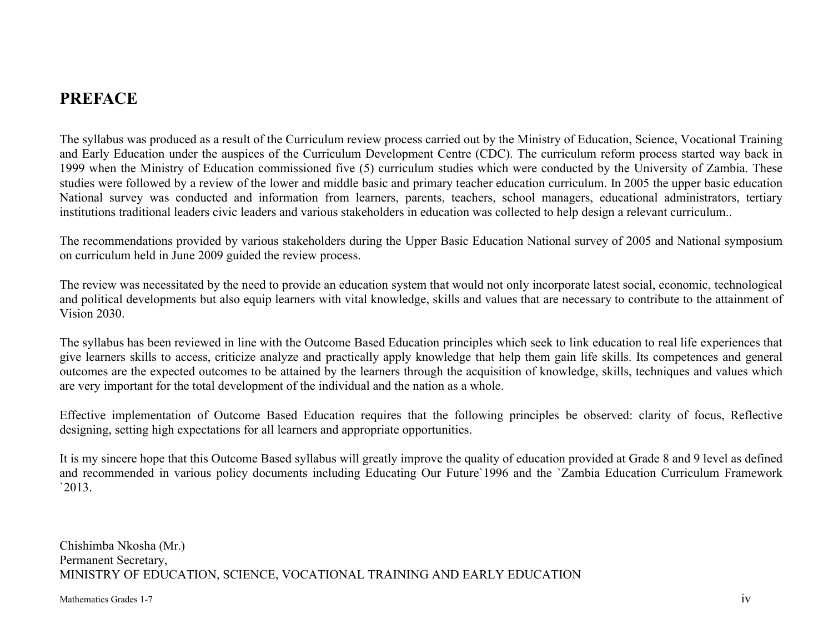### **PREFACE**

The syllabus was produced as a result of the Curriculum review process carried out by the Ministry of Education, Science, Vocational Training and Early Education under the auspices of the Curriculum Development Centre (CDC). The curriculum reform process started way back in 1999 when the Ministry of Education commissioned five (5) curriculum studies which were conducted by the University of Zambia. These studies were followed by a review of the lower and middle basic and primary teacher education curriculum. In 2005 the upper basic education National survey was conducted and information from learners, parents, teachers, school managers, educational administrators, tertiary institutions traditional leaders civic leaders and various stakeholders in education was collected to help design a relevant curriculum..

The recommendations provided by various stakeholders during the Upper Basic Education National survey of 2005 and National symposium on curriculum held in June 2009 guided the review process.

The review was necessitated by the need to provide an education system that would not only incorporate latest social, economic, technological and political developments but also equip learners with vital knowledge, skills and values that are necessary to contribute to the attainment of Vision 2030.

The syllabus has been reviewed in line with the Outcome Based Education principles which seek to link education to real life experiences that give learners skills to access, criticize analyze and practically apply knowledge that help them gain life skills. Its competences and general outcomes are the expected outcomes to be attained by the learners through the acquisition of knowledge, skills, techniques and values which are very important for the total development of the individual and the nation as a whole.

Effective implementation of Outcome Based Education requires that the following principles be observed: clarity of focus, Reflective designing, setting high expectations for all learners and appropriate opportunities.

It is my sincere hope that this Outcome Based syllabus will greatly improve the quality of education provided at Grade 8 and 9 level as defined and recommended in various policy documents including Educating Our Future`1996 and the `Zambia Education Curriculum Framework `2013.

Chishimba Nkosha (Mr.) Permanent Secretary, MINISTRY OF EDUCATION, SCIENCE, VOCATIONAL TRAINING AND EARLY EDUCATION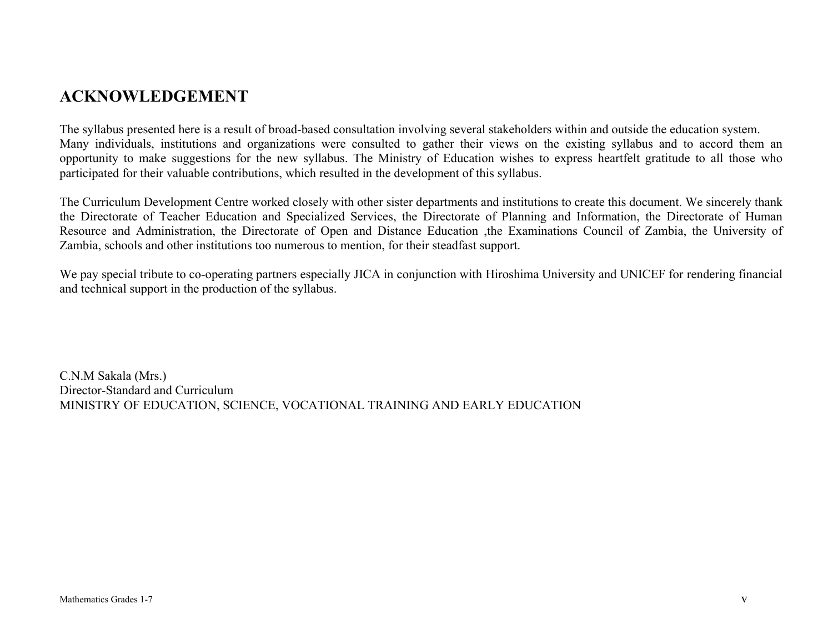### **ACKNOWLEDGEMENT**

The syllabus presented here is a result of broad-based consultation involving several stakeholders within and outside the education system. Many individuals, institutions and organizations were consulted to gather their views on the existing syllabus and to accord them an opportunity to make suggestions for the new syllabus. The Ministry of Education wishes to express heartfelt gratitude to all those who participated for their valuable contributions, which resulted in the development of this syllabus.

The Curriculum Development Centre worked closely with other sister departments and institutions to create this document. We sincerely thank the Directorate of Teacher Education and Specialized Services, the Directorate of Planning and Information, the Directorate of Human Resource and Administration, the Directorate of Open and Distance Education ,the Examinations Council of Zambia, the University of Zambia, schools and other institutions too numerous to mention, for their steadfast support.

We pay special tribute to co-operating partners especially JICA in conjunction with Hiroshima University and UNICEF for rendering financial and technical support in the production of the syllabus.

C.N.M Sakala (Mrs.) Director-Standard and Curriculum MINISTRY OF EDUCATION, SCIENCE, VOCATIONAL TRAINING AND EARLY EDUCATION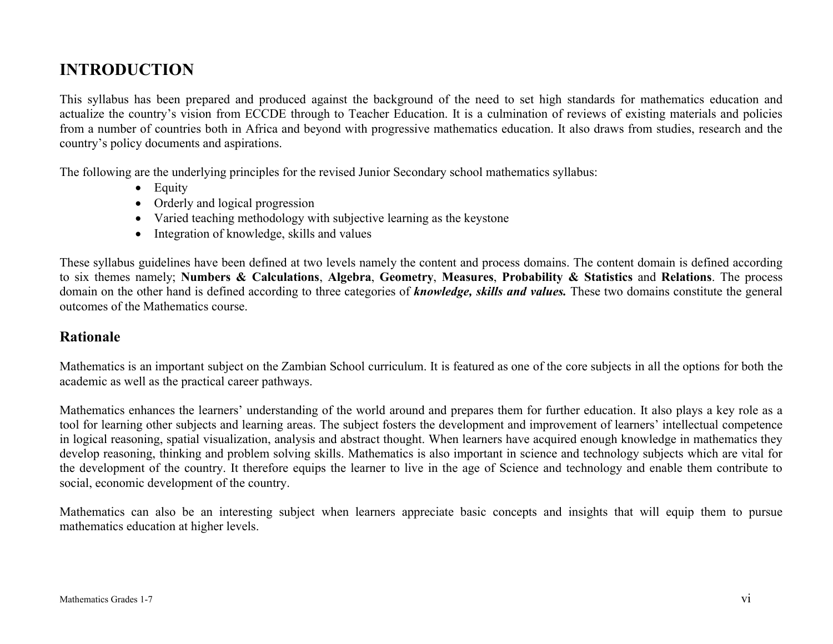### **INTRODUCTION**

This syllabus has been prepared and produced against the background of the need to set high standards for mathematics education and actualize the country's vision from ECCDE through to Teacher Education. It is a culmination of reviews of existing materials and policies from a number of countries both in Africa and beyond with progressive mathematics education. It also draws from studies, research and the country's policy documents and aspirations.

The following are the underlying principles for the revised Junior Secondary school mathematics syllabus:

- Equity
- Orderly and logical progression
- Varied teaching methodology with subjective learning as the keystone
- Integration of knowledge, skills and values

These syllabus guidelines have been defined at two levels namely the content and process domains. The content domain is defined according to six themes namely; **Numbers & Calculations**, **Algebra**, **Geometry**, **Measures**, **Probability & Statistics** and **Relations**. The process domain on the other hand is defined according to three categories of *knowledge, skills and values.* These two domains constitute the general outcomes of the Mathematics course.

#### **Rationale**

Mathematics is an important subject on the Zambian School curriculum. It is featured as one of the core subjects in all the options for both the academic as well as the practical career pathways.

Mathematics enhances the learners' understanding of the world around and prepares them for further education. It also plays a key role as a tool for learning other subjects and learning areas. The subject fosters the development and improvement of learners' intellectual competence in logical reasoning, spatial visualization, analysis and abstract thought. When learners have acquired enough knowledge in mathematics they develop reasoning, thinking and problem solving skills. Mathematics is also important in science and technology subjects which are vital for the development of the country. It therefore equips the learner to live in the age of Science and technology and enable them contribute to social, economic development of the country.

Mathematics can also be an interesting subject when learners appreciate basic concepts and insights that will equip them to pursue mathematics education at higher levels.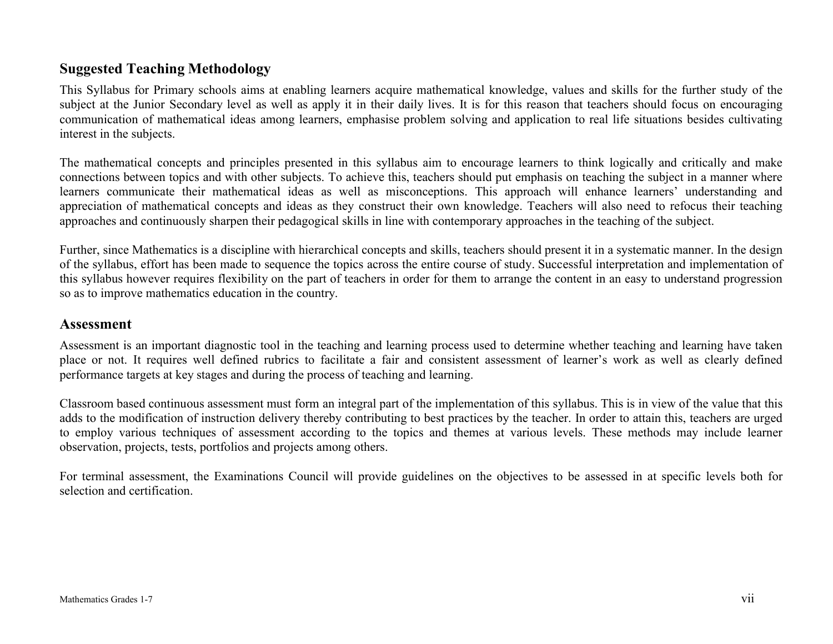#### **Suggested Teaching Methodology**

This Syllabus for Primary schools aims at enabling learners acquire mathematical knowledge, values and skills for the further study of the subject at the Junior Secondary level as well as apply it in their daily lives. It is for this reason that teachers should focus on encouraging communication of mathematical ideas among learners, emphasise problem solving and application to real life situations besides cultivating interest in the subjects.

The mathematical concepts and principles presented in this syllabus aim to encourage learners to think logically and critically and make connections between topics and with other subjects. To achieve this, teachers should put emphasis on teaching the subject in a manner where learners communicate their mathematical ideas as well as misconceptions. This approach will enhance learners' understanding and appreciation of mathematical concepts and ideas as they construct their own knowledge. Teachers will also need to refocus their teaching approaches and continuously sharpen their pedagogical skills in line with contemporary approaches in the teaching of the subject.

Further, since Mathematics is a discipline with hierarchical concepts and skills, teachers should present it in a systematic manner. In the design of the syllabus, effort has been made to sequence the topics across the entire course of study. Successful interpretation and implementation of this syllabus however requires flexibility on the part of teachers in order for them to arrange the content in an easy to understand progression so as to improve mathematics education in the country.

#### **Assessment**

Assessment is an important diagnostic tool in the teaching and learning process used to determine whether teaching and learning have taken place or not. It requires well defined rubrics to facilitate a fair and consistent assessment of learner's work as well as clearly defined performance targets at key stages and during the process of teaching and learning.

Classroom based continuous assessment must form an integral part of the implementation of this syllabus. This is in view of the value that this adds to the modification of instruction delivery thereby contributing to best practices by the teacher. In order to attain this, teachers are urged to employ various techniques of assessment according to the topics and themes at various levels. These methods may include learner observation, projects, tests, portfolios and projects among others.

For terminal assessment, the Examinations Council will provide guidelines on the objectives to be assessed in at specific levels both for selection and certification.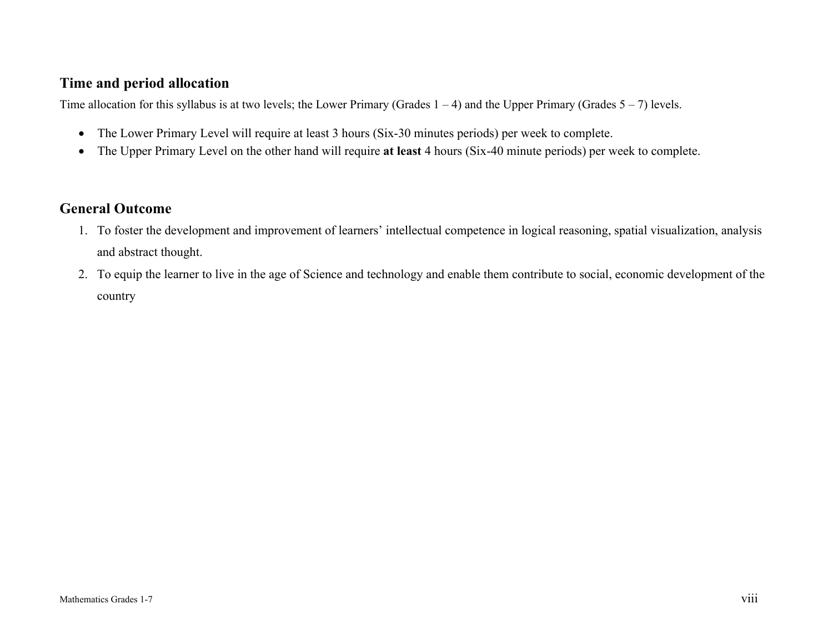#### **Time and period allocation**

Time allocation for this syllabus is at two levels; the Lower Primary (Grades  $1 - 4$ ) and the Upper Primary (Grades  $5 - 7$ ) levels.

- The Lower Primary Level will require at least 3 hours (Six-30 minutes periods) per week to complete.
- The Upper Primary Level on the other hand will require **at least** 4 hours (Six-40 minute periods) per week to complete.

#### **General Outcome**

- 1. To foster the development and improvement of learners' intellectual competence in logical reasoning, spatial visualization, analysis and abstract thought.
- 2. To equip the learner to live in the age of Science and technology and enable them contribute to social, economic development of the country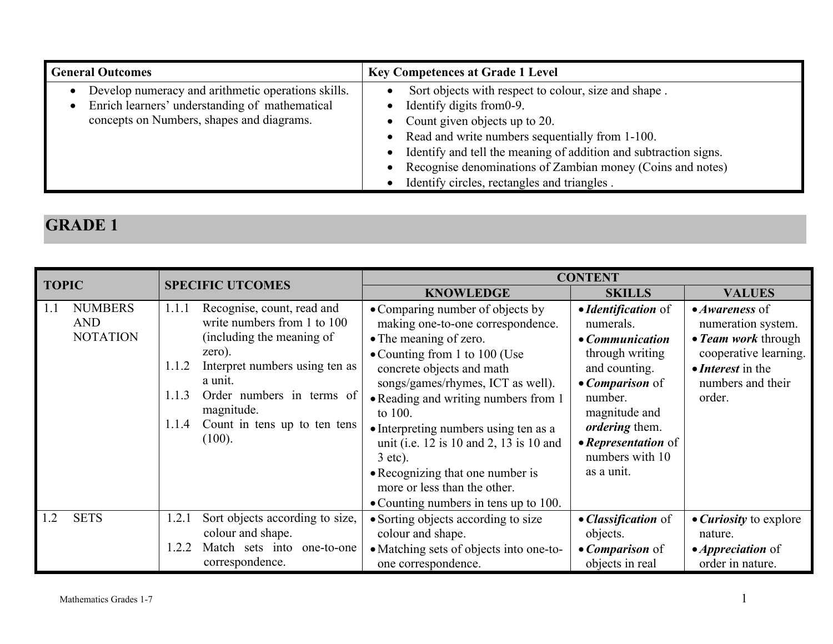| <b>General Outcomes</b>                                                                                                                           | <b>Key Competences at Grade 1 Level</b>                                                                                                                                                                                                                                                                   |
|---------------------------------------------------------------------------------------------------------------------------------------------------|-----------------------------------------------------------------------------------------------------------------------------------------------------------------------------------------------------------------------------------------------------------------------------------------------------------|
| Develop numeracy and arithmetic operations skills.<br>Enrich learners' understanding of mathematical<br>concepts on Numbers, shapes and diagrams. | Sort objects with respect to colour, size and shape.<br>Identify digits from 0-9.<br>• Count given objects up to 20.<br>Read and write numbers sequentially from 1-100.<br>Identify and tell the meaning of addition and subtraction signs.<br>Recognise denominations of Zambian money (Coins and notes) |
|                                                                                                                                                   | Identify circles, rectangles and triangles.                                                                                                                                                                                                                                                               |

|                                                        |                                                                                                                                                                                                                                                                        | <b>CONTENT</b>                                                                                                                                                                                                                                                                                                                                                                                                                                                      |                                                                                                                                                                                                                                 |                                                                                                                                                  |  |
|--------------------------------------------------------|------------------------------------------------------------------------------------------------------------------------------------------------------------------------------------------------------------------------------------------------------------------------|---------------------------------------------------------------------------------------------------------------------------------------------------------------------------------------------------------------------------------------------------------------------------------------------------------------------------------------------------------------------------------------------------------------------------------------------------------------------|---------------------------------------------------------------------------------------------------------------------------------------------------------------------------------------------------------------------------------|--------------------------------------------------------------------------------------------------------------------------------------------------|--|
| <b>TOPIC</b>                                           | <b>SPECIFIC UTCOMES</b>                                                                                                                                                                                                                                                | <b>KNOWLEDGE</b>                                                                                                                                                                                                                                                                                                                                                                                                                                                    | <b>SKILLS</b>                                                                                                                                                                                                                   | <b>VALUES</b>                                                                                                                                    |  |
| <b>NUMBERS</b><br>1.1<br><b>AND</b><br><b>NOTATION</b> | Recognise, count, read and<br>1.1.1<br>write numbers from 1 to 100<br>(including the meaning of<br>zero).<br>Interpret numbers using ten as<br>1.1.2<br>a unit.<br>Order numbers in terms of<br>1.1.3<br>magnitude.<br>Count in tens up to ten tens<br>1.1.4<br>(100). | • Comparing number of objects by<br>making one-to-one correspondence.<br>• The meaning of zero.<br>• Counting from 1 to 100 (Use<br>concrete objects and math<br>songs/games/rhymes, ICT as well).<br>• Reading and writing numbers from 1<br>to 100.<br>• Interpreting numbers using ten as a<br>unit (i.e. 12 is 10 and 2, 13 is 10 and<br>$3$ etc).<br>• Recognizing that one number is<br>more or less than the other.<br>• Counting numbers in tens up to 100. | • Identification of<br>numerals.<br>• Communication<br>through writing<br>and counting.<br>$\bullet$ <i>Comparison</i> of<br>number.<br>magnitude and<br>ordering them.<br>• Representation of<br>numbers with 10<br>as a unit. | $\bullet$ Awareness of<br>numeration system.<br>• Team work through<br>cooperative learning.<br>• Interest in the<br>numbers and their<br>order. |  |
| <b>SETS</b><br>1.2                                     | Sort objects according to size,<br>1.2.1<br>colour and shape.                                                                                                                                                                                                          | • Sorting objects according to size<br>colour and shape.                                                                                                                                                                                                                                                                                                                                                                                                            | • Classification of<br>objects.                                                                                                                                                                                                 | • <i>Curiosity</i> to explore<br>nature.                                                                                                         |  |
|                                                        | Match sets into<br>1.2.2<br>one-to-one<br>correspondence.                                                                                                                                                                                                              | • Matching sets of objects into one-to-<br>one correspondence.                                                                                                                                                                                                                                                                                                                                                                                                      | $\bullet$ <i>Comparison</i> of<br>objects in real                                                                                                                                                                               | $\bullet$ <i>Appreciation</i> of<br>order in nature.                                                                                             |  |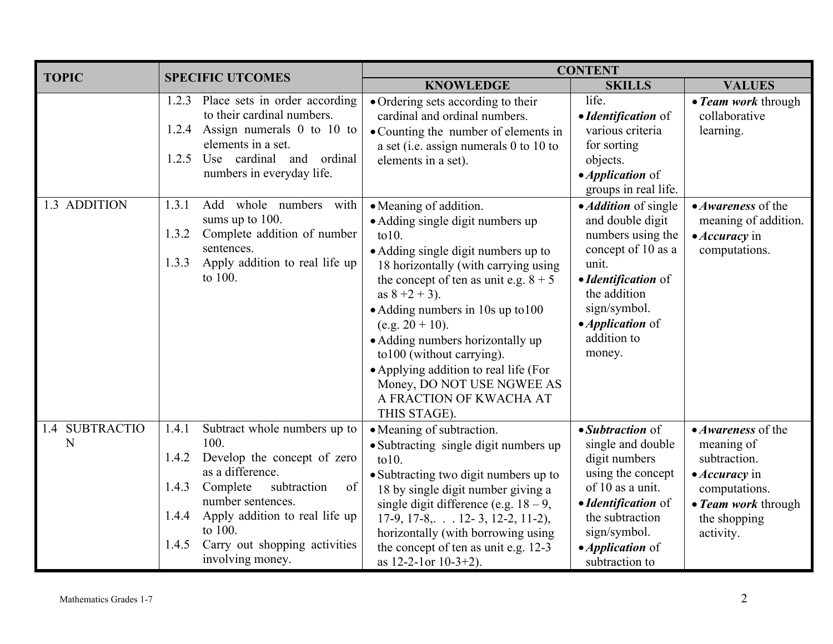| <b>TOPIC</b>                | <b>SPECIFIC UTCOMES</b>                                                                                                                                                                                                                                                                      | <b>CONTENT</b>                                                                                                                                                                                                                                                                                                                                                                                                                                                             |                                                                                                                                                                                                                        |                                                                                                                                                       |  |
|-----------------------------|----------------------------------------------------------------------------------------------------------------------------------------------------------------------------------------------------------------------------------------------------------------------------------------------|----------------------------------------------------------------------------------------------------------------------------------------------------------------------------------------------------------------------------------------------------------------------------------------------------------------------------------------------------------------------------------------------------------------------------------------------------------------------------|------------------------------------------------------------------------------------------------------------------------------------------------------------------------------------------------------------------------|-------------------------------------------------------------------------------------------------------------------------------------------------------|--|
|                             |                                                                                                                                                                                                                                                                                              | <b>KNOWLEDGE</b>                                                                                                                                                                                                                                                                                                                                                                                                                                                           | <b>SKILLS</b>                                                                                                                                                                                                          | <b>VALUES</b>                                                                                                                                         |  |
|                             | Place sets in order according<br>1.2.3<br>to their cardinal numbers.<br>1.2.4 Assign numerals 0 to 10 to<br>elements in a set.<br>cardinal and<br>ordinal<br>1.2.5<br>Use<br>numbers in everyday life.                                                                                       | · Ordering sets according to their<br>cardinal and ordinal numbers.<br>• Counting the number of elements in<br>a set (i.e. assign numerals $0$ to $10$ to<br>elements in a set).                                                                                                                                                                                                                                                                                           | life.<br>• Identification of<br>various criteria<br>for sorting<br>objects.<br>• <i>Application</i> of<br>groups in real life.                                                                                         | • Team work through<br>collaborative<br>learning.                                                                                                     |  |
| 1.3 ADDITION                | Add whole numbers with<br>1.3.1<br>sums up to 100.<br>Complete addition of number<br>1.3.2<br>sentences.<br>Apply addition to real life up<br>1.3.3<br>to 100.                                                                                                                               | • Meaning of addition.<br>• Adding single digit numbers up<br>$\text{to}10$ .<br>• Adding single digit numbers up to<br>18 horizontally (with carrying using<br>the concept of ten as unit e.g. $8 + 5$<br>as $8 + 2 + 3$ ).<br>• Adding numbers in 10s up to 100<br>$(e.g. 20 + 10).$<br>• Adding numbers horizontally up<br>to 100 (without carrying).<br>• Applying addition to real life (For<br>Money, DO NOT USE NGWEE AS<br>A FRACTION OF KWACHA AT<br>THIS STAGE). | • <i>Addition</i> of single<br>and double digit<br>numbers using the<br>concept of 10 as a<br>unit.<br>• Identification of<br>the addition<br>sign/symbol.<br>$\bullet$ <i>Application</i> of<br>addition to<br>money. | • Awareness of the<br>meaning of addition.<br>$\bullet$ <i>Accuracy</i> in<br>computations.                                                           |  |
| 1.4 SUBTRACTIO<br>${\bf N}$ | Subtract whole numbers up to<br>1.4.1<br>100.<br>Develop the concept of zero<br>1.4.2<br>as a difference.<br>Complete<br>subtraction<br>of<br>1.4.3<br>number sentences.<br>Apply addition to real life up<br>1.4.4<br>to 100.<br>Carry out shopping activities<br>1.4.5<br>involving money. | • Meaning of subtraction.<br>• Subtracting single digit numbers up<br>$\text{to}10$ .<br>• Subtracting two digit numbers up to<br>18 by single digit number giving a<br>single digit difference (e.g. $18-9$ ,<br>$17-9$ , $17-8$ , $\ldots$ 12-3, 12-2, 11-2),<br>horizontally (with borrowing using<br>the concept of ten as unit e.g. 12-3<br>as $12-2-1$ or $10-3+2$ ).                                                                                                | • Subtraction of<br>single and double<br>digit numbers<br>using the concept<br>of 10 as a unit.<br>• Identification of<br>the subtraction<br>sign/symbol.<br>• <i>Application</i> of<br>subtraction to                 | • Awareness of the<br>meaning of<br>subtraction.<br>$\bullet$ <i>Accuracy</i> in<br>computations.<br>• Team work through<br>the shopping<br>activity. |  |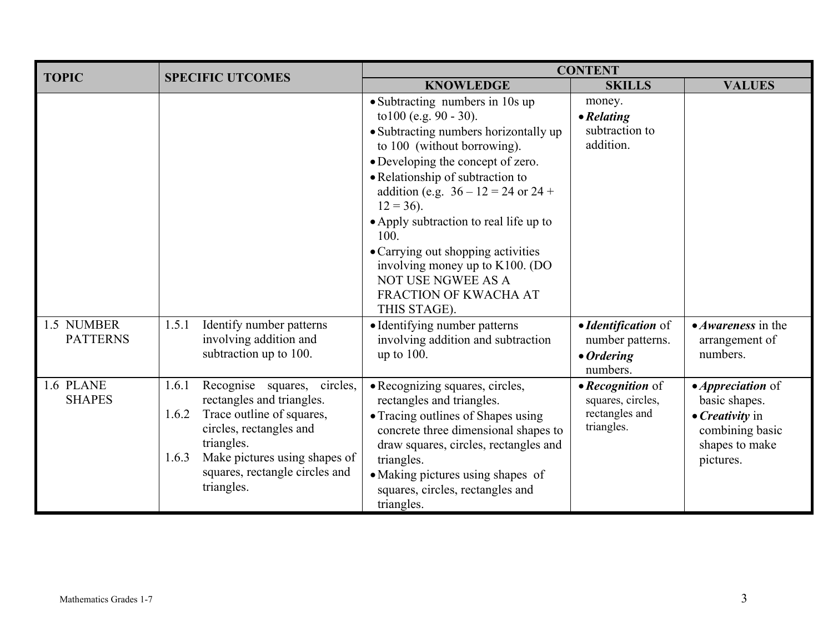| <b>TOPIC</b>                  |                                                                                                                                                                                                                                            | <b>CONTENT</b>                                                                                                                                                                                                                                                                                                                                                                                                                                                       |                                                                           |                                                                                                                               |  |
|-------------------------------|--------------------------------------------------------------------------------------------------------------------------------------------------------------------------------------------------------------------------------------------|----------------------------------------------------------------------------------------------------------------------------------------------------------------------------------------------------------------------------------------------------------------------------------------------------------------------------------------------------------------------------------------------------------------------------------------------------------------------|---------------------------------------------------------------------------|-------------------------------------------------------------------------------------------------------------------------------|--|
|                               | <b>SPECIFIC UTCOMES</b>                                                                                                                                                                                                                    | <b>KNOWLEDGE</b>                                                                                                                                                                                                                                                                                                                                                                                                                                                     | <b>SKILLS</b>                                                             | <b>VALUES</b>                                                                                                                 |  |
|                               |                                                                                                                                                                                                                                            | • Subtracting numbers in 10s up<br>to $100$ (e.g. $90 - 30$ ).<br>• Subtracting numbers horizontally up<br>to 100 (without borrowing).<br>• Developing the concept of zero.<br>• Relationship of subtraction to<br>addition (e.g. $36 - 12 = 24$ or $24 +$<br>$12 = 36$ ).<br>• Apply subtraction to real life up to<br>100.<br>• Carrying out shopping activities<br>involving money up to K100. (DO<br>NOT USE NGWEE AS A<br>FRACTION OF KWACHA AT<br>THIS STAGE). | money.<br>$\bullet$ Relating<br>subtraction to<br>addition.               |                                                                                                                               |  |
| 1.5 NUMBER<br><b>PATTERNS</b> | Identify number patterns<br>1.5.1<br>involving addition and<br>subtraction up to 100.                                                                                                                                                      | • Identifying number patterns<br>involving addition and subtraction<br>up to $100$ .                                                                                                                                                                                                                                                                                                                                                                                 | • Identification of<br>number patterns.<br>$\bullet$ Ordering<br>numbers. | $\bullet$ <i>Awareness</i> in the<br>arrangement of<br>numbers.                                                               |  |
| 1.6 PLANE<br><b>SHAPES</b>    | Recognise squares, circles,<br>1.6.1<br>rectangles and triangles.<br>Trace outline of squares,<br>1.6.2<br>circles, rectangles and<br>triangles.<br>Make pictures using shapes of<br>1.6.3<br>squares, rectangle circles and<br>triangles. | · Recognizing squares, circles,<br>rectangles and triangles.<br>• Tracing outlines of Shapes using<br>concrete three dimensional shapes to<br>draw squares, circles, rectangles and<br>triangles.<br>• Making pictures using shapes of<br>squares, circles, rectangles and<br>triangles.                                                                                                                                                                             | • Recognition of<br>squares, circles,<br>rectangles and<br>triangles.     | • <i>Appreciation</i> of<br>basic shapes.<br>$\bullet$ <i>Creativity</i> in<br>combining basic<br>shapes to make<br>pictures. |  |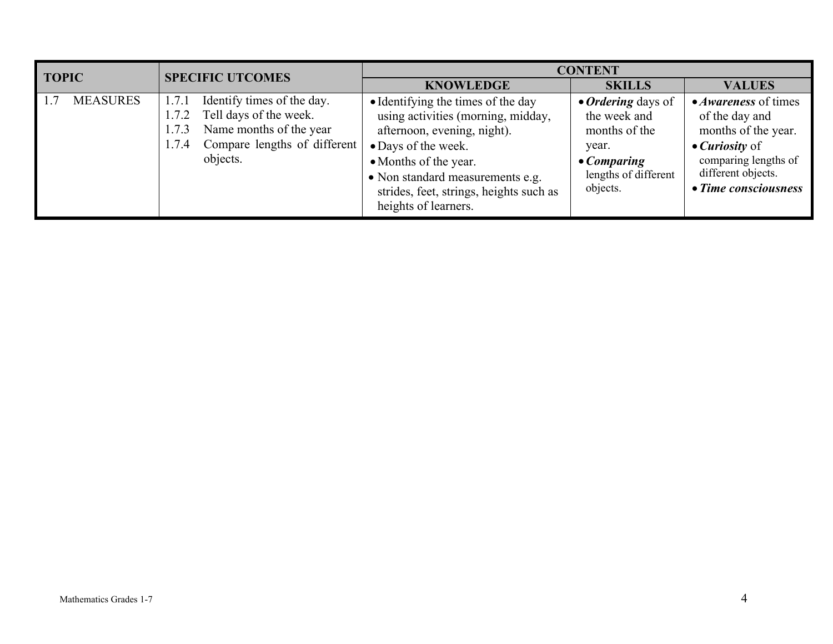| <b>TOPIC</b>           | <b>SPECIFIC UTCOMES</b>                                                                                                                                         | <b>CONTENT</b>                                                                                                                                                                                                                                                 |                                                                                                                         |                                                                                                                                                                             |
|------------------------|-----------------------------------------------------------------------------------------------------------------------------------------------------------------|----------------------------------------------------------------------------------------------------------------------------------------------------------------------------------------------------------------------------------------------------------------|-------------------------------------------------------------------------------------------------------------------------|-----------------------------------------------------------------------------------------------------------------------------------------------------------------------------|
|                        |                                                                                                                                                                 | <b>KNOWLEDGE</b>                                                                                                                                                                                                                                               | <b>SKILLS</b>                                                                                                           | <b>VALUES</b>                                                                                                                                                               |
| 1.7<br><b>MEASURES</b> | Identify times of the day.<br>1.7.1<br>Tell days of the week.<br>1.7.2<br>Name months of the year<br>1.7.3<br>Compare lengths of different<br>1.7.4<br>objects. | • Identifying the times of the day<br>using activities (morning, midday,<br>afternoon, evening, night).<br>• Days of the week.<br>• Months of the year.<br>• Non standard measurements e.g.<br>strides, feet, strings, heights such as<br>heights of learners. | • Ordering days of<br>the week and<br>months of the<br>year.<br>$\bullet$ Comparing<br>lengths of different<br>objects. | • <i>Awareness</i> of times<br>of the day and<br>months of the year.<br>$\bullet$ <i>Curiosity</i> of<br>comparing lengths of<br>different objects.<br>• Time consciousness |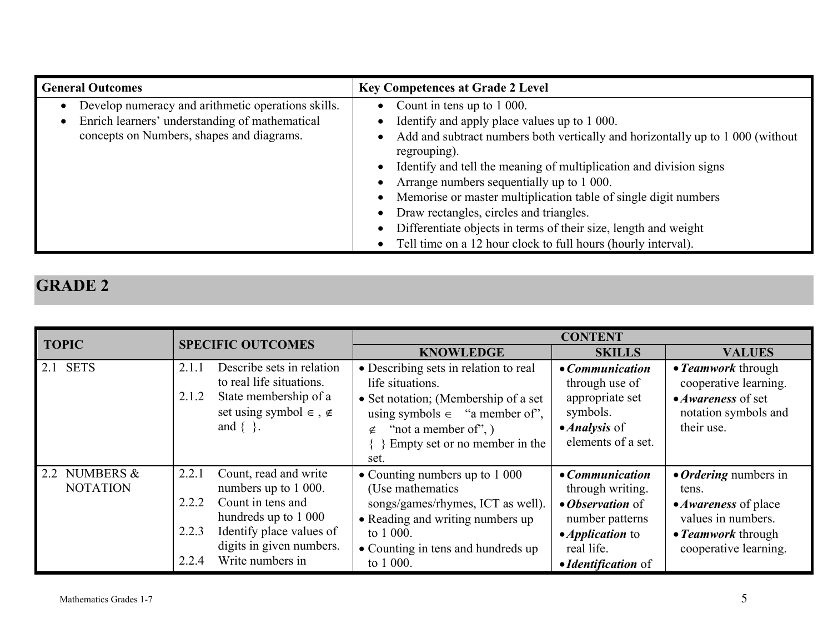| <b>General Outcomes</b>                                                                                                                           | <b>Key Competences at Grade 2 Level</b>                                                                                                                                                                                                                                                                               |
|---------------------------------------------------------------------------------------------------------------------------------------------------|-----------------------------------------------------------------------------------------------------------------------------------------------------------------------------------------------------------------------------------------------------------------------------------------------------------------------|
| Develop numeracy and arithmetic operations skills.<br>Enrich learners' understanding of mathematical<br>concepts on Numbers, shapes and diagrams. | Count in tens up to 1 000.<br>$\bullet$<br>Identify and apply place values up to 1 000.<br>Add and subtract numbers both vertically and horizontally up to 1 000 (without<br>regrouping).<br>Identify and tell the meaning of multiplication and division signs                                                       |
|                                                                                                                                                   | Arrange numbers sequentially up to 1 000.<br>Memorise or master multiplication table of single digit numbers<br>Draw rectangles, circles and triangles.<br>$\bullet$<br>Differentiate objects in terms of their size, length and weight<br>$\bullet$<br>Tell time on a 12 hour clock to full hours (hourly interval). |

| <b>TOPIC</b>                     | <b>SPECIFIC OUTCOMES</b>                                                                                                                                                                                   | <b>CONTENT</b>                                                                                                                                                                                                  |                                                                                                                                                           |                                                                                                                                           |
|----------------------------------|------------------------------------------------------------------------------------------------------------------------------------------------------------------------------------------------------------|-----------------------------------------------------------------------------------------------------------------------------------------------------------------------------------------------------------------|-----------------------------------------------------------------------------------------------------------------------------------------------------------|-------------------------------------------------------------------------------------------------------------------------------------------|
|                                  |                                                                                                                                                                                                            | <b>KNOWLEDGE</b>                                                                                                                                                                                                | <b>SKILLS</b>                                                                                                                                             | <b>VALUES</b>                                                                                                                             |
| 2.1 SETS                         | Describe sets in relation<br>2.1.1<br>to real life situations.<br>State membership of a<br>2.1.2<br>set using symbol $\in$ , $\notin$<br>and $\{\}$ .                                                      | • Describing sets in relation to real<br>life situations.<br>• Set notation; (Membership of a set<br>using symbols $\in$ "a member of",<br>"not a member of", $)$<br>∉<br>Empty set or no member in the<br>set. | • Communication<br>through use of<br>appropriate set<br>symbols.<br>$\bullet$ <i>Analysis</i> of<br>elements of a set.                                    | • Teamwork through<br>cooperative learning.<br>• Awareness of set<br>notation symbols and<br>their use.                                   |
| 2.2 NUMBERS &<br><b>NOTATION</b> | Count, read and write<br>2.2.1<br>numbers up to 1 000.<br>Count in tens and<br>2.2.2<br>hundreds up to 1 000<br>Identify place values of<br>2.2.3<br>digits in given numbers.<br>Write numbers in<br>2.2.4 | • Counting numbers up to $1000$<br>(Use mathematics)<br>songs/games/rhymes, ICT as well).<br>• Reading and writing numbers up<br>to 1 000.<br>• Counting in tens and hundreds up<br>to 1 000.                   | $\bullet$ <i>Communication</i><br>through writing.<br>• Observation of<br>number patterns<br>• <i>Application</i> to<br>real life.<br>• Identification of | • <i>Ordering</i> numbers in<br>tens.<br>• <i>Awareness</i> of place<br>values in numbers.<br>• Teamwork through<br>cooperative learning. |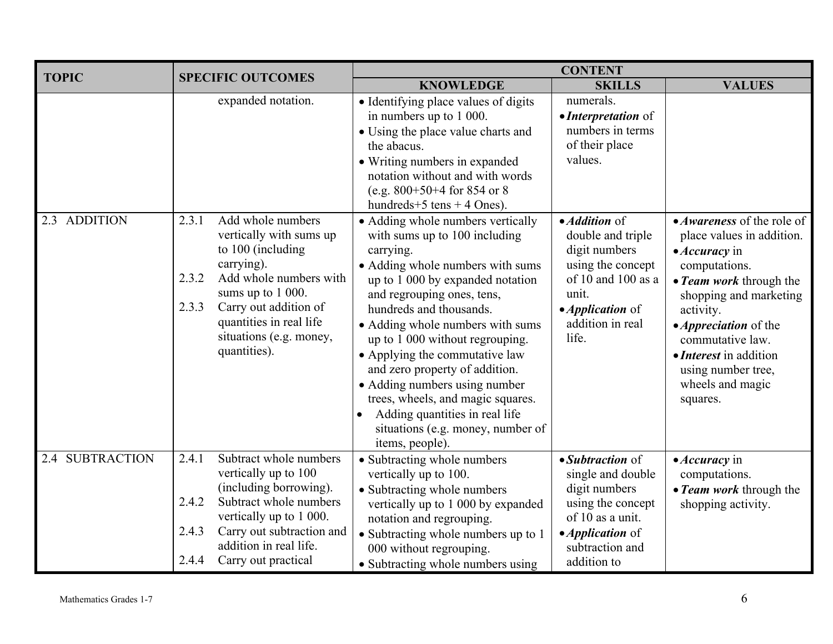| <b>TOPIC</b>              | <b>CONTENT</b><br><b>SPECIFIC OUTCOMES</b> |                                                                                                                                                                                                                               |                                                                                                                                                                                                                                                                                                                                                                                                                                                                                                                             |                                                                                                                                                                 |                                                                                                                                                                                                                                                                                                                              |
|---------------------------|--------------------------------------------|-------------------------------------------------------------------------------------------------------------------------------------------------------------------------------------------------------------------------------|-----------------------------------------------------------------------------------------------------------------------------------------------------------------------------------------------------------------------------------------------------------------------------------------------------------------------------------------------------------------------------------------------------------------------------------------------------------------------------------------------------------------------------|-----------------------------------------------------------------------------------------------------------------------------------------------------------------|------------------------------------------------------------------------------------------------------------------------------------------------------------------------------------------------------------------------------------------------------------------------------------------------------------------------------|
|                           |                                            |                                                                                                                                                                                                                               | <b>KNOWLEDGE</b>                                                                                                                                                                                                                                                                                                                                                                                                                                                                                                            | <b>SKILLS</b>                                                                                                                                                   | <b>VALUES</b>                                                                                                                                                                                                                                                                                                                |
|                           |                                            | expanded notation.                                                                                                                                                                                                            | · Identifying place values of digits<br>in numbers up to 1 000.<br>• Using the place value charts and<br>the abacus.<br>• Writing numbers in expanded<br>notation without and with words<br>(e.g. $800+50+4$ for 854 or 8<br>hundreds+5 tens + 4 Ones).                                                                                                                                                                                                                                                                     | numerals.<br>• Interpretation of<br>numbers in terms<br>of their place<br>values.                                                                               |                                                                                                                                                                                                                                                                                                                              |
| 2.3 ADDITION              | 2.3.1<br>2.3.2<br>2.3.3                    | Add whole numbers<br>vertically with sums up<br>to 100 (including<br>carrying).<br>Add whole numbers with<br>sums up to 1 000.<br>Carry out addition of<br>quantities in real life<br>situations (e.g. money,<br>quantities). | • Adding whole numbers vertically<br>with sums up to 100 including<br>carrying.<br>• Adding whole numbers with sums<br>up to 1 000 by expanded notation<br>and regrouping ones, tens,<br>hundreds and thousands.<br>• Adding whole numbers with sums<br>up to 1 000 without regrouping.<br>• Applying the commutative law<br>and zero property of addition.<br>• Adding numbers using number<br>trees, wheels, and magic squares.<br>Adding quantities in real life<br>situations (e.g. money, number of<br>items, people). | • Addition of<br>double and triple<br>digit numbers<br>using the concept<br>of 10 and 100 as a<br>unit.<br>• <i>Application</i> of<br>addition in real<br>life. | • <i>Awareness</i> of the role of<br>place values in addition.<br>$\bullet$ <i>Accuracy</i> in<br>computations.<br>• Team work through the<br>shopping and marketing<br>activity.<br>• <i>Appreciation</i> of the<br>commutative law.<br>• <i>Interest</i> in addition<br>using number tree,<br>wheels and magic<br>squares. |
| <b>SUBTRACTION</b><br>2.4 | 2.4.1<br>2.4.2                             | Subtract whole numbers<br>vertically up to 100<br>(including borrowing).<br>Subtract whole numbers<br>vertically up to 1 000.                                                                                                 | • Subtracting whole numbers<br>vertically up to 100.<br>• Subtracting whole numbers<br>vertically up to 1 000 by expanded<br>notation and regrouping.                                                                                                                                                                                                                                                                                                                                                                       | • Subtraction of<br>single and double<br>digit numbers<br>using the concept<br>of 10 as a unit.                                                                 | $\bullet$ <i>Accuracy</i> in<br>computations.<br>• Team work through the<br>shopping activity.                                                                                                                                                                                                                               |
|                           | 2.4.3<br>2.4.4                             | Carry out subtraction and<br>addition in real life.<br>Carry out practical                                                                                                                                                    | • Subtracting whole numbers up to 1<br>000 without regrouping.<br>• Subtracting whole numbers using                                                                                                                                                                                                                                                                                                                                                                                                                         | • <i>Application</i> of<br>subtraction and<br>addition to                                                                                                       |                                                                                                                                                                                                                                                                                                                              |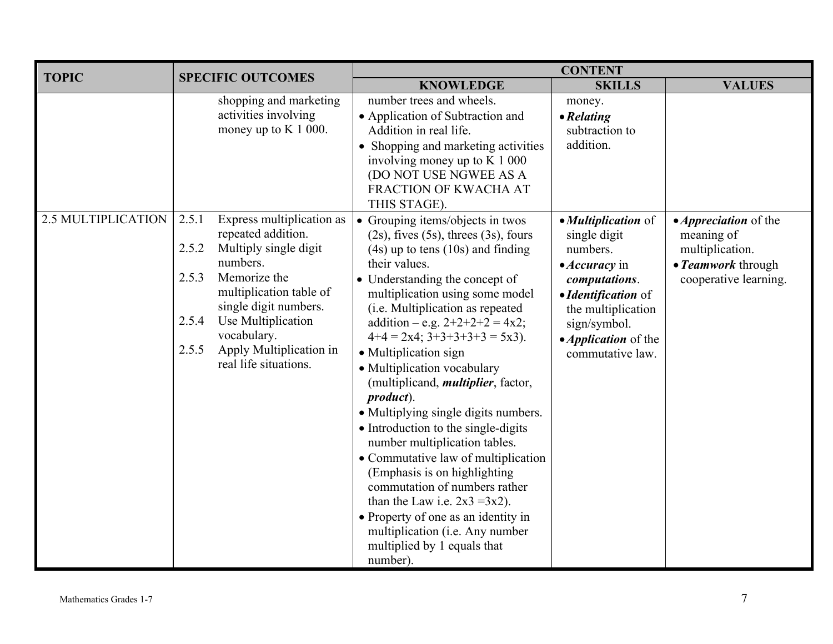| <b>TOPIC</b>              | <b>SPECIFIC OUTCOMES</b>                                                                                                                                                                                                                                                                       | <b>CONTENT</b> |                                                                                                                                                                                                                                                                                                                                                                                                                                                                                                                                                                                                                                                                                                                                                                                                                                   |                                                                                                                                                                                                                  |                                                                                                              |
|---------------------------|------------------------------------------------------------------------------------------------------------------------------------------------------------------------------------------------------------------------------------------------------------------------------------------------|----------------|-----------------------------------------------------------------------------------------------------------------------------------------------------------------------------------------------------------------------------------------------------------------------------------------------------------------------------------------------------------------------------------------------------------------------------------------------------------------------------------------------------------------------------------------------------------------------------------------------------------------------------------------------------------------------------------------------------------------------------------------------------------------------------------------------------------------------------------|------------------------------------------------------------------------------------------------------------------------------------------------------------------------------------------------------------------|--------------------------------------------------------------------------------------------------------------|
|                           |                                                                                                                                                                                                                                                                                                |                | <b>KNOWLEDGE</b>                                                                                                                                                                                                                                                                                                                                                                                                                                                                                                                                                                                                                                                                                                                                                                                                                  | <b>SKILLS</b>                                                                                                                                                                                                    | <b>VALUES</b>                                                                                                |
|                           | shopping and marketing<br>activities involving<br>money up to $K$ 1 000.                                                                                                                                                                                                                       |                | number trees and wheels.<br>• Application of Subtraction and<br>Addition in real life.<br>• Shopping and marketing activities<br>involving money up to K 1 000<br>(DO NOT USE NGWEE AS A<br>FRACTION OF KWACHA AT<br>THIS STAGE).                                                                                                                                                                                                                                                                                                                                                                                                                                                                                                                                                                                                 | money.<br>$\bullet$ Relating<br>subtraction to<br>addition.                                                                                                                                                      |                                                                                                              |
| <b>2.5 MULTIPLICATION</b> | Express multiplication as<br>2.5.1<br>repeated addition.<br>2.5.2<br>Multiply single digit<br>numbers.<br>2.5.3<br>Memorize the<br>multiplication table of<br>single digit numbers.<br>2.5.4<br>Use Multiplication<br>vocabulary.<br>Apply Multiplication in<br>2.5.5<br>real life situations. |                | • Grouping items/objects in twos<br>$(2s)$ , fives $(5s)$ , threes $(3s)$ , fours<br>$(4s)$ up to tens $(10s)$ and finding<br>their values.<br>• Understanding the concept of<br>multiplication using some model<br>(i.e. Multiplication as repeated<br>addition – e.g. $2+2+2+2=4x2$ ;<br>$4+4 = 2x4$ ; $3+3+3+3+3 = 5x3$ ).<br>• Multiplication sign<br>• Multiplication vocabulary<br>(multiplicand, <i>multiplier</i> , factor,<br>product).<br>• Multiplying single digits numbers.<br>• Introduction to the single-digits<br>number multiplication tables.<br>• Commutative law of multiplication<br>(Emphasis is on highlighting<br>commutation of numbers rather<br>than the Law i.e. $2x3 = 3x2$ ).<br>• Property of one as an identity in<br>multiplication (i.e. Any number<br>multiplied by 1 equals that<br>number). | • Multiplication of<br>single digit<br>numbers.<br>$\bullet$ <i>Accuracy</i> in<br>computations.<br>• Identification of<br>the multiplication<br>sign/symbol.<br>• <i>Application</i> of the<br>commutative law. | • <i>Appreciation</i> of the<br>meaning of<br>multiplication.<br>• Teamwork through<br>cooperative learning. |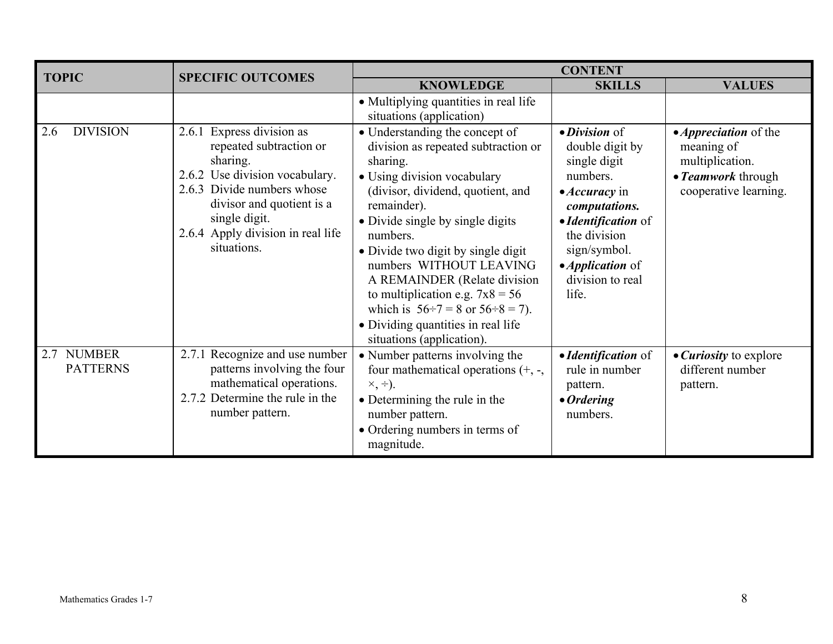| <b>TOPIC</b>                  | <b>SPECIFIC OUTCOMES</b>                                                                                                                                                                                                           |                                                                                                                                                                                                                                                                                                                                                                                                                                                                                 | <b>CONTENT</b>                                                                                                                                                                                                               |                                                                                                              |
|-------------------------------|------------------------------------------------------------------------------------------------------------------------------------------------------------------------------------------------------------------------------------|---------------------------------------------------------------------------------------------------------------------------------------------------------------------------------------------------------------------------------------------------------------------------------------------------------------------------------------------------------------------------------------------------------------------------------------------------------------------------------|------------------------------------------------------------------------------------------------------------------------------------------------------------------------------------------------------------------------------|--------------------------------------------------------------------------------------------------------------|
|                               |                                                                                                                                                                                                                                    | <b>KNOWLEDGE</b>                                                                                                                                                                                                                                                                                                                                                                                                                                                                | <b>SKILLS</b>                                                                                                                                                                                                                | <b>VALUES</b>                                                                                                |
|                               |                                                                                                                                                                                                                                    | • Multiplying quantities in real life<br>situations (application)                                                                                                                                                                                                                                                                                                                                                                                                               |                                                                                                                                                                                                                              |                                                                                                              |
| <b>DIVISION</b><br>2.6        | 2.6.1 Express division as<br>repeated subtraction or<br>sharing.<br>2.6.2 Use division vocabulary.<br>2.6.3 Divide numbers whose<br>divisor and quotient is a<br>single digit.<br>2.6.4 Apply division in real life<br>situations. | • Understanding the concept of<br>division as repeated subtraction or<br>sharing.<br>• Using division vocabulary<br>(divisor, dividend, quotient, and<br>remainder).<br>• Divide single by single digits<br>numbers.<br>• Divide two digit by single digit<br>numbers WITHOUT LEAVING<br>A REMAINDER (Relate division<br>to multiplication e.g. $7x8 = 56$<br>which is $56 \div 7 = 8$ or $56 \div 8 = 7$ ).<br>• Dividing quantities in real life<br>situations (application). | · Division of<br>double digit by<br>single digit<br>numbers.<br>$\bullet$ <i>Accuracy</i> in<br>computations.<br>• Identification of<br>the division<br>sign/symbol.<br>• <i>Application</i> of<br>division to real<br>life. | • <i>Appreciation</i> of the<br>meaning of<br>multiplication.<br>• Teamwork through<br>cooperative learning. |
| 2.7 NUMBER<br><b>PATTERNS</b> | 2.7.1 Recognize and use number<br>patterns involving the four<br>mathematical operations.<br>2.7.2 Determine the rule in the<br>number pattern.                                                                                    | • Number patterns involving the<br>four mathematical operations $(+, -,$<br>$\times, \div$ ).<br>• Determining the rule in the<br>number pattern.<br>• Ordering numbers in terms of<br>magnitude.                                                                                                                                                                                                                                                                               | • Identification of<br>rule in number<br>pattern.<br>$\bullet$ Ordering<br>numbers.                                                                                                                                          | • <i>Curiosity</i> to explore<br>different number<br>pattern.                                                |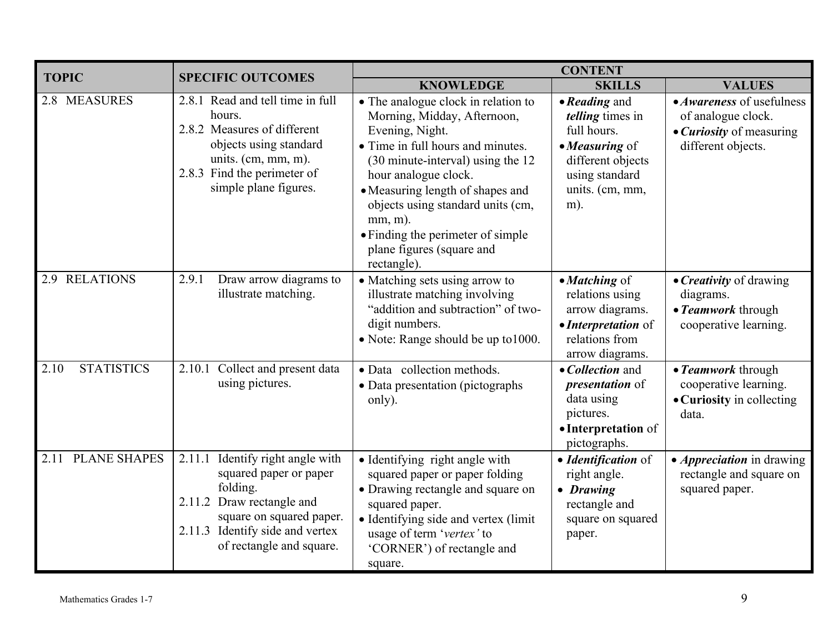| <b>TOPIC</b>                | <b>SPECIFIC OUTCOMES</b>                                                                                                                                                                          | <b>CONTENT</b>                                                                                                                                                                                                                                                                                                                                                  |                                                                                                                                               |                                                                                                                 |
|-----------------------------|---------------------------------------------------------------------------------------------------------------------------------------------------------------------------------------------------|-----------------------------------------------------------------------------------------------------------------------------------------------------------------------------------------------------------------------------------------------------------------------------------------------------------------------------------------------------------------|-----------------------------------------------------------------------------------------------------------------------------------------------|-----------------------------------------------------------------------------------------------------------------|
|                             |                                                                                                                                                                                                   | <b>KNOWLEDGE</b>                                                                                                                                                                                                                                                                                                                                                | <b>SKILLS</b>                                                                                                                                 | <b>VALUES</b>                                                                                                   |
| 2.8 MEASURES                | 2.8.1 Read and tell time in full<br>hours.<br>2.8.2 Measures of different<br>objects using standard<br>units. $(cm, mm, m)$ .<br>2.8.3 Find the perimeter of<br>simple plane figures.             | • The analogue clock in relation to<br>Morning, Midday, Afternoon,<br>Evening, Night.<br>• Time in full hours and minutes.<br>(30 minute-interval) using the 12<br>hour analogue clock.<br>• Measuring length of shapes and<br>objects using standard units (cm,<br>$mm, m$ ).<br>• Finding the perimeter of simple<br>plane figures (square and<br>rectangle). | • Reading and<br><i>telling</i> times in<br>full hours.<br>• Measuring of<br>different objects<br>using standard<br>units. (cm, mm,<br>$m$ ). | • <i>Awareness</i> of usefulness<br>of analogue clock.<br>• <i>Curiosity</i> of measuring<br>different objects. |
| <b>RELATIONS</b><br>2.9     | Draw arrow diagrams to<br>2.9.1<br>illustrate matching.                                                                                                                                           | • Matching sets using arrow to<br>illustrate matching involving<br>"addition and subtraction" of two-<br>digit numbers.<br>• Note: Range should be up to 1000.                                                                                                                                                                                                  | • Matching of<br>relations using<br>arrow diagrams.<br>• Interpretation of<br>relations from<br>arrow diagrams.                               | • Creativity of drawing<br>diagrams.<br>• Teamwork through<br>cooperative learning.                             |
| <b>STATISTICS</b><br>2.10   | 2.10.1 Collect and present data<br>using pictures.                                                                                                                                                | · Data collection methods.<br>• Data presentation (pictographs<br>only).                                                                                                                                                                                                                                                                                        | • Collection and<br><i>presentation</i> of<br>data using<br>pictures.<br>• Interpretation of<br>pictographs.                                  | • Teamwork through<br>cooperative learning.<br>• Curiosity in collecting<br>data.                               |
| <b>PLANE SHAPES</b><br>2.11 | Identify right angle with<br>2.11.1<br>squared paper or paper<br>folding.<br>2.11.2 Draw rectangle and<br>square on squared paper.<br>2.11.3 Identify side and vertex<br>of rectangle and square. | • Identifying right angle with<br>squared paper or paper folding<br>• Drawing rectangle and square on<br>squared paper.<br>• Identifying side and vertex (limit<br>usage of term 'vertex' to<br>'CORNER') of rectangle and<br>square.                                                                                                                           | • Identification of<br>right angle.<br>• Drawing<br>rectangle and<br>square on squared<br>paper.                                              | • <i>Appreciation</i> in drawing<br>rectangle and square on<br>squared paper.                                   |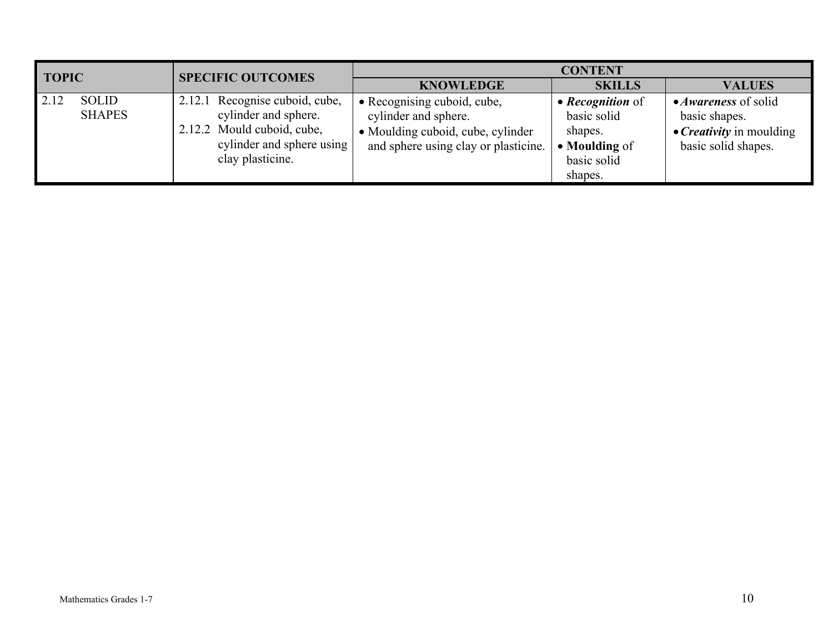| <b>TOPIC</b> |                               | <b>SPECIFIC OUTCOMES</b>                                                                                                              | <b>CONTENT</b>                                                                                                                   |                                                                                              |                                                                                                        |  |
|--------------|-------------------------------|---------------------------------------------------------------------------------------------------------------------------------------|----------------------------------------------------------------------------------------------------------------------------------|----------------------------------------------------------------------------------------------|--------------------------------------------------------------------------------------------------------|--|
|              |                               |                                                                                                                                       | <b>KNOWLEDGE</b>                                                                                                                 | <b>SKILLS</b>                                                                                | <b>VALUES</b>                                                                                          |  |
| 2.12         | <b>SOLID</b><br><b>SHAPES</b> | 2.12.1 Recognise cuboid, cube,<br>cylinder and sphere.<br>2.12.2 Mould cuboid, cube,<br>cylinder and sphere using<br>clay plasticine. | • Recognising cuboid, cube,<br>cylinder and sphere.<br>• Moulding cuboid, cube, cylinder<br>and sphere using clay or plasticine. | • <i>Recognition</i> of<br>basic solid<br>shapes.<br>• Moulding of<br>basic solid<br>shapes. | • <i>Awareness</i> of solid<br>basic shapes.<br>• <i>Creativity</i> in moulding<br>basic solid shapes. |  |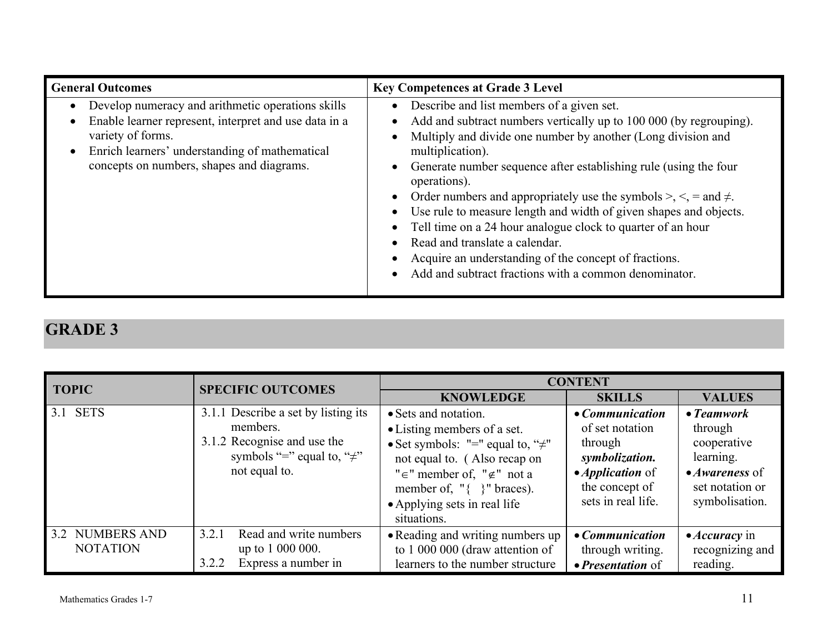| <b>General Outcomes</b>                                                                                                                                                                                                        | <b>Key Competences at Grade 3 Level</b>                                                                                                                                                                                                                                                                                                                                                                                                                                                                                                                                                                                                                                                                                                                                               |
|--------------------------------------------------------------------------------------------------------------------------------------------------------------------------------------------------------------------------------|---------------------------------------------------------------------------------------------------------------------------------------------------------------------------------------------------------------------------------------------------------------------------------------------------------------------------------------------------------------------------------------------------------------------------------------------------------------------------------------------------------------------------------------------------------------------------------------------------------------------------------------------------------------------------------------------------------------------------------------------------------------------------------------|
| Develop numeracy and arithmetic operations skills<br>Enable learner represent, interpret and use data in a<br>variety of forms.<br>Enrich learners' understanding of mathematical<br>concepts on numbers, shapes and diagrams. | Describe and list members of a given set.<br>$\bullet$<br>Add and subtract numbers vertically up to 100 000 (by regrouping).<br>$\bullet$<br>Multiply and divide one number by another (Long division and<br>$\bullet$<br>multiplication).<br>Generate number sequence after establishing rule (using the four<br>$\bullet$<br>operations).<br>Order numbers and appropriately use the symbols $\geq, \leq, \leq, \leq, \leq, \leq \pm$<br>$\bullet$<br>Use rule to measure length and width of given shapes and objects.<br>$\bullet$<br>• Tell time on a 24 hour analogue clock to quarter of an hour<br>Read and translate a calendar.<br>Acquire an understanding of the concept of fractions.<br>$\bullet$<br>Add and subtract fractions with a common denominator.<br>$\bullet$ |

| <b>TOPIC</b>                       | <b>SPECIFIC OUTCOMES</b>                                                                                                            | <b>CONTENT</b>                                                                                                                                                                                                                                              |                                                                                                                                    |                                                                                                                          |
|------------------------------------|-------------------------------------------------------------------------------------------------------------------------------------|-------------------------------------------------------------------------------------------------------------------------------------------------------------------------------------------------------------------------------------------------------------|------------------------------------------------------------------------------------------------------------------------------------|--------------------------------------------------------------------------------------------------------------------------|
|                                    |                                                                                                                                     | <b>KNOWLEDGE</b>                                                                                                                                                                                                                                            | <b>SKILLS</b>                                                                                                                      | <b>VALUES</b>                                                                                                            |
| 3.1 SETS                           | 3.1.1 Describe a set by listing its<br>members.<br>3.1.2 Recognise and use the<br>symbols "=" equal to, " $\neq$ "<br>not equal to. | • Sets and notation.<br>• Listing members of a set.<br>• Set symbols: "=" equal to, " $\neq$ "<br>not equal to. (Also recap on<br>" $\in$ " member of, " $\notin$ " not a<br>member of, " $\{ \}$ " braces).<br>• Applying sets in real life<br>situations. | • Communication<br>of set notation<br>through<br>symbolization.<br>• <i>Application</i> of<br>the concept of<br>sets in real life. | $\bullet$ Teamwork<br>through<br>cooperative<br>learning.<br>$\bullet$ Awareness of<br>set notation or<br>symbolisation. |
| 3.2 NUMBERS AND<br><b>NOTATION</b> | Read and write numbers<br>3.2.1<br>up to 1 000 000.<br>Express a number in<br>3.2.2                                                 | • Reading and writing numbers up<br>to 1 000 000 (draw attention of<br>learners to the number structure                                                                                                                                                     | • Communication<br>through writing.<br>• <i>Presentation</i> of                                                                    | $\bullet$ <i>Accuracy</i> in<br>recognizing and<br>reading.                                                              |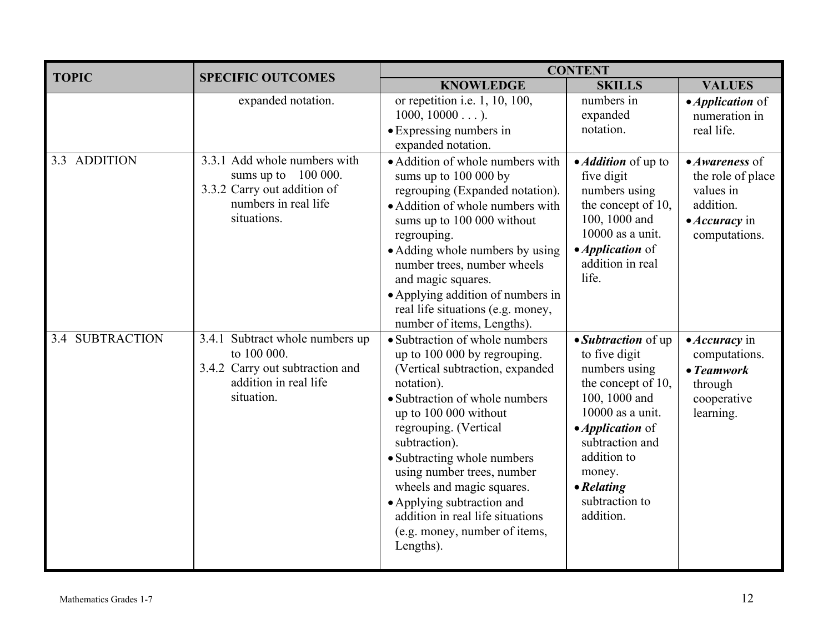| <b>TOPIC</b>           | <b>SPECIFIC OUTCOMES</b>                                                                                                    | <b>CONTENT</b>                                                                                                                                                                                                                                                                                                                                                                                                                 |                                                                                                                                                                                                                                                |                                                                                                                        |  |
|------------------------|-----------------------------------------------------------------------------------------------------------------------------|--------------------------------------------------------------------------------------------------------------------------------------------------------------------------------------------------------------------------------------------------------------------------------------------------------------------------------------------------------------------------------------------------------------------------------|------------------------------------------------------------------------------------------------------------------------------------------------------------------------------------------------------------------------------------------------|------------------------------------------------------------------------------------------------------------------------|--|
|                        |                                                                                                                             | <b>KNOWLEDGE</b>                                                                                                                                                                                                                                                                                                                                                                                                               | <b>SKILLS</b>                                                                                                                                                                                                                                  | <b>VALUES</b>                                                                                                          |  |
|                        | expanded notation.                                                                                                          | $\overline{or}$ repetition i.e. 1, 10, 100,<br>$1000, 10000$ ).<br>• Expressing numbers in<br>expanded notation.                                                                                                                                                                                                                                                                                                               | numbers in<br>expanded<br>notation.                                                                                                                                                                                                            | • <i>Application</i> of<br>numeration in<br>real life.                                                                 |  |
| <b>ADDITION</b><br>3.3 | 3.3.1 Add whole numbers with<br>sums up to $100000$ .<br>3.3.2 Carry out addition of<br>numbers in real life<br>situations. | • Addition of whole numbers with<br>sums up to 100 000 by<br>regrouping (Expanded notation).<br>• Addition of whole numbers with<br>sums up to 100 000 without<br>regrouping.<br>• Adding whole numbers by using<br>number trees, number wheels<br>and magic squares.<br>• Applying addition of numbers in<br>real life situations (e.g. money,<br>number of items, Lengths).                                                  | • <i>Addition</i> of up to<br>five digit<br>numbers using<br>the concept of 10,<br>100, 1000 and<br>$10000$ as a unit.<br>• <i>Application</i> of<br>addition in real<br>life.                                                                 | $\bullet$ Awareness of<br>the role of place<br>values in<br>addition.<br>$\bullet$ <i>Accuracy</i> in<br>computations. |  |
| 3.4 SUBTRACTION        | 3.4.1 Subtract whole numbers up<br>to 100 000.<br>3.4.2 Carry out subtraction and<br>addition in real life<br>situation.    | • Subtraction of whole numbers<br>up to 100 000 by regrouping.<br>(Vertical subtraction, expanded<br>notation).<br>• Subtraction of whole numbers<br>up to 100 000 without<br>regrouping. (Vertical<br>subtraction).<br>• Subtracting whole numbers<br>using number trees, number<br>wheels and magic squares.<br>• Applying subtraction and<br>addition in real life situations<br>(e.g. money, number of items,<br>Lengths). | • Subtraction of up<br>to five digit<br>numbers using<br>the concept of 10,<br>100, 1000 and<br>$10000$ as a unit.<br>• <i>Application</i> of<br>subtraction and<br>addition to<br>money.<br>$\bullet$ Relating<br>subtraction to<br>addition. | $\bullet$ <i>Accuracy</i> in<br>computations.<br>$\bullet$ Teamwork<br>through<br>cooperative<br>learning.             |  |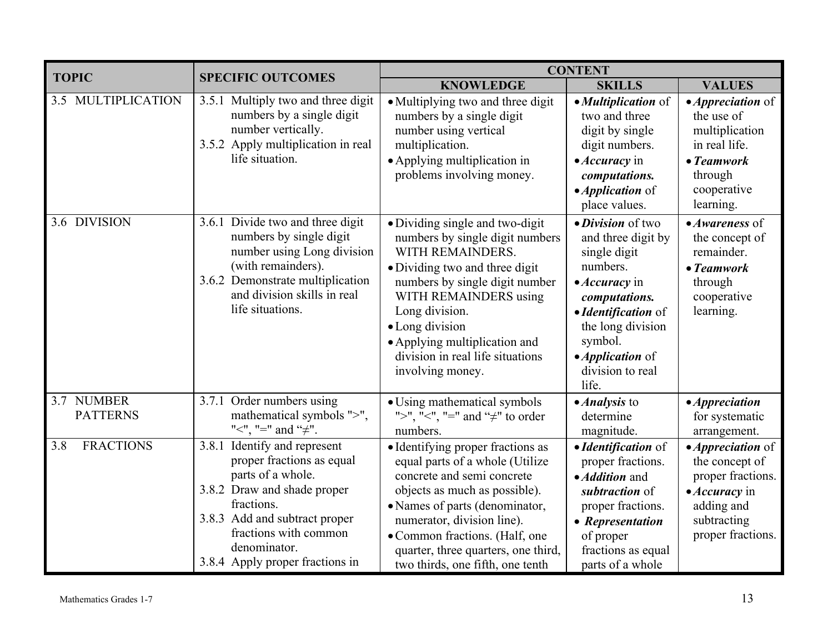| <b>TOPIC</b>                  | <b>SPECIFIC OUTCOMES</b>                                                                                                                                                                                                                 | <b>CONTENT</b>                                                                                                                                                                                                                                                                                                    |                                                                                                                                                                                                                                     |                                                                                                                                                |
|-------------------------------|------------------------------------------------------------------------------------------------------------------------------------------------------------------------------------------------------------------------------------------|-------------------------------------------------------------------------------------------------------------------------------------------------------------------------------------------------------------------------------------------------------------------------------------------------------------------|-------------------------------------------------------------------------------------------------------------------------------------------------------------------------------------------------------------------------------------|------------------------------------------------------------------------------------------------------------------------------------------------|
|                               |                                                                                                                                                                                                                                          | <b>KNOWLEDGE</b>                                                                                                                                                                                                                                                                                                  | <b>SKILLS</b>                                                                                                                                                                                                                       | <b>VALUES</b>                                                                                                                                  |
| 3.5 MULTIPLICATION            | 3.5.1 Multiply two and three digit<br>numbers by a single digit<br>number vertically.<br>3.5.2 Apply multiplication in real<br>life situation.                                                                                           | • Multiplying two and three digit<br>numbers by a single digit<br>number using vertical<br>multiplication.<br>• Applying multiplication in<br>problems involving money.                                                                                                                                           | • Multiplication of<br>two and three<br>digit by single<br>digit numbers.<br>• Accuracy in<br>computations.<br>• <i>Application</i> of<br>place values.                                                                             | $\bullet$ <i>Appreciation</i> of<br>the use of<br>multiplication<br>in real life.<br>$\bullet$ Teamwork<br>through<br>cooperative<br>learning. |
| 3.6 DIVISION                  | 3.6.1 Divide two and three digit<br>numbers by single digit<br>number using Long division<br>(with remainders).<br>3.6.2 Demonstrate multiplication<br>and division skills in real<br>life situations.                                   | • Dividing single and two-digit<br>numbers by single digit numbers<br>WITH REMAINDERS.<br>• Dividing two and three digit<br>numbers by single digit number<br>WITH REMAINDERS using<br>Long division.<br>• Long division<br>• Applying multiplication and<br>division in real life situations<br>involving money. | • Division of two<br>and three digit by<br>single digit<br>numbers.<br>$\bullet$ <i>Accuracy</i> in<br>computations.<br>• Identification of<br>the long division<br>symbol.<br>• <i>Application</i> of<br>division to real<br>life. | • Awareness of<br>the concept of<br>remainder.<br>$\bullet$ Teamwork<br>through<br>cooperative<br>learning.                                    |
| 3.7 NUMBER<br><b>PATTERNS</b> | 3.7.1 Order numbers using<br>mathematical symbols ">",<br>"<", "=" and " $\neq$ ".                                                                                                                                                       | • Using mathematical symbols<br>">", "<", "=" and " $\neq$ " to order<br>numbers.                                                                                                                                                                                                                                 | • <i>Analysis</i> to<br>determine<br>magnitude.                                                                                                                                                                                     | • Appreciation<br>for systematic<br>arrangement.                                                                                               |
| <b>FRACTIONS</b><br>3.8       | 3.8.1 Identify and represent<br>proper fractions as equal<br>parts of a whole.<br>3.8.2 Draw and shade proper<br>fractions.<br>3.8.3 Add and subtract proper<br>fractions with common<br>denominator.<br>3.8.4 Apply proper fractions in | • Identifying proper fractions as<br>equal parts of a whole (Utilize<br>concrete and semi concrete<br>objects as much as possible).<br>• Names of parts (denominator,<br>numerator, division line).<br>• Common fractions. (Half, one<br>quarter, three quarters, one third,<br>two thirds, one fifth, one tenth  | • Identification of<br>proper fractions.<br>· Addition and<br>subtraction of<br>proper fractions.<br>• Representation<br>of proper<br>fractions as equal<br>parts of a whole                                                        | • <i>Appreciation</i> of<br>the concept of<br>proper fractions.<br>• Accuracy in<br>adding and<br>subtracting<br>proper fractions.             |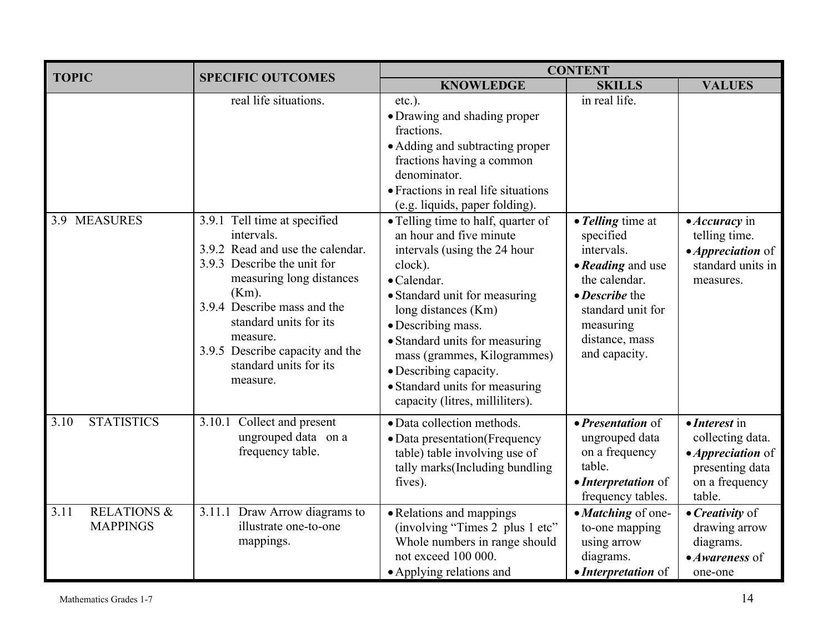| <b>TOPIC</b>                                      |                                                                                                                                                                                                                                                                                                                              | <b>CONTENT</b>                                                                                                                                                                                                                                                                                                                                                                                                                                                                                                                                                                            |                                                                                                                                                                                            |                                                                                                                             |  |
|---------------------------------------------------|------------------------------------------------------------------------------------------------------------------------------------------------------------------------------------------------------------------------------------------------------------------------------------------------------------------------------|-------------------------------------------------------------------------------------------------------------------------------------------------------------------------------------------------------------------------------------------------------------------------------------------------------------------------------------------------------------------------------------------------------------------------------------------------------------------------------------------------------------------------------------------------------------------------------------------|--------------------------------------------------------------------------------------------------------------------------------------------------------------------------------------------|-----------------------------------------------------------------------------------------------------------------------------|--|
|                                                   | <b>SPECIFIC OUTCOMES</b>                                                                                                                                                                                                                                                                                                     | <b>KNOWLEDGE</b>                                                                                                                                                                                                                                                                                                                                                                                                                                                                                                                                                                          | <b>SKILLS</b>                                                                                                                                                                              | <b>VALUES</b>                                                                                                               |  |
| 3.9 MEASURES                                      | real life situations.<br>3.9.1 Tell time at specified<br>intervals.<br>3.9.2 Read and use the calendar.<br>3.9.3 Describe the unit for<br>measuring long distances<br>$(Km)$ .<br>3.9.4 Describe mass and the<br>standard units for its<br>measure.<br>3.9.5 Describe capacity and the<br>standard units for its<br>measure. | $etc.$ ).<br>• Drawing and shading proper<br>fractions.<br>• Adding and subtracting proper<br>fractions having a common<br>denominator.<br>• Fractions in real life situations<br>(e.g. liquids, paper folding).<br>• Telling time to half, quarter of<br>an hour and five minute<br>intervals (using the 24 hour<br>clock).<br>· Calendar.<br>• Standard unit for measuring<br>long distances (Km)<br>• Describing mass.<br>• Standard units for measuring<br>mass (grammes, Kilogrammes)<br>• Describing capacity.<br>• Standard units for measuring<br>capacity (litres, milliliters). | in real life.<br>• Telling time at<br>specified<br>intervals.<br>• Reading and use<br>the calendar.<br>• Describe the<br>standard unit for<br>measuring<br>distance, mass<br>and capacity. | • Accuracy in<br>telling time.<br>• <i>Appreciation</i> of<br>standard units in<br>measures.                                |  |
| <b>STATISTICS</b><br>3.10                         | Collect and present<br>3.10.1<br>ungrouped data on a<br>frequency table.                                                                                                                                                                                                                                                     | · Data collection methods.<br>• Data presentation (Frequency<br>table) table involving use of<br>tally marks(Including bundling<br>fives).                                                                                                                                                                                                                                                                                                                                                                                                                                                | • Presentation of<br>ungrouped data<br>on a frequency<br>table.<br>• Interpretation of<br>frequency tables.                                                                                | $\bullet$ <i>Interest</i> in<br>collecting data.<br>• <i>Appreciation</i> of<br>presenting data<br>on a frequency<br>table. |  |
| <b>RELATIONS &amp;</b><br>3.11<br><b>MAPPINGS</b> | 3.11.1 Draw Arrow diagrams to<br>illustrate one-to-one<br>mappings.                                                                                                                                                                                                                                                          | • Relations and mappings<br>(involving "Times 2 plus 1 etc"<br>Whole numbers in range should<br>not exceed 100 000.<br>• Applying relations and                                                                                                                                                                                                                                                                                                                                                                                                                                           | • Matching of one-<br>to-one mapping<br>using arrow<br>diagrams.<br>• Interpretation of                                                                                                    | $\bullet$ <i>Creativity</i> of<br>drawing arrow<br>diagrams.<br>• Awareness of<br>one-one                                   |  |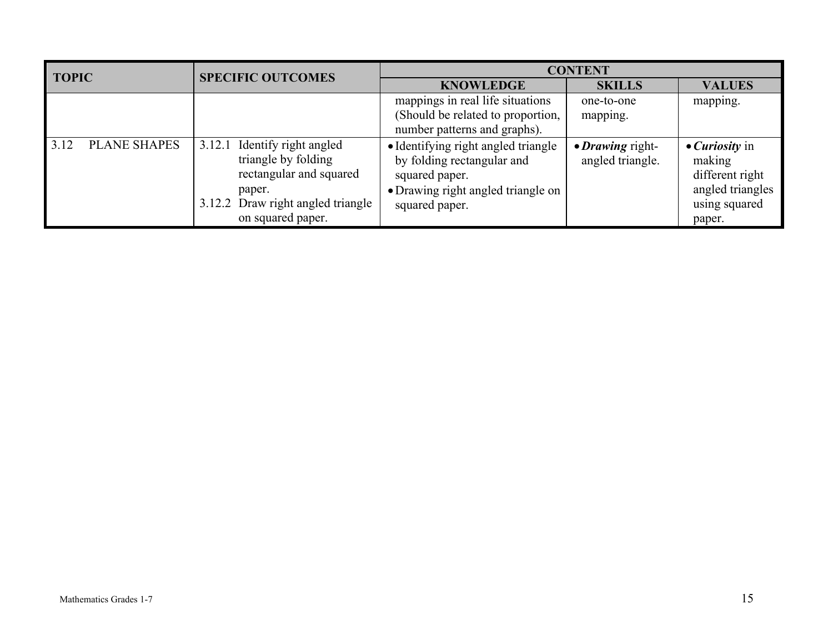| <b>TOPIC</b> |                     | <b>SPECIFIC OUTCOMES</b> | <b>CONTENT</b>                                                                                                                              |                                                                                                                                             |                                      |                                                                                                           |
|--------------|---------------------|--------------------------|---------------------------------------------------------------------------------------------------------------------------------------------|---------------------------------------------------------------------------------------------------------------------------------------------|--------------------------------------|-----------------------------------------------------------------------------------------------------------|
|              |                     |                          |                                                                                                                                             | <b>KNOWLEDGE</b>                                                                                                                            | <b>SKILLS</b>                        | <b>VALUES</b>                                                                                             |
|              |                     |                          |                                                                                                                                             | mappings in real life situations<br>(Should be related to proportion,<br>number patterns and graphs).                                       | one-to-one<br>mapping.               | mapping.                                                                                                  |
| 3.12         | <b>PLANE SHAPES</b> | 3.12.1                   | Identify right angled<br>triangle by folding<br>rectangular and squared<br>paper.<br>3.12.2 Draw right angled triangle<br>on squared paper. | • Identifying right angled triangle<br>by folding rectangular and<br>squared paper.<br>• Drawing right angled triangle on<br>squared paper. | • Drawing right-<br>angled triangle. | $\bullet$ <i>Curiosity</i> in<br>making<br>different right<br>angled triangles<br>using squared<br>paper. |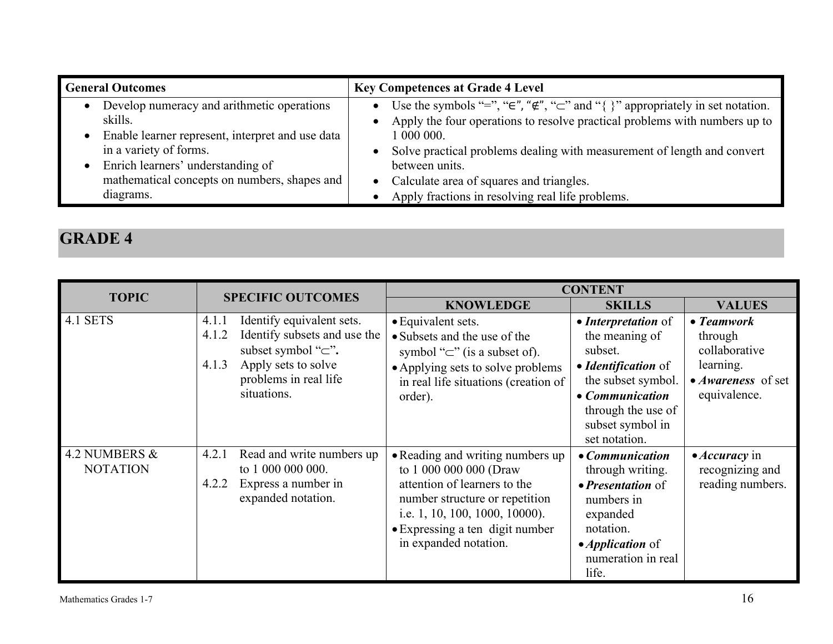| <b>General Outcomes</b> |                                                  | <b>Key Competences at Grade 4 Level</b>                                                              |
|-------------------------|--------------------------------------------------|------------------------------------------------------------------------------------------------------|
|                         | Develop numeracy and arithmetic operations       | Use the symbols "=", " $\in$ ", " $\notin$ ", " $\subset$ " and "{ }" appropriately in set notation. |
|                         | skills.                                          | Apply the four operations to resolve practical problems with numbers up to                           |
|                         | Enable learner represent, interpret and use data | 1 000 000.                                                                                           |
|                         | in a variety of forms.                           | Solve practical problems dealing with measurement of length and convert                              |
|                         | Enrich learners' understanding of                | between units.                                                                                       |
|                         | mathematical concepts on numbers, shapes and     | Calculate area of squares and triangles.                                                             |
|                         | diagrams.                                        | Apply fractions in resolving real life problems.                                                     |

|                                  |                                                                                                                                                                                     |                                                                                                                                                                                                                            | <b>CONTENT</b>                                                                                                                                                              |                                                                                                          |
|----------------------------------|-------------------------------------------------------------------------------------------------------------------------------------------------------------------------------------|----------------------------------------------------------------------------------------------------------------------------------------------------------------------------------------------------------------------------|-----------------------------------------------------------------------------------------------------------------------------------------------------------------------------|----------------------------------------------------------------------------------------------------------|
| <b>TOPIC</b>                     | <b>SPECIFIC OUTCOMES</b>                                                                                                                                                            | <b>KNOWLEDGE</b>                                                                                                                                                                                                           | <b>SKILLS</b>                                                                                                                                                               | <b>VALUES</b>                                                                                            |
| 4.1 SETS                         | Identify equivalent sets.<br>4.1.1<br>Identify subsets and use the<br>4.1.2<br>subset symbol " $\subset$ ".<br>Apply sets to solve<br>4.1.3<br>problems in real life<br>situations. | • Equivalent sets.<br>• Subsets and the use of the<br>symbol " $\subset$ " (is a subset of).<br>• Applying sets to solve problems<br>in real life situations (creation of<br>order).                                       | • Interpretation of<br>the meaning of<br>subset.<br>• Identification of<br>the subset symbol.<br>• Communication<br>through the use of<br>subset symbol in<br>set notation. | $\bullet$ Teamwork<br>through<br>collaborative<br>learning.<br>• <i>Awareness</i> of set<br>equivalence. |
| 4.2 NUMBERS &<br><b>NOTATION</b> | Read and write numbers up<br>4.2.1<br>to 1 000 000 000.<br>4.2.2<br>Express a number in<br>expanded notation.                                                                       | • Reading and writing numbers up<br>to 1 000 000 000 (Draw<br>attention of learners to the<br>number structure or repetition<br>i.e. 1, 10, 100, 1000, 10000).<br>• Expressing a ten digit number<br>in expanded notation. | • Communication<br>through writing.<br>$\bullet$ Presentation of<br>numbers in<br>expanded<br>notation.<br>$\bullet$ <i>Application</i> of<br>numeration in real<br>life.   | $\bullet$ <i>Accuracy</i> in<br>recognizing and<br>reading numbers.                                      |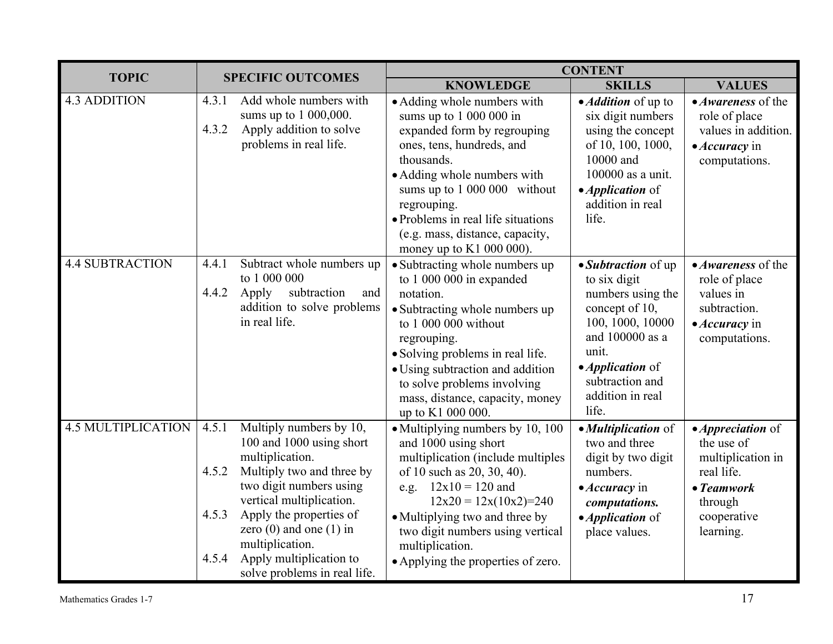| <b>TOPIC</b>              | <b>SPECIFIC OUTCOMES</b>         |                                                                                                                                                                                                                                                                                                    | <b>CONTENT</b>                                                                                                                                                                                                                                                                                                     |                                                                                                                                                                                                              |                                                                                                                                                |
|---------------------------|----------------------------------|----------------------------------------------------------------------------------------------------------------------------------------------------------------------------------------------------------------------------------------------------------------------------------------------------|--------------------------------------------------------------------------------------------------------------------------------------------------------------------------------------------------------------------------------------------------------------------------------------------------------------------|--------------------------------------------------------------------------------------------------------------------------------------------------------------------------------------------------------------|------------------------------------------------------------------------------------------------------------------------------------------------|
|                           |                                  |                                                                                                                                                                                                                                                                                                    | <b>KNOWLEDGE</b>                                                                                                                                                                                                                                                                                                   | <b>SKILLS</b>                                                                                                                                                                                                | <b>VALUES</b>                                                                                                                                  |
| <b>4.3 ADDITION</b>       | 4.3.1<br>4.3.2                   | Add whole numbers with<br>sums up to 1 000,000.<br>Apply addition to solve<br>problems in real life.                                                                                                                                                                                               | • Adding whole numbers with<br>sums up to $100000$ in<br>expanded form by regrouping<br>ones, tens, hundreds, and<br>thousands.<br>• Adding whole numbers with<br>sums up to 1 000 000 without<br>regrouping.<br>• Problems in real life situations<br>(e.g. mass, distance, capacity,<br>money up to K1 000 000). | • <i>Addition</i> of up to<br>six digit numbers<br>using the concept<br>of 10, 100, 1000,<br>10000 and<br>100000 as a unit.<br>• <i>Application</i> of<br>addition in real<br>life.                          | • <i>Awareness</i> of the<br>role of place<br>values in addition.<br>$\bullet$ <i>Accuracy</i> in<br>computations.                             |
| <b>4.4 SUBTRACTION</b>    | 4.4.1<br>4.4.2                   | Subtract whole numbers up<br>to 1 000 000<br>subtraction<br>Apply<br>and<br>addition to solve problems<br>in real life.                                                                                                                                                                            | • Subtracting whole numbers up<br>to 1 000 000 in expanded<br>notation.<br>• Subtracting whole numbers up<br>to 1 000 000 without<br>regrouping.<br>• Solving problems in real life.<br>• Using subtraction and addition<br>to solve problems involving<br>mass, distance, capacity, money<br>up to K1 000 000.    | • <i>Subtraction</i> of up<br>to six digit<br>numbers using the<br>concept of 10,<br>100, 1000, 10000<br>and 100000 as a<br>unit.<br>• <i>Application</i> of<br>subtraction and<br>addition in real<br>life. | • Awareness of the<br>role of place<br>values in<br>subtraction.<br>$\bullet$ <i>Accuracy</i> in<br>computations.                              |
| <b>4.5 MULTIPLICATION</b> | 4.5.1<br>4.5.2<br>4.5.3<br>4.5.4 | Multiply numbers by 10,<br>100 and 1000 using short<br>multiplication.<br>Multiply two and three by<br>two digit numbers using<br>vertical multiplication.<br>Apply the properties of<br>zero $(0)$ and one $(1)$ in<br>multiplication.<br>Apply multiplication to<br>solve problems in real life. | • Multiplying numbers by 10, 100<br>and 1000 using short<br>multiplication (include multiples<br>of 10 such as 20, 30, 40).<br>e.g. $12x10 = 120$ and<br>$12x20 = 12x(10x2)=240$<br>• Multiplying two and three by<br>two digit numbers using vertical<br>multiplication.<br>• Applying the properties of zero.    | • Multiplication of<br>two and three<br>digit by two digit<br>numbers.<br>$\bullet$ <i>Accuracy</i> in<br>computations.<br>• <i>Application</i> of<br>place values.                                          | $\bullet$ <i>Appreciation</i> of<br>the use of<br>multiplication in<br>real life.<br>$\bullet$ Teamwork<br>through<br>cooperative<br>learning. |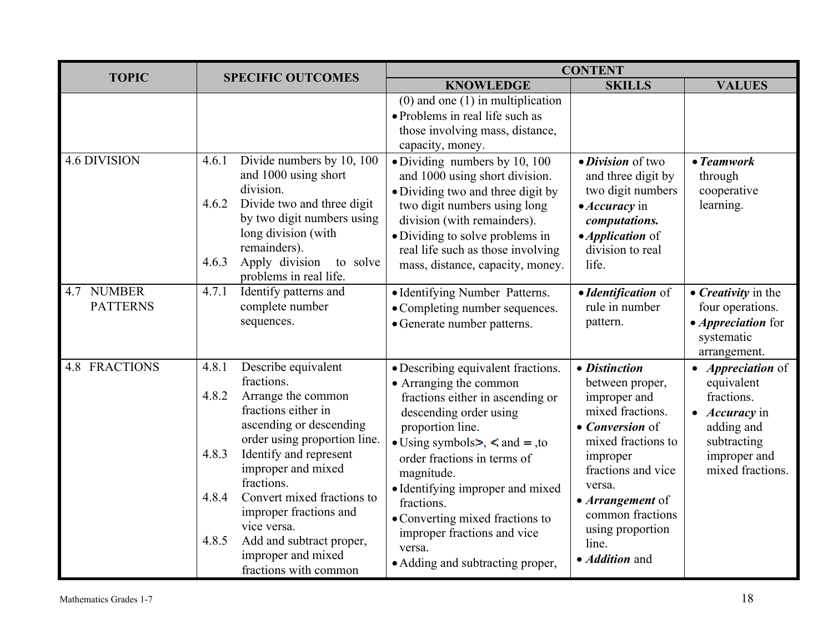| <b>TOPIC</b>                  |                                                                                                                                                                                                                                                                                                                                                                                                        | <b>CONTENT</b>                                                                                                                                                                                                                                                                                                                                                                                              |                                                                                                                                                                                                                                                         |                                                                                                                                                       |  |
|-------------------------------|--------------------------------------------------------------------------------------------------------------------------------------------------------------------------------------------------------------------------------------------------------------------------------------------------------------------------------------------------------------------------------------------------------|-------------------------------------------------------------------------------------------------------------------------------------------------------------------------------------------------------------------------------------------------------------------------------------------------------------------------------------------------------------------------------------------------------------|---------------------------------------------------------------------------------------------------------------------------------------------------------------------------------------------------------------------------------------------------------|-------------------------------------------------------------------------------------------------------------------------------------------------------|--|
|                               | <b>SPECIFIC OUTCOMES</b>                                                                                                                                                                                                                                                                                                                                                                               | <b>KNOWLEDGE</b>                                                                                                                                                                                                                                                                                                                                                                                            | <b>SKILLS</b>                                                                                                                                                                                                                                           | <b>VALUES</b>                                                                                                                                         |  |
|                               |                                                                                                                                                                                                                                                                                                                                                                                                        | $(0)$ and one $(1)$ in multiplication<br>• Problems in real life such as<br>those involving mass, distance,<br>capacity, money.                                                                                                                                                                                                                                                                             |                                                                                                                                                                                                                                                         |                                                                                                                                                       |  |
| <b>4.6 DIVISION</b>           | Divide numbers by 10, 100<br>4.6.1<br>and 1000 using short<br>division.<br>Divide two and three digit<br>4.6.2<br>by two digit numbers using<br>long division (with<br>remainders).<br>Apply division<br>4.6.3<br>to solve<br>problems in real life.                                                                                                                                                   | · Dividing numbers by 10, 100<br>and 1000 using short division.<br>· Dividing two and three digit by<br>two digit numbers using long<br>division (with remainders).<br>• Dividing to solve problems in<br>real life such as those involving<br>mass, distance, capacity, money.                                                                                                                             | • Division of two<br>and three digit by<br>two digit numbers<br>• Accuracy in<br>computations.<br>• <i>Application</i> of<br>division to real<br>life.                                                                                                  | $\bullet$ Teamwork<br>through<br>cooperative<br>learning.                                                                                             |  |
| 4.7 NUMBER<br><b>PATTERNS</b> | Identify patterns and<br>4.7.1<br>complete number<br>sequences.                                                                                                                                                                                                                                                                                                                                        | • Identifying Number Patterns.<br>• Completing number sequences.<br>• Generate number patterns.                                                                                                                                                                                                                                                                                                             | • Identification of<br>rule in number<br>pattern.                                                                                                                                                                                                       | • Creativity in the<br>four operations.<br>• <i>Appreciation</i> for<br>systematic<br>arrangement.                                                    |  |
| <b>4.8 FRACTIONS</b>          | Describe equivalent<br>4.8.1<br>fractions.<br>Arrange the common<br>4.8.2<br>fractions either in<br>ascending or descending<br>order using proportion line.<br>4.8.3<br>Identify and represent<br>improper and mixed<br>fractions.<br>Convert mixed fractions to<br>4.8.4<br>improper fractions and<br>vice versa.<br>4.8.5<br>Add and subtract proper,<br>improper and mixed<br>fractions with common | • Describing equivalent fractions.<br>• Arranging the common<br>fractions either in ascending or<br>descending order using<br>proportion line.<br>• Using symbols $\ge$ , $\le$ and $=$ , to<br>order fractions in terms of<br>magnitude.<br>• Identifying improper and mixed<br>fractions.<br>• Converting mixed fractions to<br>improper fractions and vice<br>versa.<br>• Adding and subtracting proper, | • Distinction<br>between proper,<br>improper and<br>mixed fractions.<br>• Conversion of<br>mixed fractions to<br>improper<br>fractions and vice<br>versa.<br>• Arrangement of<br>common fractions<br>using proportion<br>line.<br>• <i>Addition</i> and | • <i>Appreciation</i> of<br>equivalent<br>fractions.<br>$\bullet$ <i>Accuracy</i> in<br>adding and<br>subtracting<br>improper and<br>mixed fractions. |  |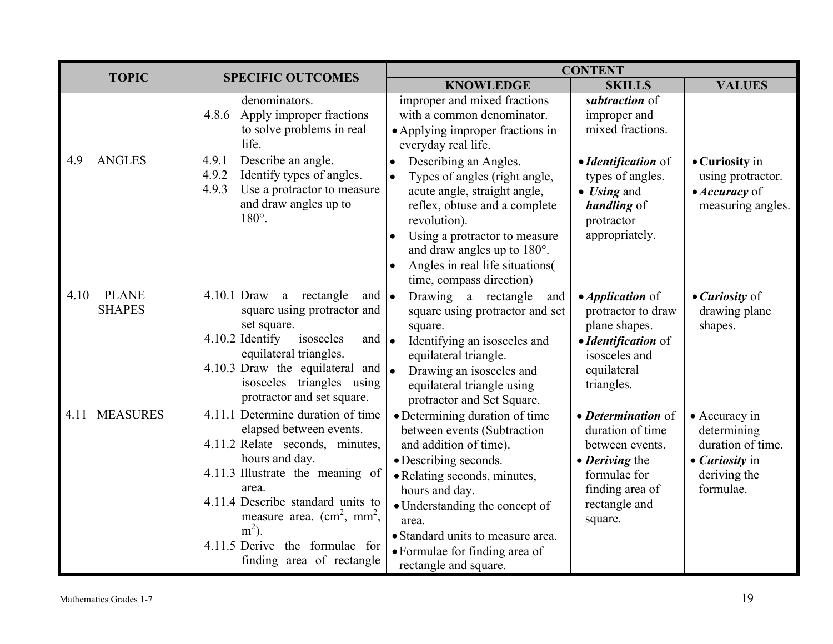| <b>TOPIC</b><br><b>SPECIFIC OUTCOMES</b> |                                                                                                                                                                                                                                                                                                                                  | <b>CONTENT</b>                                                                                                                                                                                                                                                                                                |                                                                                                                                                           |                                                                                                         |  |
|------------------------------------------|----------------------------------------------------------------------------------------------------------------------------------------------------------------------------------------------------------------------------------------------------------------------------------------------------------------------------------|---------------------------------------------------------------------------------------------------------------------------------------------------------------------------------------------------------------------------------------------------------------------------------------------------------------|-----------------------------------------------------------------------------------------------------------------------------------------------------------|---------------------------------------------------------------------------------------------------------|--|
|                                          |                                                                                                                                                                                                                                                                                                                                  | <b>KNOWLEDGE</b>                                                                                                                                                                                                                                                                                              | <b>SKILLS</b>                                                                                                                                             | <b>VALUES</b>                                                                                           |  |
|                                          | denominators.<br>Apply improper fractions<br>4.8.6<br>to solve problems in real<br>life.                                                                                                                                                                                                                                         | improper and mixed fractions<br>with a common denominator.<br>• Applying improper fractions in<br>everyday real life.                                                                                                                                                                                         | subtraction of<br>improper and<br>mixed fractions.                                                                                                        |                                                                                                         |  |
| <b>ANGLES</b><br>4.9                     | Describe an angle.<br>4.9.1<br>4.9.2<br>Identify types of angles.<br>4.9.3<br>Use a protractor to measure<br>and draw angles up to<br>$180^\circ$ .                                                                                                                                                                              | Describing an Angles.<br>Types of angles (right angle,<br>acute angle, straight angle,<br>reflex, obtuse and a complete<br>revolution).<br>Using a protractor to measure<br>$\bullet$<br>and draw angles up to 180°.<br>Angles in real life situations(<br>time, compass direction)                           | • Identification of<br>types of angles.<br>$\bullet$ <i>Using</i> and<br><i>handling</i> of<br>protractor<br>appropriately.                               | • Curiosity in<br>using protractor.<br>• <i>Accuracy</i> of<br>measuring angles.                        |  |
| <b>PLANE</b><br>4.10<br><b>SHAPES</b>    | 4.10.1 Draw a rectangle<br>and  <br>square using protractor and<br>set square.<br>4.10.2 Identify<br>isosceles<br>and $\bullet$<br>equilateral triangles.<br>4.10.3 Draw the equilateral and $\bullet$<br>isosceles triangles using<br>protractor and set square.                                                                | Drawing a rectangle<br>and<br>$\bullet$<br>square using protractor and set<br>square.<br>Identifying an isosceles and<br>equilateral triangle.<br>Drawing an isosceles and<br>equilateral triangle using<br>protractor and Set Square.                                                                        | $\bullet$ <i>Application</i> of<br>protractor to draw<br>plane shapes.<br>• Identification of<br>isosceles and<br>equilateral<br>triangles.               | • <i>Curiosity</i> of<br>drawing plane<br>shapes.                                                       |  |
| <b>MEASURES</b><br>4.11                  | 4.11.1 Determine duration of time<br>elapsed between events.<br>4.11.2 Relate seconds, minutes,<br>hours and day.<br>4.11.3 Illustrate the meaning of<br>area.<br>4.11.4 Describe standard units to<br>measure area. $\text{cm}^2$ , mm <sup>2</sup> ,<br>$m2$ ).<br>4.11.5 Derive the formulae for<br>finding area of rectangle | • Determining duration of time<br>between events (Subtraction<br>and addition of time).<br>• Describing seconds.<br>• Relating seconds, minutes,<br>hours and day.<br>• Understanding the concept of<br>area.<br>• Standard units to measure area.<br>• Formulae for finding area of<br>rectangle and square. | • Determination of<br>duration of time<br>between events.<br>$\bullet$ <i>Deriving the</i><br>formulae for<br>finding area of<br>rectangle and<br>square. | • Accuracy in<br>determining<br>duration of time.<br>• <i>Curiosity</i> in<br>deriving the<br>formulae. |  |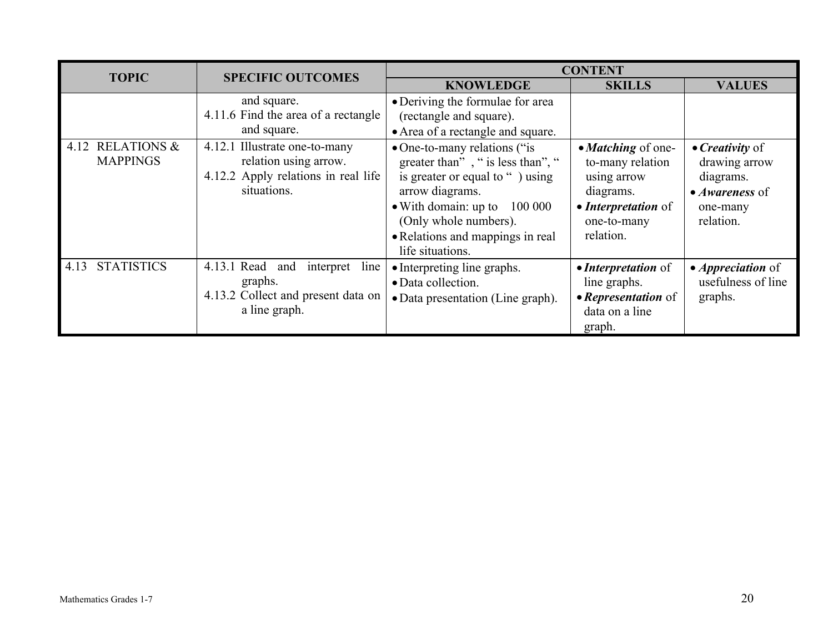| <b>TOPIC</b>                        | <b>SPECIFIC OUTCOMES</b>                                                                                     | <b>CONTENT</b>                                                                                                                                                                                                                                      |                                                                                                                       |                                                                                                                 |
|-------------------------------------|--------------------------------------------------------------------------------------------------------------|-----------------------------------------------------------------------------------------------------------------------------------------------------------------------------------------------------------------------------------------------------|-----------------------------------------------------------------------------------------------------------------------|-----------------------------------------------------------------------------------------------------------------|
|                                     |                                                                                                              | <b>KNOWLEDGE</b>                                                                                                                                                                                                                                    | <b>SKILLS</b>                                                                                                         | <b>VALUES</b>                                                                                                   |
|                                     | and square.<br>4.11.6 Find the area of a rectangle<br>and square.                                            | • Deriving the formulae for area<br>(rectangle and square).<br>• Area of a rectangle and square.                                                                                                                                                    |                                                                                                                       |                                                                                                                 |
| 4.12 RELATIONS &<br><b>MAPPINGS</b> | 4.12.1 Illustrate one-to-many<br>relation using arrow.<br>4.12.2 Apply relations in real life<br>situations. | • One-to-many relations ("is<br>greater than", " is less than", "<br>is greater or equal to ") using<br>arrow diagrams.<br>$\bullet$ With domain: up to<br>100 000<br>(Only whole numbers).<br>• Relations and mappings in real<br>life situations. | • Matching of one-<br>to-many relation<br>using arrow<br>diagrams.<br>• Interpretation of<br>one-to-many<br>relation. | $\bullet$ <i>Creativity</i> of<br>drawing arrow<br>diagrams.<br>$\bullet$ Awareness of<br>one-many<br>relation. |
| <b>STATISTICS</b><br>4.13           | $4.13.1$ Read and<br>interpret line<br>graphs.<br>4.13.2 Collect and present data on<br>a line graph.        | • Interpreting line graphs.<br>· Data collection.<br>• Data presentation (Line graph).                                                                                                                                                              | • Interpretation of<br>line graphs.<br>• Representation of<br>data on a line<br>graph.                                | • <i>Appreciation</i> of<br>usefulness of line<br>graphs.                                                       |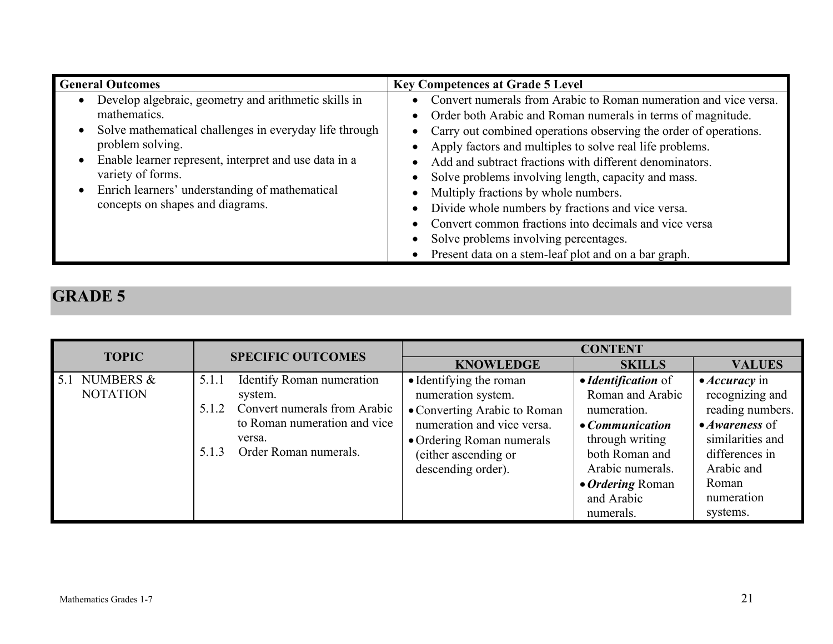| <b>General Outcomes</b>                                                                                                                                                                                                                                                                                                | <b>Key Competences at Grade 5 Level</b>                                                                                                                                                                                                                                                                                                                                                                                                                                                                                                                                                                                                      |
|------------------------------------------------------------------------------------------------------------------------------------------------------------------------------------------------------------------------------------------------------------------------------------------------------------------------|----------------------------------------------------------------------------------------------------------------------------------------------------------------------------------------------------------------------------------------------------------------------------------------------------------------------------------------------------------------------------------------------------------------------------------------------------------------------------------------------------------------------------------------------------------------------------------------------------------------------------------------------|
| Develop algebraic, geometry and arithmetic skills in<br>mathematics.<br>Solve mathematical challenges in everyday life through<br>problem solving.<br>Enable learner represent, interpret and use data in a<br>variety of forms.<br>Enrich learners' understanding of mathematical<br>concepts on shapes and diagrams. | Convert numerals from Arabic to Roman numeration and vice versa.<br>• Order both Arabic and Roman numerals in terms of magnitude.<br>• Carry out combined operations observing the order of operations.<br>Apply factors and multiples to solve real life problems.<br>Add and subtract fractions with different denominators.<br>Solve problems involving length, capacity and mass.<br>Multiply fractions by whole numbers.<br>Divide whole numbers by fractions and vice versa.<br>Convert common fractions into decimals and vice versa<br>Solve problems involving percentages.<br>Present data on a stem-leaf plot and on a bar graph. |

| <b>TOPIC</b>                     | <b>CONTENT</b><br><b>SPECIFIC OUTCOMES</b>                                                                                                                         |                                                                                                                                                                                        |                                                                                                                                                                                           |                                                                                                                                                                                      |
|----------------------------------|--------------------------------------------------------------------------------------------------------------------------------------------------------------------|----------------------------------------------------------------------------------------------------------------------------------------------------------------------------------------|-------------------------------------------------------------------------------------------------------------------------------------------------------------------------------------------|--------------------------------------------------------------------------------------------------------------------------------------------------------------------------------------|
|                                  |                                                                                                                                                                    | <b>KNOWLEDGE</b>                                                                                                                                                                       | <b>SKILLS</b>                                                                                                                                                                             | <b>VALUES</b>                                                                                                                                                                        |
| 5.1 NUMBERS &<br><b>NOTATION</b> | Identify Roman numeration<br>5.1.1<br>system.<br>Convert numerals from Arabic<br>5.1.2<br>to Roman numeration and vice<br>versa.<br>Order Roman numerals.<br>5.1.3 | • Identifying the roman<br>numeration system.<br>• Converting Arabic to Roman<br>numeration and vice versa.<br>• Ordering Roman numerals<br>(either ascending or<br>descending order). | • Identification of<br>Roman and Arabic<br>numeration.<br>$\bullet$ Communication<br>through writing<br>both Roman and<br>Arabic numerals.<br>• Ordering Roman<br>and Arabic<br>numerals. | $\bullet$ <i>Accuracy</i> in<br>recognizing and<br>reading numbers.<br>$\bullet$ Awareness of<br>similarities and<br>differences in<br>Arabic and<br>Roman<br>numeration<br>systems. |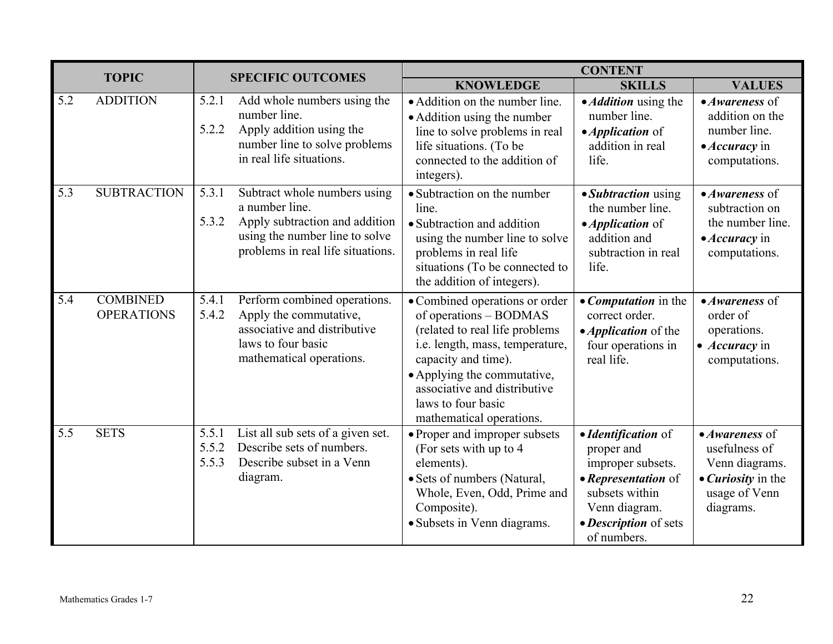|     | <b>TOPIC</b><br><b>SPECIFIC OUTCOMES</b> |                         |                                                                                                                                                         | <b>CONTENT</b>                                                                                                                                                                                                                                                        |                                                                                                                                                          |                                                                                                                              |
|-----|------------------------------------------|-------------------------|---------------------------------------------------------------------------------------------------------------------------------------------------------|-----------------------------------------------------------------------------------------------------------------------------------------------------------------------------------------------------------------------------------------------------------------------|----------------------------------------------------------------------------------------------------------------------------------------------------------|------------------------------------------------------------------------------------------------------------------------------|
|     |                                          |                         |                                                                                                                                                         | <b>KNOWLEDGE</b>                                                                                                                                                                                                                                                      | <b>SKILLS</b>                                                                                                                                            | <b>VALUES</b>                                                                                                                |
| 5.2 | <b>ADDITION</b>                          | 5.2.1<br>5.2.2          | Add whole numbers using the<br>number line.<br>Apply addition using the<br>number line to solve problems<br>in real life situations.                    | • Addition on the number line.<br>• Addition using the number<br>line to solve problems in real<br>life situations. (To be<br>connected to the addition of<br>integers).                                                                                              | • <i>Addition</i> using the<br>number line.<br>• <i>Application</i> of<br>addition in real<br>life.                                                      | $\bullet$ Awareness of<br>addition on the<br>number line.<br>• Accuracy in<br>computations.                                  |
| 5.3 | <b>SUBTRACTION</b>                       | 5.3.1<br>5.3.2          | Subtract whole numbers using<br>a number line.<br>Apply subtraction and addition<br>using the number line to solve<br>problems in real life situations. | • Subtraction on the number<br>line.<br>• Subtraction and addition<br>using the number line to solve<br>problems in real life<br>situations (To be connected to<br>the addition of integers).                                                                         | • Subtraction using<br>the number line.<br>• <i>Application</i> of<br>addition and<br>subtraction in real<br>life.                                       | $\bullet$ Awareness of<br>subtraction on<br>the number line.<br>$\bullet$ <i>Accuracy</i> in<br>computations.                |
| 5.4 | <b>COMBINED</b><br><b>OPERATIONS</b>     | 5.4.1<br>5.4.2          | Perform combined operations.<br>Apply the commutative,<br>associative and distributive<br>laws to four basic<br>mathematical operations.                | • Combined operations or order<br>of operations - BODMAS<br>(related to real life problems<br>i.e. length, mass, temperature,<br>capacity and time).<br>• Applying the commutative,<br>associative and distributive<br>laws to four basic<br>mathematical operations. | • Computation in the<br>correct order.<br>• <i>Application</i> of the<br>four operations in<br>real life.                                                | $\bullet$ Awareness of<br>order of<br>operations.<br>$\bullet$ <i>Accuracy</i> in<br>computations.                           |
| 5.5 | <b>SETS</b>                              | 5.5.1<br>5.5.2<br>5.5.3 | List all sub sets of a given set.<br>Describe sets of numbers.<br>Describe subset in a Venn<br>diagram.                                                 | • Proper and improper subsets<br>(For sets with up to 4<br>elements).<br>• Sets of numbers (Natural,<br>Whole, Even, Odd, Prime and<br>Composite).<br>· Subsets in Venn diagrams.                                                                                     | • Identification of<br>proper and<br>improper subsets.<br>• Representation of<br>subsets within<br>Venn diagram.<br>• Description of sets<br>of numbers. | $\bullet$ Awareness of<br>usefulness of<br>Venn diagrams.<br>$\bullet$ <i>Curiosity</i> in the<br>usage of Venn<br>diagrams. |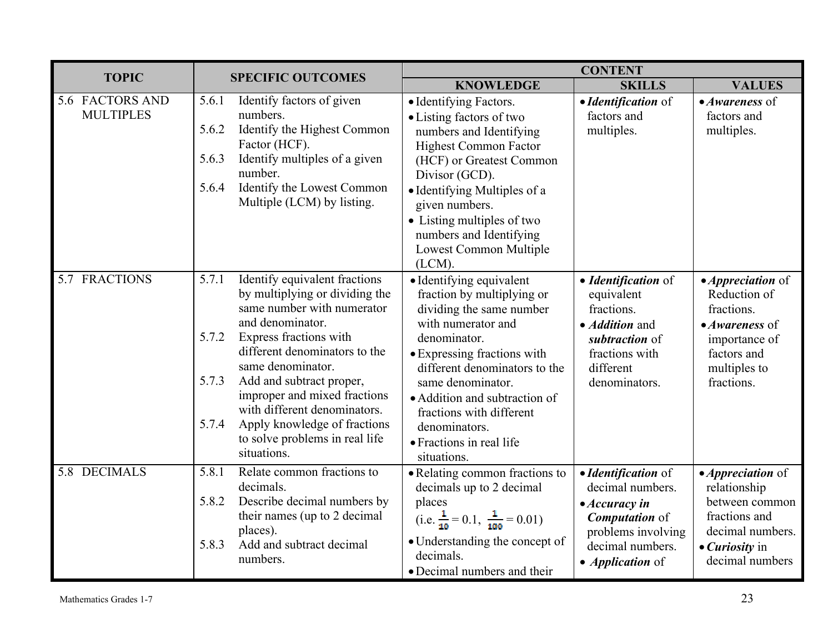| <b>TOPIC</b>                        |                                                                                                                                                                                                                                                                                                                                                                                                                    | <b>CONTENT</b>                                                                                                                                                                                                                                                                                                                         |                                                                                                                                                                |                                                                                                                                                     |
|-------------------------------------|--------------------------------------------------------------------------------------------------------------------------------------------------------------------------------------------------------------------------------------------------------------------------------------------------------------------------------------------------------------------------------------------------------------------|----------------------------------------------------------------------------------------------------------------------------------------------------------------------------------------------------------------------------------------------------------------------------------------------------------------------------------------|----------------------------------------------------------------------------------------------------------------------------------------------------------------|-----------------------------------------------------------------------------------------------------------------------------------------------------|
|                                     | <b>SPECIFIC OUTCOMES</b>                                                                                                                                                                                                                                                                                                                                                                                           | <b>KNOWLEDGE</b>                                                                                                                                                                                                                                                                                                                       | <b>SKILLS</b>                                                                                                                                                  | <b>VALUES</b>                                                                                                                                       |
| 5.6 FACTORS AND<br><b>MULTIPLES</b> | Identify factors of given<br>5.6.1<br>numbers.<br>5.6.2<br>Identify the Highest Common<br>Factor (HCF).<br>Identify multiples of a given<br>5.6.3<br>number.<br>Identify the Lowest Common<br>5.6.4<br>Multiple (LCM) by listing.                                                                                                                                                                                  | • Identifying Factors.<br>• Listing factors of two<br>numbers and Identifying<br><b>Highest Common Factor</b><br>(HCF) or Greatest Common<br>Divisor (GCD).<br>• Identifying Multiples of a<br>given numbers.<br>• Listing multiples of two<br>numbers and Identifying<br>Lowest Common Multiple<br>$(LCM)$ .                          | • Identification of<br>factors and<br>multiples.                                                                                                               | $\bullet$ Awareness of<br>factors and<br>multiples.                                                                                                 |
| 5.7 FRACTIONS                       | Identify equivalent fractions<br>5.7.1<br>by multiplying or dividing the<br>same number with numerator<br>and denominator.<br>Express fractions with<br>5.7.2<br>different denominators to the<br>same denominator.<br>Add and subtract proper,<br>5.7.3<br>improper and mixed fractions<br>with different denominators.<br>Apply knowledge of fractions<br>5.7.4<br>to solve problems in real life<br>situations. | • Identifying equivalent<br>fraction by multiplying or<br>dividing the same number<br>with numerator and<br>denominator.<br>• Expressing fractions with<br>different denominators to the<br>same denominator.<br>• Addition and subtraction of<br>fractions with different<br>denominators.<br>• Fractions in real life<br>situations. | • Identification of<br>equivalent<br>fractions.<br>• <i>Addition</i> and<br>subtraction of<br>fractions with<br>different<br>denominators.                     | • <i>Appreciation</i> of<br>Reduction of<br>fractions.<br>• Awareness of<br>importance of<br>factors and<br>multiples to<br>fractions.              |
| 5.8 DECIMALS                        | 5.8.1<br>Relate common fractions to<br>decimals.<br>Describe decimal numbers by<br>5.8.2<br>their names (up to 2 decimal<br>places).<br>Add and subtract decimal<br>5.8.3<br>numbers.                                                                                                                                                                                                                              | • Relating common fractions to<br>decimals up to 2 decimal<br>places<br>(i.e. $\frac{1}{10} = 0.1$ , $\frac{1}{100} = 0.01$ )<br>• Understanding the concept of<br>decimals.<br>• Decimal numbers and their                                                                                                                            | • Identification of<br>decimal numbers.<br>$\bullet$ Accuracy in<br><b>Computation</b> of<br>problems involving<br>decimal numbers.<br>• <i>Application</i> of | • <i>Appreciation</i> of<br>relationship<br>between common<br>fractions and<br>decimal numbers.<br>$\bullet$ <i>Curiosity</i> in<br>decimal numbers |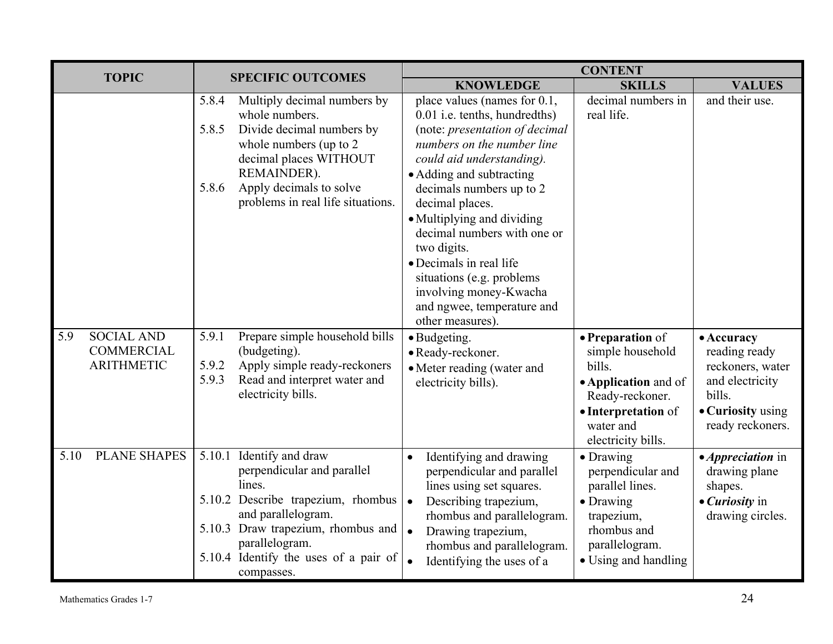|      | <b>CONTENT</b><br><b>TOPIC</b><br><b>SPECIFIC OUTCOMES</b>  |                                                                                                                                                                                                                                                |                                                                                                                                                                                                                                                              |                                                                                                                                                     |                                                                                                                       |
|------|-------------------------------------------------------------|------------------------------------------------------------------------------------------------------------------------------------------------------------------------------------------------------------------------------------------------|--------------------------------------------------------------------------------------------------------------------------------------------------------------------------------------------------------------------------------------------------------------|-----------------------------------------------------------------------------------------------------------------------------------------------------|-----------------------------------------------------------------------------------------------------------------------|
|      |                                                             |                                                                                                                                                                                                                                                | <b>KNOWLEDGE</b>                                                                                                                                                                                                                                             | <b>SKILLS</b>                                                                                                                                       | <b>VALUES</b>                                                                                                         |
|      |                                                             | Multiply decimal numbers by<br>5.8.4<br>whole numbers.<br>Divide decimal numbers by<br>5.8.5<br>whole numbers (up to 2)<br>decimal places WITHOUT<br>REMAINDER).                                                                               | place values (names for 0.1,<br>0.01 i.e. tenths, hundredths)<br>(note: presentation of decimal<br>numbers on the number line<br>could aid understanding).<br>• Adding and subtracting                                                                       | decimal numbers in<br>real life.                                                                                                                    | and their use.                                                                                                        |
|      |                                                             | Apply decimals to solve<br>5.8.6<br>problems in real life situations.                                                                                                                                                                          | decimals numbers up to 2<br>decimal places.<br>• Multiplying and dividing<br>decimal numbers with one or<br>two digits.<br>• Decimals in real life<br>situations (e.g. problems)<br>involving money-Kwacha<br>and ngwee, temperature and<br>other measures). |                                                                                                                                                     |                                                                                                                       |
| 5.9  | <b>SOCIAL AND</b><br><b>COMMERCIAL</b><br><b>ARITHMETIC</b> | Prepare simple household bills<br>5.9.1<br>(budgeting).<br>Apply simple ready-reckoners<br>5.9.2<br>Read and interpret water and<br>5.9.3<br>electricity bills.                                                                                | · Budgeting.<br>• Ready-reckoner.<br>• Meter reading (water and<br>electricity bills).                                                                                                                                                                       | • Preparation of<br>simple household<br>bills.<br>• Application and of<br>Ready-reckoner.<br>• Interpretation of<br>water and<br>electricity bills. | • Accuracy<br>reading ready<br>reckoners, water<br>and electricity<br>bills.<br>• Curiosity using<br>ready reckoners. |
| 5.10 | <b>PLANE SHAPES</b>                                         | Identify and draw<br>5.10.1<br>perpendicular and parallel<br>lines.<br>5.10.2 Describe trapezium, rhombus<br>and parallelogram.<br>5.10.3 Draw trapezium, rhombus and<br>parallelogram.<br>5.10.4 Identify the uses of a pair of<br>compasses. | Identifying and drawing<br>perpendicular and parallel<br>lines using set squares.<br>Describing trapezium,<br>$\bullet$<br>rhombus and parallelogram.<br>Drawing trapezium,<br>rhombus and parallelogram.<br>Identifying the uses of a                       | • Drawing<br>perpendicular and<br>parallel lines.<br>• Drawing<br>trapezium,<br>rhombus and<br>parallelogram.<br>• Using and handling               | • <i>Appreciation</i> in<br>drawing plane<br>shapes.<br>$\bullet$ <i>Curiosity</i> in<br>drawing circles.             |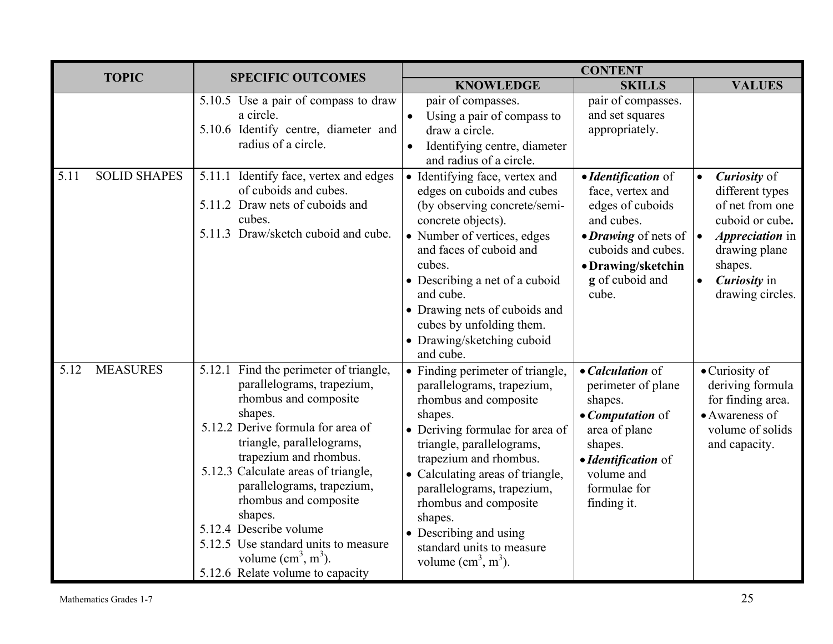| <b>TOPIC</b>            |                     | <b>SPECIFIC OUTCOMES</b>                                                                                                                                                                                                                                                                                                                                                                                                                                           | <b>CONTENT</b>                                                                                                                                                                                                                                                                                                                                                                  |                                                                                                                                                                           |                                                                                                                                                                                                                     |
|-------------------------|---------------------|--------------------------------------------------------------------------------------------------------------------------------------------------------------------------------------------------------------------------------------------------------------------------------------------------------------------------------------------------------------------------------------------------------------------------------------------------------------------|---------------------------------------------------------------------------------------------------------------------------------------------------------------------------------------------------------------------------------------------------------------------------------------------------------------------------------------------------------------------------------|---------------------------------------------------------------------------------------------------------------------------------------------------------------------------|---------------------------------------------------------------------------------------------------------------------------------------------------------------------------------------------------------------------|
|                         |                     |                                                                                                                                                                                                                                                                                                                                                                                                                                                                    | <b>KNOWLEDGE</b>                                                                                                                                                                                                                                                                                                                                                                | <b>SKILLS</b>                                                                                                                                                             | <b>VALUES</b>                                                                                                                                                                                                       |
|                         |                     | $\overline{5.10.5}$ Use a pair of compass to draw<br>a circle.<br>5.10.6 Identify centre, diameter and<br>radius of a circle.                                                                                                                                                                                                                                                                                                                                      | pair of compasses.<br>Using a pair of compass to<br>draw a circle.<br>Identifying centre, diameter<br>$\bullet$<br>and radius of a circle.                                                                                                                                                                                                                                      | pair of compasses.<br>and set squares<br>appropriately.                                                                                                                   |                                                                                                                                                                                                                     |
| 5.11                    | <b>SOLID SHAPES</b> | 5.11.1 Identify face, vertex and edges<br>of cuboids and cubes.<br>5.11.2 Draw nets of cuboids and<br>cubes.<br>5.11.3 Draw/sketch cuboid and cube.                                                                                                                                                                                                                                                                                                                | • Identifying face, vertex and<br>edges on cuboids and cubes<br>(by observing concrete/semi-<br>concrete objects).<br>• Number of vertices, edges<br>and faces of cuboid and<br>cubes.<br>• Describing a net of a cuboid<br>and cube.<br>• Drawing nets of cuboids and<br>cubes by unfolding them.<br>• Drawing/sketching cuboid<br>and cube.                                   | • Identification of<br>face, vertex and<br>edges of cuboids<br>and cubes.<br>• Drawing of nets of<br>cuboids and cubes.<br>• Drawing/sketchin<br>g of cuboid and<br>cube. | <b>Curiosity</b> of<br>$\bullet$<br>different types<br>of net from one<br>cuboid or cube.<br><i>Appreciation</i> in<br>$\vert \bullet$<br>drawing plane<br>shapes.<br>Curiosity in<br>$\bullet$<br>drawing circles. |
| <b>MEASURES</b><br>5.12 |                     | Find the perimeter of triangle,<br>5.12.1<br>parallelograms, trapezium,<br>rhombus and composite<br>shapes.<br>5.12.2 Derive formula for area of<br>triangle, parallelograms,<br>trapezium and rhombus.<br>5.12.3 Calculate areas of triangle,<br>parallelograms, trapezium,<br>rhombus and composite<br>shapes.<br>5.12.4 Describe volume<br>5.12.5 Use standard units to measure<br>volume $\text{cm}^3$ , m <sup>3</sup> ).<br>5.12.6 Relate volume to capacity | • Finding perimeter of triangle,<br>parallelograms, trapezium,<br>rhombus and composite<br>shapes.<br>• Deriving formulae for area of<br>triangle, parallelograms,<br>trapezium and rhombus.<br>Calculating areas of triangle,<br>parallelograms, trapezium,<br>rhombus and composite<br>shapes.<br>• Describing and using<br>standard units to measure<br>volume $(cm3, m3)$ . | • Calculation of<br>perimeter of plane<br>shapes.<br>• Computation of<br>area of plane<br>shapes.<br>· Identification of<br>volume and<br>formulae for<br>finding it.     | $\bullet$ Curiosity of<br>deriving formula<br>for finding area.<br>• Awareness of<br>volume of solids<br>and capacity.                                                                                              |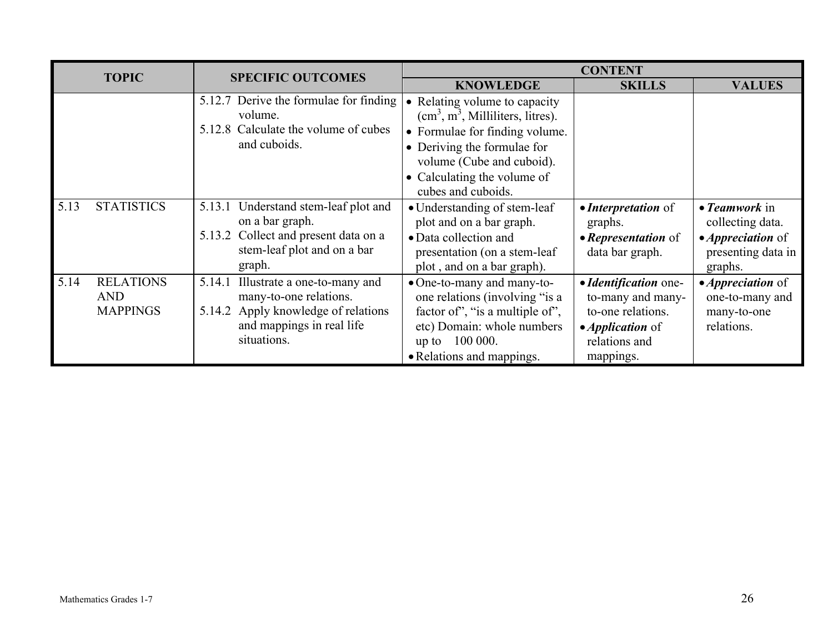| <b>TOPIC</b> |                                                   | <b>CONTENT</b>                                                                                                                                         |                                                                                                                                                                                                                     |                                                                                                                                  |                                                                                                        |
|--------------|---------------------------------------------------|--------------------------------------------------------------------------------------------------------------------------------------------------------|---------------------------------------------------------------------------------------------------------------------------------------------------------------------------------------------------------------------|----------------------------------------------------------------------------------------------------------------------------------|--------------------------------------------------------------------------------------------------------|
|              |                                                   | <b>SPECIFIC OUTCOMES</b>                                                                                                                               | <b>KNOWLEDGE</b>                                                                                                                                                                                                    | <b>SKILLS</b>                                                                                                                    | <b>VALUES</b>                                                                                          |
|              |                                                   | 5.12.7 Derive the formulae for finding<br>volume.<br>5.12.8 Calculate the volume of cubes<br>and cuboids.                                              | Relating volume to capacity<br>$(cm3, m3, Milliliters, litres).$<br>• Formulae for finding volume.<br>• Deriving the formulae for<br>volume (Cube and cuboid).<br>• Calculating the volume of<br>cubes and cuboids. |                                                                                                                                  |                                                                                                        |
| 5.13         | <b>STATISTICS</b>                                 | Understand stem-leaf plot and<br>5.13.1<br>on a bar graph.<br>Collect and present data on a<br>5.13.2<br>stem-leaf plot and on a bar<br>graph.         | • Understanding of stem-leaf<br>plot and on a bar graph.<br>• Data collection and<br>presentation (on a stem-leaf)<br>plot, and on a bar graph).                                                                    | • <i>Interpretation</i> of<br>graphs.<br>• Representation of<br>data bar graph.                                                  | $\bullet$ Teamwork in<br>collecting data.<br>• <i>Appreciation</i> of<br>presenting data in<br>graphs. |
| 5.14         | <b>RELATIONS</b><br><b>AND</b><br><b>MAPPINGS</b> | Illustrate a one-to-many and<br>5.14.1<br>many-to-one relations.<br>Apply knowledge of relations<br>5.14.2<br>and mappings in real life<br>situations. | • One-to-many and many-to-<br>one relations (involving "is a<br>factor of", "is a multiple of",<br>etc) Domain: whole numbers<br>up to 100 000.<br>• Relations and mappings.                                        | · Identification one-<br>to-many and many-<br>to-one relations.<br>$\bullet$ <i>Application</i> of<br>relations and<br>mappings. | • <i>Appreciation</i> of<br>one-to-many and<br>many-to-one<br>relations.                               |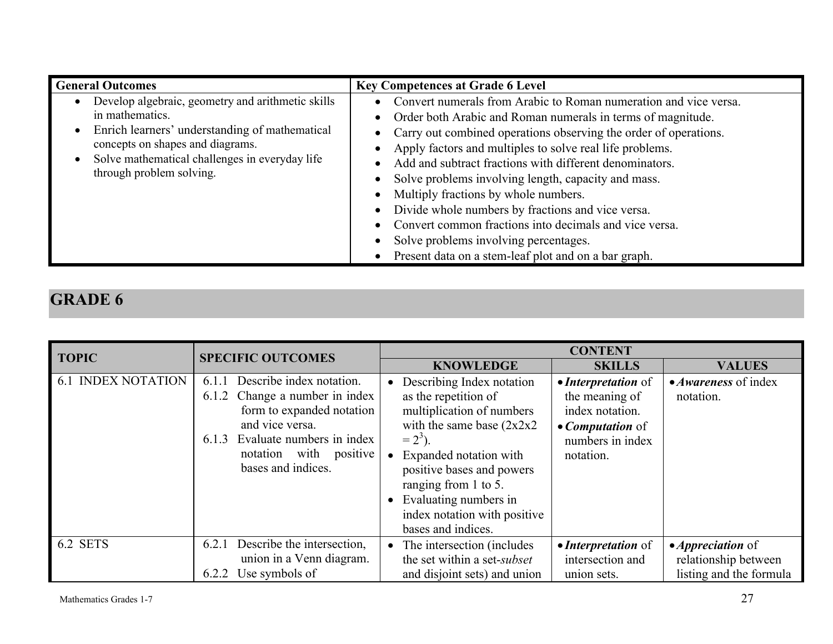| <b>General Outcomes</b>                                                                                                                                                                                                                  | <b>Key Competences at Grade 6 Level</b>                                                                                                                                                                                                                                                                                                                                                                                                                                                                                                                                                                                                                  |
|------------------------------------------------------------------------------------------------------------------------------------------------------------------------------------------------------------------------------------------|----------------------------------------------------------------------------------------------------------------------------------------------------------------------------------------------------------------------------------------------------------------------------------------------------------------------------------------------------------------------------------------------------------------------------------------------------------------------------------------------------------------------------------------------------------------------------------------------------------------------------------------------------------|
| Develop algebraic, geometry and arithmetic skills<br>in mathematics.<br>Enrich learners' understanding of mathematical<br>concepts on shapes and diagrams.<br>Solve mathematical challenges in everyday life<br>through problem solving. | Convert numerals from Arabic to Roman numeration and vice versa.<br>Order both Arabic and Roman numerals in terms of magnitude.<br>$\bullet$<br>• Carry out combined operations observing the order of operations.<br>Apply factors and multiples to solve real life problems.<br>Add and subtract fractions with different denominators.<br>Solve problems involving length, capacity and mass.<br>Multiply fractions by whole numbers.<br>Divide whole numbers by fractions and vice versa.<br>Convert common fractions into decimals and vice versa.<br>Solve problems involving percentages.<br>Present data on a stem-leaf plot and on a bar graph. |

| <b>TOPIC</b>              | <b>SPECIFIC OUTCOMES</b>                                                                                                                                                                                     | <b>CONTENT</b>                                                                                                                                                                                                                                                                                                                                                                                                                                                       |  |  |
|---------------------------|--------------------------------------------------------------------------------------------------------------------------------------------------------------------------------------------------------------|----------------------------------------------------------------------------------------------------------------------------------------------------------------------------------------------------------------------------------------------------------------------------------------------------------------------------------------------------------------------------------------------------------------------------------------------------------------------|--|--|
|                           |                                                                                                                                                                                                              | <b>KNOWLEDGE</b><br><b>SKILLS</b><br><b>VALUES</b>                                                                                                                                                                                                                                                                                                                                                                                                                   |  |  |
| <b>6.1 INDEX NOTATION</b> | Describe index notation.<br>6.1.1<br>Change a number in index<br>6.1.2<br>form to expanded notation<br>and vice versa.<br>Evaluate numbers in index<br>6.1.3<br>notation with positive<br>bases and indices. | • Describing Index notation<br>• Interpretation of<br>• <i>Awareness</i> of index<br>as the repetition of<br>the meaning of<br>notation.<br>multiplication of numbers<br>index notation.<br>with the same base $(2x2x2)$<br>• <i>Computation</i> of<br>$= 2^{3}$ ).<br>numbers in index<br>Expanded notation with<br>notation.<br>positive bases and powers<br>ranging from 1 to 5.<br>• Evaluating numbers in<br>index notation with positive<br>bases and indices. |  |  |
| 6.2 SETS                  | Describe the intersection,<br>6.2.1<br>union in a Venn diagram.<br>Use symbols of<br>6.2.2                                                                                                                   | • <i>Appreciation</i> of<br>• The intersection (includes<br>• Interpretation of<br>the set within a set-subset<br>intersection and<br>relationship between<br>listing and the formula<br>and disjoint sets) and union<br>union sets.                                                                                                                                                                                                                                 |  |  |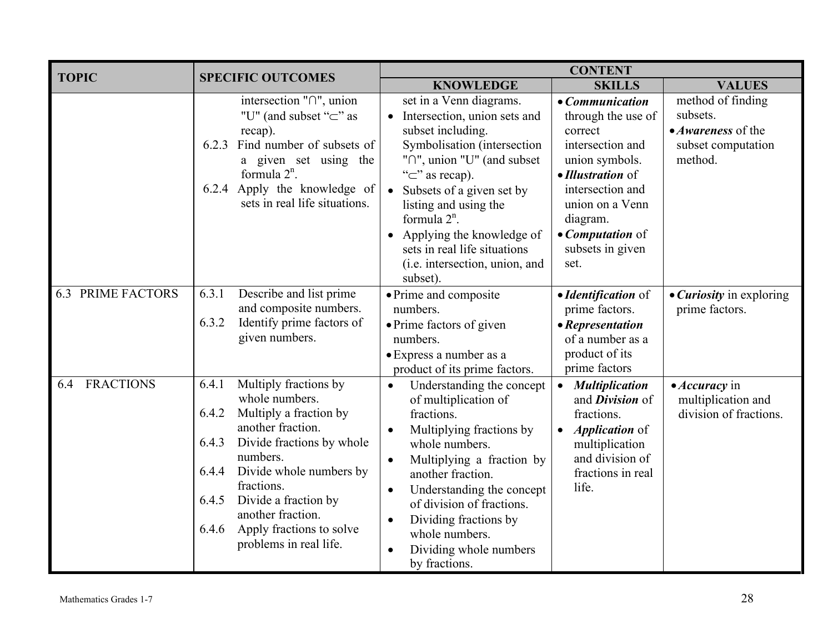| <b>TOPIC</b>             | <b>SPECIFIC OUTCOMES</b>                                                                                                                                                                                                                                                                                                          | <b>CONTENT</b>                                                                                                                                                                                                                                                                                                                                                         |                                                                                                                                                                                                                |                                                                                      |  |
|--------------------------|-----------------------------------------------------------------------------------------------------------------------------------------------------------------------------------------------------------------------------------------------------------------------------------------------------------------------------------|------------------------------------------------------------------------------------------------------------------------------------------------------------------------------------------------------------------------------------------------------------------------------------------------------------------------------------------------------------------------|----------------------------------------------------------------------------------------------------------------------------------------------------------------------------------------------------------------|--------------------------------------------------------------------------------------|--|
|                          |                                                                                                                                                                                                                                                                                                                                   | <b>KNOWLEDGE</b>                                                                                                                                                                                                                                                                                                                                                       | <b>SKILLS</b>                                                                                                                                                                                                  | <b>VALUES</b>                                                                        |  |
|                          | intersection $\lceil \cdot \rceil$ ", union<br>"U" (and subset " $\subset$ " as<br>recap).<br>Find number of subsets of<br>6.2.3<br>a given set using the<br>formula $2^n$ .<br>6.2.4 Apply the knowledge of<br>sets in real life situations.                                                                                     | set in a Venn diagrams.<br>• Intersection, union sets and<br>subset including.<br>Symbolisation (intersection<br>" $\cap$ ", union "U" (and subset<br>" $\subset$ " as recap).<br>• Subsets of a given set by<br>listing and using the<br>formula $2^n$ .<br>• Applying the knowledge of<br>sets in real life situations<br>(i.e. intersection, union, and<br>subset). | • Communication<br>through the use of<br>correct<br>intersection and<br>union symbols.<br>• Illustration of<br>intersection and<br>union on a Venn<br>diagram.<br>• Computation of<br>subsets in given<br>set. | method of finding<br>subsets.<br>• Awareness of the<br>subset computation<br>method. |  |
| <b>6.3 PRIME FACTORS</b> | 6.3.1<br>Describe and list prime<br>and composite numbers.<br>Identify prime factors of<br>6.3.2<br>given numbers.                                                                                                                                                                                                                | • Prime and composite<br>numbers.<br>• Prime factors of given<br>numbers.<br>• Express a number as a<br>product of its prime factors.                                                                                                                                                                                                                                  | • Identification of<br>prime factors.<br>• Representation<br>of a number as a<br>product of its<br>prime factors                                                                                               | • <i>Curiosity</i> in exploring<br>prime factors.                                    |  |
| <b>FRACTIONS</b><br>6.4  | Multiply fractions by<br>6.4.1<br>whole numbers.<br>6.4.2<br>Multiply a fraction by<br>another fraction.<br>Divide fractions by whole<br>6.4.3<br>numbers.<br>Divide whole numbers by<br>6.4.4<br>fractions.<br>Divide a fraction by<br>6.4.5<br>another fraction.<br>Apply fractions to solve<br>6.4.6<br>problems in real life. | Understanding the concept<br>$\bullet$<br>of multiplication of<br>fractions.<br>Multiplying fractions by<br>whole numbers.<br>Multiplying a fraction by<br>$\bullet$<br>another fraction.<br>Understanding the concept<br>$\bullet$<br>of division of fractions.<br>Dividing fractions by<br>$\bullet$<br>whole numbers.<br>Dividing whole numbers<br>by fractions.    | <b>Multiplication</b><br>and <i>Division</i> of<br>fractions.<br><i>Application</i> of<br>multiplication<br>and division of<br>fractions in real<br>life.                                                      | • Accuracy in<br>multiplication and<br>division of fractions.                        |  |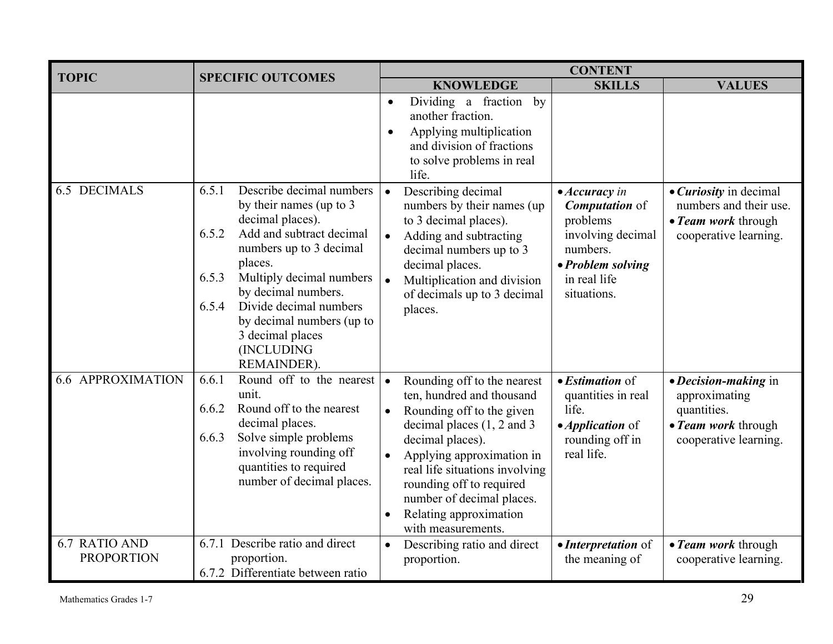| <b>TOPIC</b>                       | <b>SPECIFIC OUTCOMES</b>                                                                                                                                                                                                                                                                                                                 | <b>CONTENT</b>                                                                                                                                                                                                                                                                                                                                       |                                                                                                                                                                                                                                                            |  |  |
|------------------------------------|------------------------------------------------------------------------------------------------------------------------------------------------------------------------------------------------------------------------------------------------------------------------------------------------------------------------------------------|------------------------------------------------------------------------------------------------------------------------------------------------------------------------------------------------------------------------------------------------------------------------------------------------------------------------------------------------------|------------------------------------------------------------------------------------------------------------------------------------------------------------------------------------------------------------------------------------------------------------|--|--|
|                                    |                                                                                                                                                                                                                                                                                                                                          | <b>KNOWLEDGE</b>                                                                                                                                                                                                                                                                                                                                     | <b>SKILLS</b><br><b>VALUES</b>                                                                                                                                                                                                                             |  |  |
|                                    |                                                                                                                                                                                                                                                                                                                                          | Dividing a fraction<br>by<br>$\bullet$<br>another fraction.<br>Applying multiplication<br>$\bullet$<br>and division of fractions<br>to solve problems in real<br>life.                                                                                                                                                                               |                                                                                                                                                                                                                                                            |  |  |
| <b>6.5 DECIMALS</b>                | Describe decimal numbers<br>6.5.1<br>by their names (up to 3<br>decimal places).<br>Add and subtract decimal<br>6.5.2<br>numbers up to 3 decimal<br>places.<br>Multiply decimal numbers<br>6.5.3<br>by decimal numbers.<br>Divide decimal numbers<br>6.5.4<br>by decimal numbers (up to<br>3 decimal places<br>(INCLUDING<br>REMAINDER). | Describing decimal<br>$\bullet$<br>numbers by their names (up)<br>to 3 decimal places).<br>Adding and subtracting<br>decimal numbers up to 3<br>decimal places.<br>Multiplication and division<br>of decimals up to 3 decimal<br>places.                                                                                                             | • <i>Curiosity</i> in decimal<br>$\bullet$ Accuracy in<br>numbers and their use.<br><b>Computation</b> of<br>problems<br>• Team work through<br>involving decimal<br>cooperative learning.<br>numbers.<br>• Problem solving<br>in real life<br>situations. |  |  |
| <b>6.6 APPROXIMATION</b>           | Round off to the nearest<br>6.6.1<br>unit.<br>Round off to the nearest<br>6.6.2<br>decimal places.<br>Solve simple problems<br>6.6.3<br>involving rounding off<br>quantities to required<br>number of decimal places.                                                                                                                    | Rounding off to the nearest<br>$\bullet$<br>ten, hundred and thousand<br>life.<br>Rounding off to the given<br>decimal places $(1, 2$ and 3<br>decimal places).<br>Applying approximation in<br>$\bullet$<br>real life situations involving<br>rounding off to required<br>number of decimal places.<br>Relating approximation<br>with measurements. | $\bullet$ <i>Estimation</i> of<br>• Decision-making in<br>quantities in real<br>approximating<br>quantities.<br>• <i>Application</i> of<br>• Team work through<br>rounding off in<br>cooperative learning.<br>real life.                                   |  |  |
| 6.7 RATIO AND<br><b>PROPORTION</b> | 6.7.1 Describe ratio and direct<br>proportion.<br>6.7.2 Differentiate between ratio                                                                                                                                                                                                                                                      | Describing ratio and direct<br>proportion.                                                                                                                                                                                                                                                                                                           | • Interpretation of<br>• Team work through<br>cooperative learning.<br>the meaning of                                                                                                                                                                      |  |  |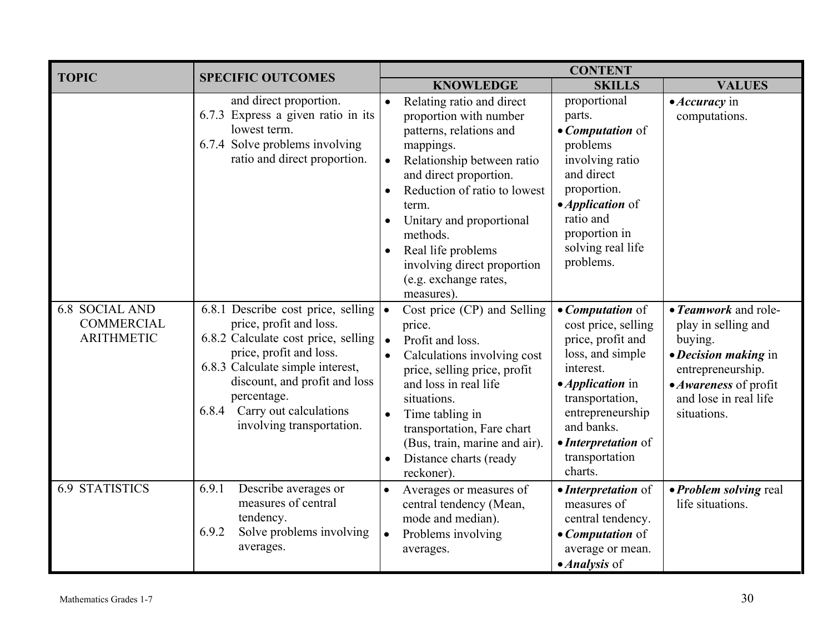| <b>TOPIC</b>                                                    | <b>SPECIFIC OUTCOMES</b>                                                                                                                                                                                                                                                                    | <b>CONTENT</b>                                                                                                                                                                                                                                                                                                                                             |                                                                                                                                                                                                                                          |                                                                                                                                                                      |  |  |
|-----------------------------------------------------------------|---------------------------------------------------------------------------------------------------------------------------------------------------------------------------------------------------------------------------------------------------------------------------------------------|------------------------------------------------------------------------------------------------------------------------------------------------------------------------------------------------------------------------------------------------------------------------------------------------------------------------------------------------------------|------------------------------------------------------------------------------------------------------------------------------------------------------------------------------------------------------------------------------------------|----------------------------------------------------------------------------------------------------------------------------------------------------------------------|--|--|
|                                                                 |                                                                                                                                                                                                                                                                                             | <b>KNOWLEDGE</b>                                                                                                                                                                                                                                                                                                                                           | <b>SKILLS</b>                                                                                                                                                                                                                            | <b>VALUES</b>                                                                                                                                                        |  |  |
|                                                                 | and direct proportion.<br>6.7.3 Express a given ratio in its<br>lowest term.<br>6.7.4 Solve problems involving<br>ratio and direct proportion.                                                                                                                                              | Relating ratio and direct<br>$\bullet$<br>proportion with number<br>patterns, relations and<br>mappings.<br>Relationship between ratio<br>and direct proportion.<br>Reduction of ratio to lowest<br>term.<br>Unitary and proportional<br>$\bullet$<br>methods.<br>Real life problems<br>involving direct proportion<br>(e.g. exchange rates,<br>measures). | proportional<br>parts.<br>• Computation of<br>problems<br>involving ratio<br>and direct<br>proportion.<br>• <i>Application</i> of<br>ratio and<br>proportion in<br>solving real life<br>problems.                                        | • Accuracy in<br>computations.                                                                                                                                       |  |  |
| <b>6.8 SOCIAL AND</b><br><b>COMMERCIAL</b><br><b>ARITHMETIC</b> | 6.8.1 Describe cost price, selling $\cdot$<br>price, profit and loss.<br>6.8.2 Calculate cost price, selling<br>price, profit and loss.<br>6.8.3 Calculate simple interest,<br>discount, and profit and loss<br>percentage.<br>Carry out calculations<br>6.8.4<br>involving transportation. | Cost price (CP) and Selling<br>price.<br>Profit and loss.<br>Calculations involving cost<br>price, selling price, profit<br>and loss in real life<br>situations.<br>Time tabling in<br>transportation, Fare chart<br>(Bus, train, marine and air).<br>Distance charts (ready<br>$\bullet$<br>reckoner).                                                    | • <i>Computation</i> of<br>cost price, selling<br>price, profit and<br>loss, and simple<br>interest.<br>• <i>Application</i> in<br>transportation,<br>entrepreneurship<br>and banks.<br>• Interpretation of<br>transportation<br>charts. | • Teamwork and role-<br>play in selling and<br>buying.<br>• Decision making in<br>entrepreneurship.<br>• Awareness of profit<br>and lose in real life<br>situations. |  |  |
| <b>6.9 STATISTICS</b>                                           | 6.9.1<br>Describe averages or<br>measures of central<br>tendency.<br>Solve problems involving<br>6.9.2<br>averages.                                                                                                                                                                         | $\bullet$<br>Averages or measures of<br>central tendency (Mean,<br>mode and median).<br>Problems involving<br>$\bullet$<br>averages.                                                                                                                                                                                                                       | • Interpretation of<br>measures of<br>central tendency.<br>• Computation of<br>average or mean.<br>• <i>Analysis</i> of                                                                                                                  | • Problem solving real<br>life situations.                                                                                                                           |  |  |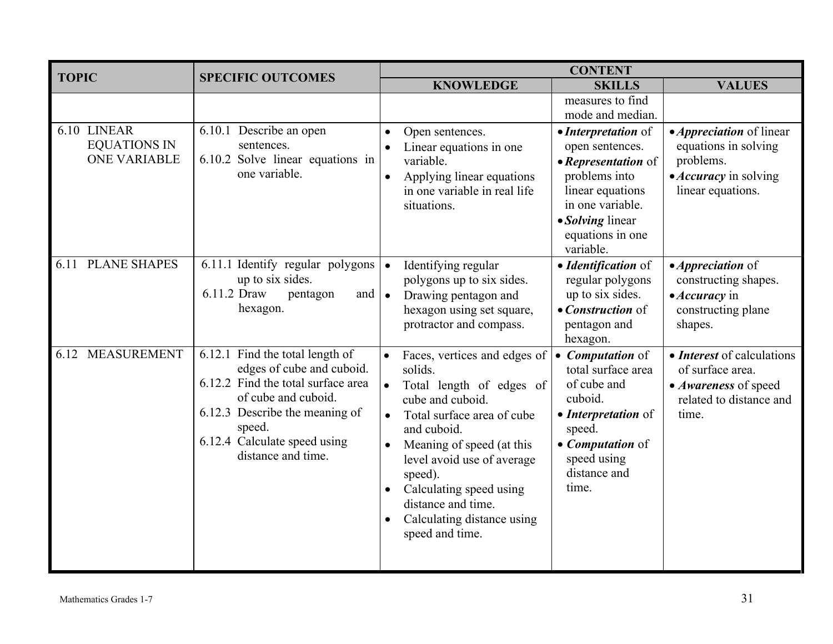| <b>TOPIC</b>                                              | <b>SPECIFIC OUTCOMES</b>                                                                                                                                                                                                    | <b>CONTENT</b>                                                                                                                                                                                                                                                                                                            |                                                                                                                                                                             |                                                                                                                           |  |  |
|-----------------------------------------------------------|-----------------------------------------------------------------------------------------------------------------------------------------------------------------------------------------------------------------------------|---------------------------------------------------------------------------------------------------------------------------------------------------------------------------------------------------------------------------------------------------------------------------------------------------------------------------|-----------------------------------------------------------------------------------------------------------------------------------------------------------------------------|---------------------------------------------------------------------------------------------------------------------------|--|--|
|                                                           |                                                                                                                                                                                                                             | <b>KNOWLEDGE</b>                                                                                                                                                                                                                                                                                                          | <b>SKILLS</b>                                                                                                                                                               | <b>VALUES</b>                                                                                                             |  |  |
|                                                           |                                                                                                                                                                                                                             |                                                                                                                                                                                                                                                                                                                           | measures to find<br>mode and median.                                                                                                                                        |                                                                                                                           |  |  |
| 6.10 LINEAR<br><b>EQUATIONS IN</b><br><b>ONE VARIABLE</b> | 6.10.1 Describe an open<br>sentences.<br>6.10.2 Solve linear equations in<br>one variable.                                                                                                                                  | Open sentences.<br>$\bullet$<br>Linear equations in one<br>variable.<br>Applying linear equations<br>in one variable in real life<br>situations.                                                                                                                                                                          | • Interpretation of<br>open sentences.<br>• Representation of<br>problems into<br>linear equations<br>in one variable.<br>• Solving linear<br>equations in one<br>variable. | • <i>Appreciation</i> of linear<br>equations in solving<br>problems.<br>• <i>Accuracy</i> in solving<br>linear equations. |  |  |
| <b>PLANE SHAPES</b><br>6.11                               | 6.11.1 Identify regular polygons<br>up to six sides.<br>6.11.2 Draw<br>pentagon<br>and  <br>hexagon.                                                                                                                        | Identifying regular<br>$\bullet$<br>polygons up to six sides.<br>Drawing pentagon and<br>$\bullet$<br>hexagon using set square,<br>protractor and compass.                                                                                                                                                                | · Identification of<br>regular polygons<br>up to six sides.<br>• Construction of<br>pentagon and<br>hexagon.                                                                | • <i>Appreciation</i> of<br>constructing shapes.<br>• Accuracy in<br>constructing plane<br>shapes.                        |  |  |
| 6.12 MEASUREMENT                                          | 6.12.1 Find the total length of<br>edges of cube and cuboid.<br>6.12.2 Find the total surface area<br>of cube and cuboid.<br>6.12.3 Describe the meaning of<br>speed.<br>6.12.4 Calculate speed using<br>distance and time. | Faces, vertices and edges of<br>solids.<br>Total length of edges of<br>cube and cuboid.<br>Total surface area of cube<br>and cuboid.<br>Meaning of speed (at this<br>$\bullet$<br>level avoid use of average<br>speed).<br>Calculating speed using<br>distance and time.<br>Calculating distance using<br>speed and time. | • <i>Computation</i> of<br>total surface area<br>of cube and<br>cuboid.<br>• Interpretation of<br>speed.<br>• <i>Computation</i> of<br>speed using<br>distance and<br>time. | • <i>Interest</i> of calculations<br>of surface area.<br>• Awareness of speed<br>related to distance and<br>time.         |  |  |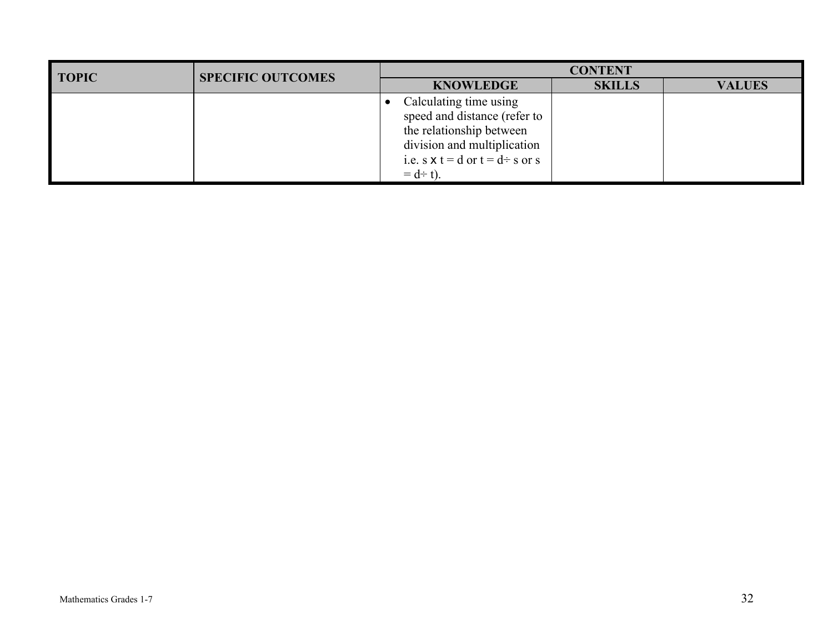| <b>TOPIC</b> | <b>SPECIFIC OUTCOMES</b> | <b>CONTENT</b>                                                                                                                                                                  |               |               |  |  |
|--------------|--------------------------|---------------------------------------------------------------------------------------------------------------------------------------------------------------------------------|---------------|---------------|--|--|
|              |                          | <b>KNOWLEDGE</b>                                                                                                                                                                | <b>SKILLS</b> | <b>VALUES</b> |  |  |
|              |                          | Calculating time using<br>speed and distance (refer to<br>the relationship between<br>division and multiplication<br>i.e. s $x t = d$ or $t = d \div s$ or s<br>$= d \div t$ ). |               |               |  |  |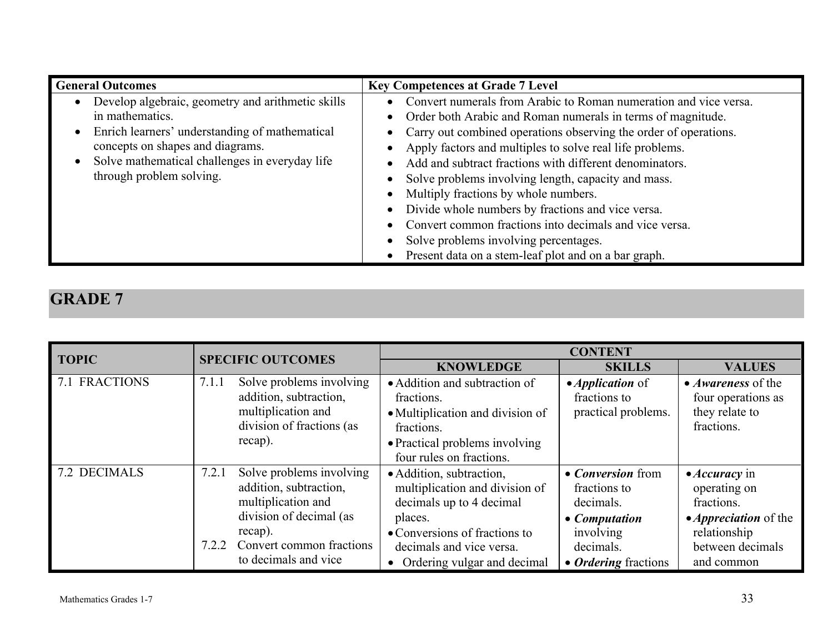| <b>General Outcomes</b>                                                                                                                                                                                                                  | <b>Key Competences at Grade 7 Level</b>                                                                                                                                                                                                                                                                                                                                                                                                                                                                                                                                                                                                                             |
|------------------------------------------------------------------------------------------------------------------------------------------------------------------------------------------------------------------------------------------|---------------------------------------------------------------------------------------------------------------------------------------------------------------------------------------------------------------------------------------------------------------------------------------------------------------------------------------------------------------------------------------------------------------------------------------------------------------------------------------------------------------------------------------------------------------------------------------------------------------------------------------------------------------------|
| Develop algebraic, geometry and arithmetic skills<br>in mathematics.<br>Enrich learners' understanding of mathematical<br>concepts on shapes and diagrams.<br>Solve mathematical challenges in everyday life<br>through problem solving. | Convert numerals from Arabic to Roman numeration and vice versa.<br>Order both Arabic and Roman numerals in terms of magnitude.<br>$\bullet$<br>Carry out combined operations observing the order of operations.<br>$\bullet$<br>Apply factors and multiples to solve real life problems.<br>Add and subtract fractions with different denominators.<br>Solve problems involving length, capacity and mass.<br>Multiply fractions by whole numbers.<br>Divide whole numbers by fractions and vice versa.<br>Convert common fractions into decimals and vice versa.<br>Solve problems involving percentages.<br>Present data on a stem-leaf plot and on a bar graph. |

| <b>TOPIC</b>  | <b>SPECIFIC OUTCOMES</b>                                                                                                                                                             | <b>CONTENT</b>                                                                                                                                                                                  |                                                                                                                                 |                                                                                                                                              |  |  |
|---------------|--------------------------------------------------------------------------------------------------------------------------------------------------------------------------------------|-------------------------------------------------------------------------------------------------------------------------------------------------------------------------------------------------|---------------------------------------------------------------------------------------------------------------------------------|----------------------------------------------------------------------------------------------------------------------------------------------|--|--|
|               |                                                                                                                                                                                      | <b>KNOWLEDGE</b>                                                                                                                                                                                | <b>SKILLS</b>                                                                                                                   | <b>VALUES</b>                                                                                                                                |  |  |
| 7.1 FRACTIONS | Solve problems involving<br>7.1.1<br>addition, subtraction,<br>multiplication and<br>division of fractions (as<br>recap).                                                            | • Addition and subtraction of<br>fractions.<br>• Multiplication and division of<br>fractions.<br>• Practical problems involving<br>four rules on fractions.                                     | • <i>Application</i> of<br>fractions to<br>practical problems.                                                                  | • <i>Awareness</i> of the<br>four operations as<br>they relate to<br>fractions.                                                              |  |  |
| 7.2 DECIMALS  | Solve problems involving<br>7.2.1<br>addition, subtraction,<br>multiplication and<br>division of decimal (as<br>recap).<br>Convert common fractions<br>7.2.2<br>to decimals and vice | • Addition, subtraction,<br>multiplication and division of<br>decimals up to 4 decimal<br>places.<br>• Conversions of fractions to<br>decimals and vice versa.<br>• Ordering vulgar and decimal | • <i>Conversion</i> from<br>fractions to<br>decimals.<br>• Computation<br>involving<br>decimals.<br>• <i>Ordering</i> fractions | $\bullet$ <i>Accuracy</i> in<br>operating on<br>fractions.<br>• <i>Appreciation</i> of the<br>relationship<br>between decimals<br>and common |  |  |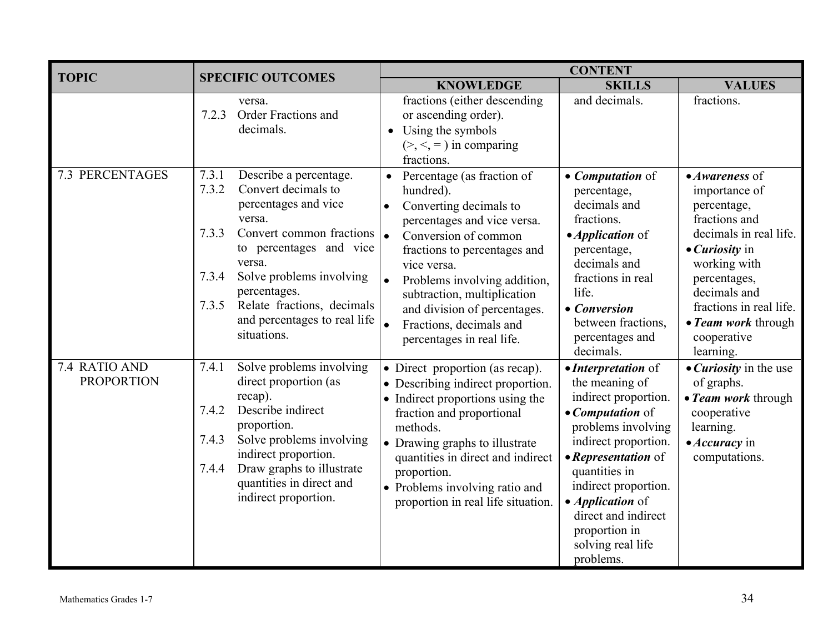| <b>TOPIC</b>                       | <b>SPECIFIC OUTCOMES</b>                                                                                                                                                                                                                                                                                               | <b>CONTENT</b>                                                                                                                                                                                                                                                                                                                                                 |                                                                                                                                                                                                                                                                                                      |                                                                                                                                                                                                                                                                  |  |
|------------------------------------|------------------------------------------------------------------------------------------------------------------------------------------------------------------------------------------------------------------------------------------------------------------------------------------------------------------------|----------------------------------------------------------------------------------------------------------------------------------------------------------------------------------------------------------------------------------------------------------------------------------------------------------------------------------------------------------------|------------------------------------------------------------------------------------------------------------------------------------------------------------------------------------------------------------------------------------------------------------------------------------------------------|------------------------------------------------------------------------------------------------------------------------------------------------------------------------------------------------------------------------------------------------------------------|--|
|                                    |                                                                                                                                                                                                                                                                                                                        | <b>KNOWLEDGE</b>                                                                                                                                                                                                                                                                                                                                               | <b>SKILLS</b>                                                                                                                                                                                                                                                                                        | <b>VALUES</b>                                                                                                                                                                                                                                                    |  |
|                                    | versa.<br>Order Fractions and<br>7.2.3<br>decimals.                                                                                                                                                                                                                                                                    | fractions (either descending<br>or ascending order).<br>$\bullet$ Using the symbols<br>$(>,<,=)$ in comparing<br>fractions.                                                                                                                                                                                                                                    | and decimals.                                                                                                                                                                                                                                                                                        | fractions.                                                                                                                                                                                                                                                       |  |
| <b>7.3 PERCENTAGES</b>             | 7.3.1<br>Describe a percentage.<br>Convert decimals to<br>7.3.2<br>percentages and vice<br>versa.<br>Convert common fractions<br>7.3.3<br>to percentages and vice<br>versa.<br>Solve problems involving<br>7.3.4<br>percentages.<br>Relate fractions, decimals<br>7.3.5<br>and percentages to real life<br>situations. | Percentage (as fraction of<br>hundred).<br>Converting decimals to<br>$\bullet$<br>percentages and vice versa.<br>Conversion of common<br>∣•<br>fractions to percentages and<br>vice versa.<br>Problems involving addition,<br>$\bullet$<br>subtraction, multiplication<br>and division of percentages.<br>Fractions, decimals and<br>percentages in real life. | • <i>Computation</i> of<br>percentage,<br>decimals and<br>fractions.<br>• <i>Application</i> of<br>percentage,<br>decimals and<br>fractions in real<br>life.<br>• Conversion<br>between fractions,<br>percentages and<br>decimals.                                                                   | $\bullet$ Awareness of<br>importance of<br>percentage,<br>fractions and<br>decimals in real life.<br>$\bullet$ <i>Curiosity</i> in<br>working with<br>percentages,<br>decimals and<br>fractions in real life.<br>• Team work through<br>cooperative<br>learning. |  |
| 7.4 RATIO AND<br><b>PROPORTION</b> | 7.4.1<br>Solve problems involving<br>direct proportion (as<br>recap).<br>Describe indirect<br>7.4.2<br>proportion.<br>7.4.3<br>Solve problems involving<br>indirect proportion.<br>Draw graphs to illustrate<br>7.4.4<br>quantities in direct and<br>indirect proportion.                                              | • Direct proportion (as recap).<br>• Describing indirect proportion.<br>• Indirect proportions using the<br>fraction and proportional<br>methods.<br>• Drawing graphs to illustrate<br>quantities in direct and indirect<br>proportion.<br>• Problems involving ratio and<br>proportion in real life situation.                                                | • Interpretation of<br>the meaning of<br>indirect proportion.<br>• Computation of<br>problems involving<br>indirect proportion.<br>• Representation of<br>quantities in<br>indirect proportion.<br>• <i>Application</i> of<br>direct and indirect<br>proportion in<br>solving real life<br>problems. | • <i>Curiosity</i> in the use<br>of graphs.<br>• Team work through<br>cooperative<br>learning.<br>$\bullet$ <i>Accuracy</i> in<br>computations.                                                                                                                  |  |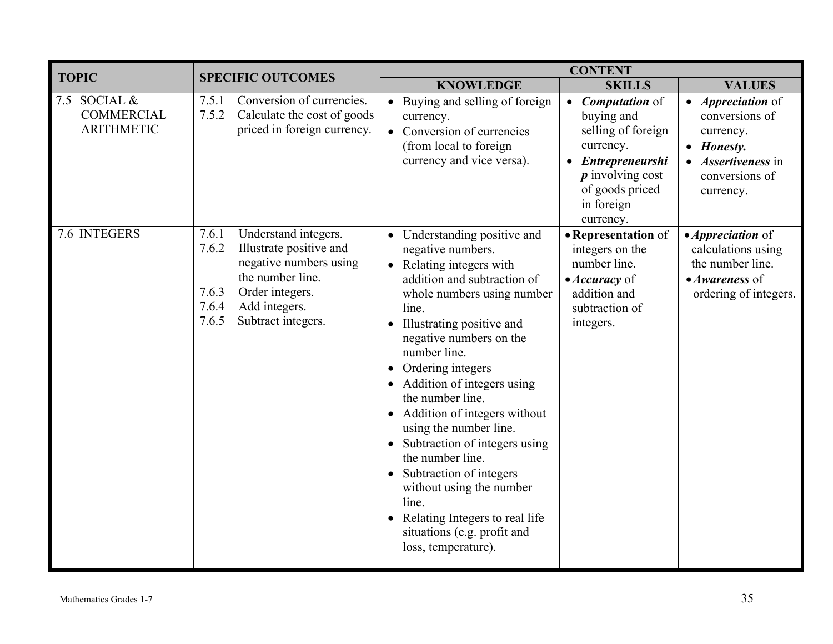| <b>TOPIC</b>                                           | <b>SPECIFIC OUTCOMES</b>                                                                                                                                                                             | <b>CONTENT</b>                                                                                                                                                                                                                                                                                                                                                                                                                                                                                                                                                                          |                                                                                                                                                                            |                                                                                                                                 |  |  |
|--------------------------------------------------------|------------------------------------------------------------------------------------------------------------------------------------------------------------------------------------------------------|-----------------------------------------------------------------------------------------------------------------------------------------------------------------------------------------------------------------------------------------------------------------------------------------------------------------------------------------------------------------------------------------------------------------------------------------------------------------------------------------------------------------------------------------------------------------------------------------|----------------------------------------------------------------------------------------------------------------------------------------------------------------------------|---------------------------------------------------------------------------------------------------------------------------------|--|--|
|                                                        |                                                                                                                                                                                                      | <b>KNOWLEDGE</b>                                                                                                                                                                                                                                                                                                                                                                                                                                                                                                                                                                        | <b>SKILLS</b>                                                                                                                                                              | <b>VALUES</b>                                                                                                                   |  |  |
| 7.5 SOCIAL &<br><b>COMMERCIAL</b><br><b>ARITHMETIC</b> | Conversion of currencies.<br>7.5.1<br>7.5.2<br>Calculate the cost of goods<br>priced in foreign currency.                                                                                            | • Buying and selling of foreign<br>currency.<br>• Conversion of currencies<br>(from local to foreign)<br>currency and vice versa).                                                                                                                                                                                                                                                                                                                                                                                                                                                      | <b>Computation</b> of<br>buying and<br>selling of foreign<br>currency.<br>Entrepreneurshi<br>$\boldsymbol{p}$ involving cost<br>of goods priced<br>in foreign<br>currency. | • <i>Appreciation</i> of<br>conversions of<br>currency.<br>• Honesty.<br><i>Assertiveness</i> in<br>conversions of<br>currency. |  |  |
| 7.6 INTEGERS                                           | Understand integers.<br>7.6.1<br>7.6.2<br>Illustrate positive and<br>negative numbers using<br>the number line.<br>Order integers.<br>7.6.3<br>7.6.4<br>Add integers.<br>7.6.5<br>Subtract integers. | • Understanding positive and<br>negative numbers.<br>• Relating integers with<br>addition and subtraction of<br>whole numbers using number<br>line.<br>• Illustrating positive and<br>negative numbers on the<br>number line.<br>• Ordering integers<br>• Addition of integers using<br>the number line.<br>• Addition of integers without<br>using the number line.<br>• Subtraction of integers using<br>the number line.<br>• Subtraction of integers<br>without using the number<br>line.<br>• Relating Integers to real life<br>situations (e.g. profit and<br>loss, temperature). | • Representation of<br>integers on the<br>number line.<br>$\bullet$ <i>Accuracy</i> of<br>addition and<br>subtraction of<br>integers.                                      | $\bullet$ <i>Appreciation</i> of<br>calculations using<br>the number line.<br>$\bullet$ Awareness of<br>ordering of integers.   |  |  |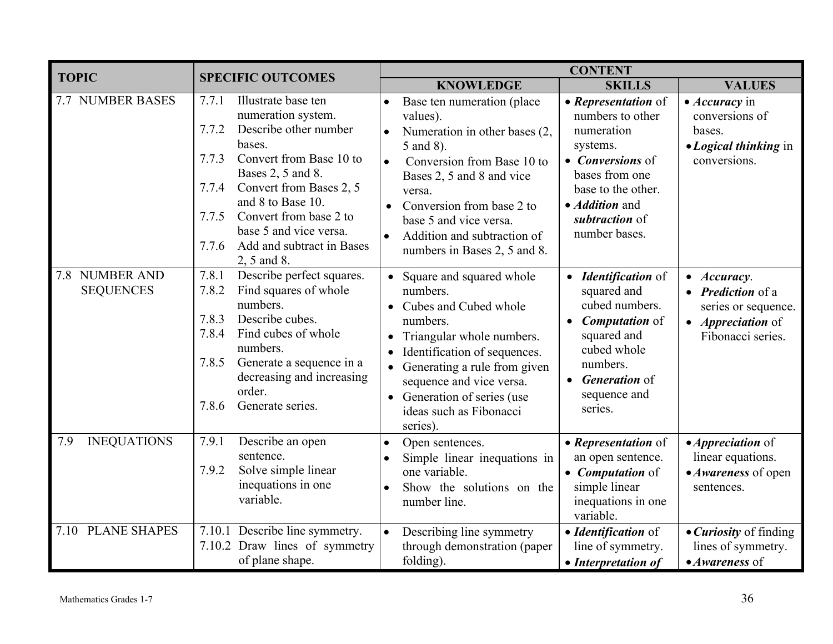| <b>TOPIC</b>                       | <b>SPECIFIC OUTCOMES</b>                                                                                                                                                                                                                                                                                                           | <b>CONTENT</b>                                                                                                                                                                                                                                                                                             |                                                                                                                                                                                                     |                                                                                                                          |  |  |  |
|------------------------------------|------------------------------------------------------------------------------------------------------------------------------------------------------------------------------------------------------------------------------------------------------------------------------------------------------------------------------------|------------------------------------------------------------------------------------------------------------------------------------------------------------------------------------------------------------------------------------------------------------------------------------------------------------|-----------------------------------------------------------------------------------------------------------------------------------------------------------------------------------------------------|--------------------------------------------------------------------------------------------------------------------------|--|--|--|
|                                    |                                                                                                                                                                                                                                                                                                                                    | <b>KNOWLEDGE</b>                                                                                                                                                                                                                                                                                           | <b>SKILLS</b>                                                                                                                                                                                       | <b>VALUES</b>                                                                                                            |  |  |  |
| <b>7.7 NUMBER BASES</b>            | Illustrate base ten<br>7.7.1<br>numeration system.<br>7.7.2<br>Describe other number<br>bases.<br>Convert from Base 10 to<br>7.7.3<br>Bases 2, 5 and 8.<br>Convert from Bases 2, 5<br>7.7.4<br>and 8 to Base 10.<br>Convert from base 2 to<br>7.7.5<br>base 5 and vice versa.<br>7.7.6<br>Add and subtract in Bases<br>2, 5 and 8. | Base ten numeration (place)<br>values).<br>Numeration in other bases (2,<br>$\bullet$<br>5 and 8).<br>Conversion from Base 10 to<br>$\bullet$<br>Bases 2, 5 and 8 and vice<br>versa.<br>Conversion from base 2 to<br>base 5 and vice versa.<br>Addition and subtraction of<br>numbers in Bases 2, 5 and 8. | • Representation of<br>numbers to other<br>numeration<br>systems.<br>• <i>Conversions</i> of<br>bases from one<br>base to the other.<br>• <i>Addition</i> and<br>subtraction of<br>number bases.    | • <i>Accuracy</i> in<br>conversions of<br>bases.<br>• Logical thinking in<br>conversions.                                |  |  |  |
| 7.8 NUMBER AND<br><b>SEQUENCES</b> | 7.8.1<br>Describe perfect squares.<br>7.8.2<br>Find squares of whole<br>numbers.<br>7.8.3<br>Describe cubes.<br>7.8.4<br>Find cubes of whole<br>numbers.<br>7.8.5<br>Generate a sequence in a<br>decreasing and increasing<br>order.<br>7.8.6<br>Generate series.                                                                  | • Square and squared whole<br>numbers.<br>Cubes and Cubed whole<br>numbers.<br>• Triangular whole numbers.<br>Identification of sequences.<br>Generating a rule from given<br>sequence and vice versa.<br>• Generation of series (use<br>ideas such as Fibonacci<br>series).                               | <i><b>Identification of</b></i><br>squared and<br>cubed numbers.<br><b>Computation</b> of<br>$\bullet$<br>squared and<br>cubed whole<br>numbers.<br><b>Generation</b> of<br>sequence and<br>series. | Accuracy.<br>$\bullet$<br><b>Prediction</b> of a<br>series or sequence.<br>• <i>Appreciation</i> of<br>Fibonacci series. |  |  |  |
| 7.9<br><b>INEQUATIONS</b>          | Describe an open<br>7.9.1<br>sentence.<br>7.9.2<br>Solve simple linear<br>inequations in one<br>variable.                                                                                                                                                                                                                          | Open sentences.<br>$\bullet$<br>Simple linear inequations in<br>one variable.<br>Show the solutions on the<br>number line.                                                                                                                                                                                 | • Representation of<br>an open sentence.<br>• Computation of<br>simple linear<br>inequations in one<br>variable.                                                                                    | • <i>Appreciation</i> of<br>linear equations.<br>• Awareness of open<br>sentences.                                       |  |  |  |
| 7.10 PLANE SHAPES                  | 7.10.1 Describe line symmetry.<br>7.10.2 Draw lines of symmetry<br>of plane shape.                                                                                                                                                                                                                                                 | Describing line symmetry<br>through demonstration (paper<br>folding).                                                                                                                                                                                                                                      | • Identification of<br>line of symmetry.<br>• Interpretation of                                                                                                                                     | • Curiosity of finding<br>lines of symmetry.<br>• Awareness of                                                           |  |  |  |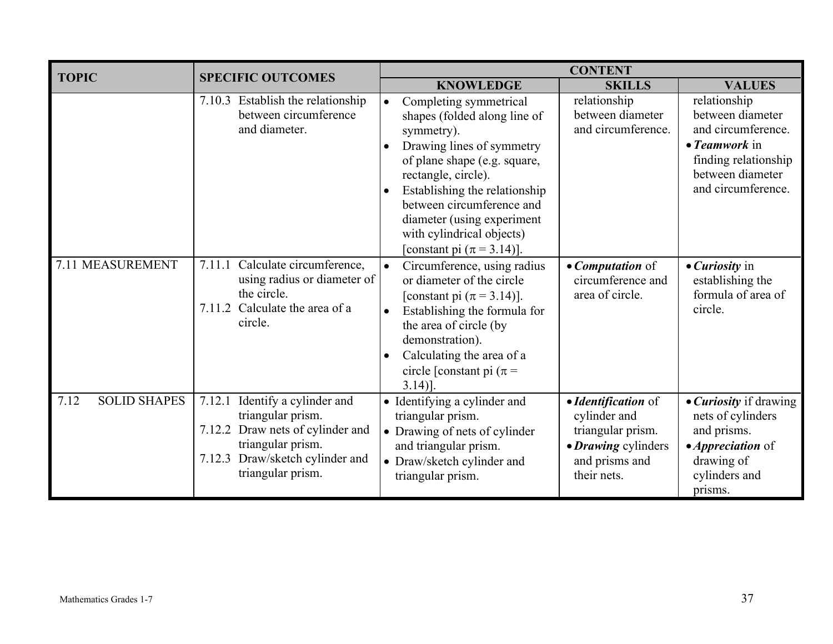| <b>TOPIC</b>                | <b>SPECIFIC OUTCOMES</b>                                                                                                                                                   |           | <b>CONTENT</b>                                                                                                                                                                                                                                                                                                      |                                                                                                                  |                                                                                                                                                   |  |
|-----------------------------|----------------------------------------------------------------------------------------------------------------------------------------------------------------------------|-----------|---------------------------------------------------------------------------------------------------------------------------------------------------------------------------------------------------------------------------------------------------------------------------------------------------------------------|------------------------------------------------------------------------------------------------------------------|---------------------------------------------------------------------------------------------------------------------------------------------------|--|
|                             |                                                                                                                                                                            |           | <b>KNOWLEDGE</b>                                                                                                                                                                                                                                                                                                    | <b>SKILLS</b>                                                                                                    | <b>VALUES</b>                                                                                                                                     |  |
|                             | 7.10.3 Establish the relationship<br>between circumference<br>and diameter.                                                                                                |           | Completing symmetrical<br>shapes (folded along line of<br>symmetry).<br>Drawing lines of symmetry<br>of plane shape (e.g. square,<br>rectangle, circle).<br>Establishing the relationship<br>between circumference and<br>diameter (using experiment<br>with cylindrical objects)<br>[constant pi $(\pi = 3.14)$ ]. | relationship<br>between diameter<br>and circumference.                                                           | relationship<br>between diameter<br>and circumference.<br>$\bullet$ Teamwork in<br>finding relationship<br>between diameter<br>and circumference. |  |
| 7.11 MEASUREMENT            | Calculate circumference,<br>7.11.1<br>using radius or diameter of<br>the circle.<br>Calculate the area of a<br>7.11.2<br>circle.                                           | $\bullet$ | Circumference, using radius<br>or diameter of the circle<br>[constant pi $(\pi = 3.14)$ ].<br>Establishing the formula for<br>the area of circle (by<br>demonstration).<br>Calculating the area of a<br>circle [constant pi ( $\pi$ =<br>$3.14$ ].                                                                  | • <i>Computation</i> of<br>circumference and<br>area of circle.                                                  | $\bullet$ <i>Curiosity</i> in<br>establishing the<br>formula of area of<br>circle.                                                                |  |
| <b>SOLID SHAPES</b><br>7.12 | Identify a cylinder and<br>7.12.1<br>triangular prism.<br>7.12.2 Draw nets of cylinder and<br>triangular prism.<br>Draw/sketch cylinder and<br>7.12.3<br>triangular prism. |           | • Identifying a cylinder and<br>triangular prism.<br>• Drawing of nets of cylinder<br>and triangular prism.<br>• Draw/sketch cylinder and<br>triangular prism.                                                                                                                                                      | • Identification of<br>cylinder and<br>triangular prism.<br>• Drawing cylinders<br>and prisms and<br>their nets. | • <i>Curiosity</i> if drawing<br>nets of cylinders<br>and prisms.<br>• <i>Appreciation</i> of<br>drawing of<br>cylinders and<br>prisms.           |  |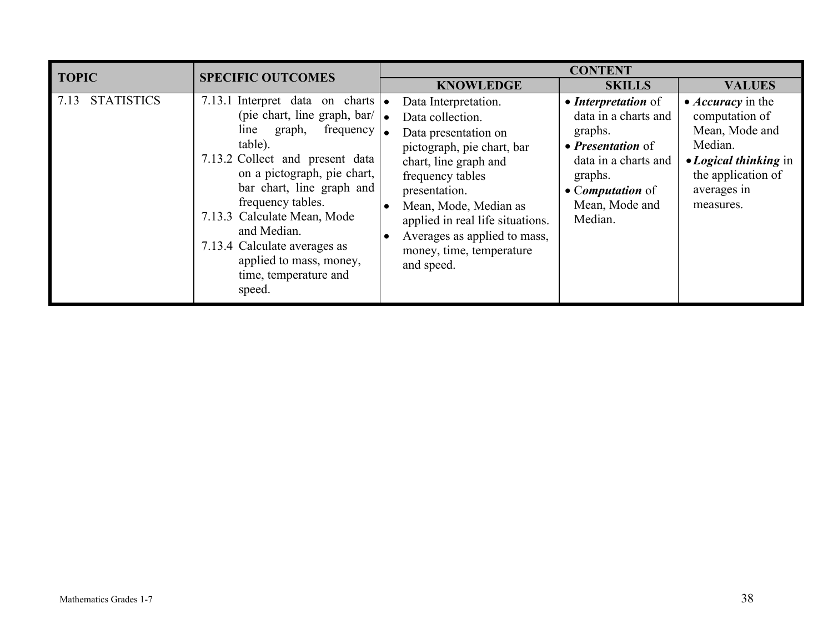| <b>TOPIC</b>              | <b>SPECIFIC OUTCOMES</b>                                                                                                                                                                                                                                                                                                                                                                                            | <b>CONTENT</b>                                                                                                                                                                                                                                                                                      |                                                                                                                                                                               |                                                                                                                                                    |  |  |
|---------------------------|---------------------------------------------------------------------------------------------------------------------------------------------------------------------------------------------------------------------------------------------------------------------------------------------------------------------------------------------------------------------------------------------------------------------|-----------------------------------------------------------------------------------------------------------------------------------------------------------------------------------------------------------------------------------------------------------------------------------------------------|-------------------------------------------------------------------------------------------------------------------------------------------------------------------------------|----------------------------------------------------------------------------------------------------------------------------------------------------|--|--|
|                           |                                                                                                                                                                                                                                                                                                                                                                                                                     | <b>KNOWLEDGE</b>                                                                                                                                                                                                                                                                                    | <b>SKILLS</b>                                                                                                                                                                 | <b>VALUES</b>                                                                                                                                      |  |  |
| <b>STATISTICS</b><br>7.13 | 7.13.1 Interpret data on charts $\bullet$<br>(pie chart, line graph, bar/ $\vert \bullet \vert$<br>frequency $\vert$ .<br>line<br>graph,<br>table).<br>7.13.2 Collect and present data<br>on a pictograph, pie chart,<br>bar chart, line graph and<br>frequency tables.<br>7.13.3 Calculate Mean, Mode<br>and Median.<br>7.13.4 Calculate averages as<br>applied to mass, money,<br>time, temperature and<br>speed. | Data Interpretation.<br>Data collection.<br>Data presentation on<br>pictograph, pie chart, bar<br>chart, line graph and<br>frequency tables<br>presentation.<br>Mean, Mode, Median as<br>applied in real life situations.<br>Averages as applied to mass,<br>money, time, temperature<br>and speed. | • Interpretation of<br>data in a charts and<br>graphs.<br>• <i>Presentation</i> of<br>data in a charts and<br>graphs.<br>• <i>Computation</i> of<br>Mean, Mode and<br>Median. | • <i>Accuracy</i> in the<br>computation of<br>Mean, Mode and<br>Median.<br>• Logical thinking in<br>the application of<br>averages in<br>measures. |  |  |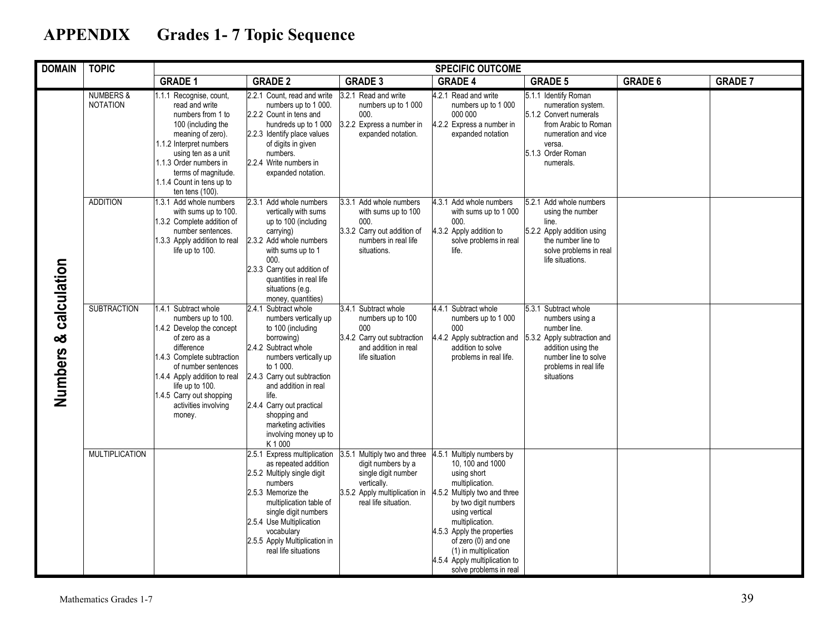# **APPENDIX Grades 1- 7 Topic Sequence**

| <b>DOMAIN</b><br><b>TOPIC</b><br><b>SPECIFIC OUTCOME</b> |                                         |                                                                                                                                                                                                                                                                             |                                                                                                                                                                                                                                                                                                                          |                                                                                                                                                   |                                                                                                                                                                                                                                                                                                                      |                                                                                                                                                                             |                |                |
|----------------------------------------------------------|-----------------------------------------|-----------------------------------------------------------------------------------------------------------------------------------------------------------------------------------------------------------------------------------------------------------------------------|--------------------------------------------------------------------------------------------------------------------------------------------------------------------------------------------------------------------------------------------------------------------------------------------------------------------------|---------------------------------------------------------------------------------------------------------------------------------------------------|----------------------------------------------------------------------------------------------------------------------------------------------------------------------------------------------------------------------------------------------------------------------------------------------------------------------|-----------------------------------------------------------------------------------------------------------------------------------------------------------------------------|----------------|----------------|
|                                                          |                                         | <b>GRADE 1</b>                                                                                                                                                                                                                                                              | <b>GRADE 2</b>                                                                                                                                                                                                                                                                                                           | <b>GRADE 3</b>                                                                                                                                    | <b>GRADE 4</b>                                                                                                                                                                                                                                                                                                       | <b>GRADE 5</b>                                                                                                                                                              | <b>GRADE 6</b> | <b>GRADE 7</b> |
|                                                          | <b>NUMBERS &amp;</b><br><b>NOTATION</b> | 1.1.1 Recognise, count,<br>read and write<br>numbers from 1 to<br>100 (including the<br>meaning of zero).<br>1.1.2 Interpret numbers<br>using ten as a unit<br>1.1.3 Order numbers in<br>terms of magnitude.<br>1.1.4 Count in tens up to<br>ten tens (100).                | 2.2.1 Count, read and write<br>numbers up to 1 000.<br>2.2.2 Count in tens and<br>hundreds up to 1 000<br>2.2.3 Identify place values<br>of digits in given<br>numbers.<br>2.2.4 Write numbers in<br>expanded notation.                                                                                                  | 3.2.1 Read and write<br>numbers up to 1 000<br>000.<br>3.2.2 Express a number in<br>expanded notation.                                            | 4.2.1 Read and write<br>numbers up to 1 000<br>000 000<br>4.2.2 Express a number in<br>expanded notation                                                                                                                                                                                                             | 5.1.1 Identify Roman<br>numeration system.<br>5.1.2 Convert numerals<br>from Arabic to Roman<br>numeration and vice<br>versa.<br>5.1.3 Order Roman<br>numerals.             |                |                |
| Numbers & calculation                                    | <b>ADDITION</b>                         | 1.3.1 Add whole numbers<br>with sums up to 100.<br>1.3.2 Complete addition of<br>number sentences.<br>1.3.3 Apply addition to real<br>life up to 100.                                                                                                                       | Add whole numbers<br>2.3.1<br>vertically with sums<br>up to 100 (including<br>carrying)<br>2.3.2 Add whole numbers<br>with sums up to 1<br>000.<br>2.3.3 Carry out addition of<br>quantities in real life<br>situations (e.g.<br>money, quantities)                                                                      | 3.3.1<br>Add whole numbers<br>with sums up to 100<br>000.<br>3.3.2 Carry out addition of<br>numbers in real life<br>situations.                   | 4.3.1<br>Add whole numbers<br>with sums up to 1 000<br>000.<br>4.3.2 Apply addition to<br>solve problems in real<br>life.                                                                                                                                                                                            | 5.2.1 Add whole numbers<br>using the number<br>line.<br>5.2.2 Apply addition using<br>the number line to<br>solve problems in real<br>life situations.                      |                |                |
|                                                          | <b>SUBTRACTION</b>                      | 1.4.1 Subtract whole<br>numbers up to 100.<br>1.4.2 Develop the concept<br>of zero as a<br>difference<br>1.4.3 Complete subtraction<br>of number sentences<br>1.4.4 Apply addition to real<br>life up to 100.<br>1.4.5 Carry out shopping<br>activities involving<br>money. | 2.4.1<br>Subtract whole<br>numbers vertically up<br>to 100 (including<br>borrowing)<br>2.4.2 Subtract whole<br>numbers vertically up<br>to 1 000.<br>2.4.3 Carry out subtraction<br>and addition in real<br>life.<br>2.4.4 Carry out practical<br>shopping and<br>marketing activities<br>involving money up to<br>K1000 | 3.4.1 Subtract whole<br>numbers up to 100<br>000<br>3.4.2 Carry out subtraction<br>and addition in real<br>life situation                         | 4.4.1 Subtract whole<br>numbers up to 1 000<br>000<br>4.4.2 Apply subtraction and<br>addition to solve<br>problems in real life.                                                                                                                                                                                     | 5.3.1 Subtract whole<br>numbers using a<br>number line.<br>5.3.2 Apply subtraction and<br>addition using the<br>number line to solve<br>problems in real life<br>situations |                |                |
|                                                          | <b>MULTIPLICATION</b>                   |                                                                                                                                                                                                                                                                             | 2.5.1 Express multiplication<br>as repeated addition<br>2.5.2 Multiply single digit<br>numbers<br>2.5.3 Memorize the<br>multiplication table of<br>single digit numbers<br>2.5.4 Use Multiplication<br>vocabulary<br>2.5.5 Apply Multiplication in<br>real life situations                                               | 3.5.1 Multiply two and three<br>digit numbers by a<br>single digit number<br>vertically.<br>3.5.2 Apply multiplication in<br>real life situation. | 4.5.1 Multiply numbers by<br>10.100 and 1000<br>using short<br>multiplication.<br>4.5.2 Multiply two and three<br>by two digit numbers<br>using vertical<br>multiplication.<br>4.5.3 Apply the properties<br>of zero (0) and one<br>(1) in multiplication<br>4.5.4 Apply multiplication to<br>solve problems in real |                                                                                                                                                                             |                |                |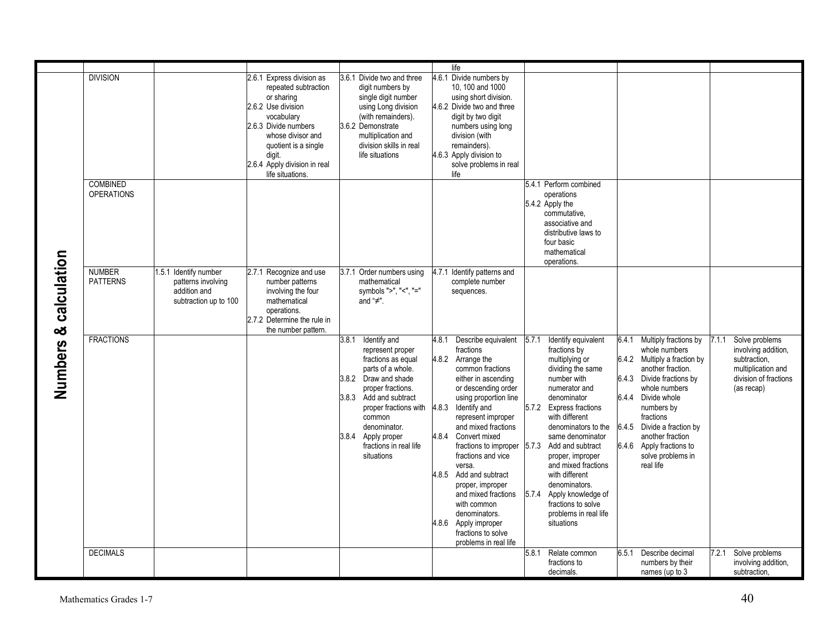|                       |                                      |                                                                                      |                                                                                                                                                                                                                                        |                                                                                                                                                                                                                                                                              | life                                                                                                                                                                                                                                                                                                                                                                                                                                                                                     |                                                                                                                                                                                                                                                                                                                                                                                                                             |                                                                                                                                                                                                                                                                                                                     |                                                                                                                             |
|-----------------------|--------------------------------------|--------------------------------------------------------------------------------------|----------------------------------------------------------------------------------------------------------------------------------------------------------------------------------------------------------------------------------------|------------------------------------------------------------------------------------------------------------------------------------------------------------------------------------------------------------------------------------------------------------------------------|------------------------------------------------------------------------------------------------------------------------------------------------------------------------------------------------------------------------------------------------------------------------------------------------------------------------------------------------------------------------------------------------------------------------------------------------------------------------------------------|-----------------------------------------------------------------------------------------------------------------------------------------------------------------------------------------------------------------------------------------------------------------------------------------------------------------------------------------------------------------------------------------------------------------------------|---------------------------------------------------------------------------------------------------------------------------------------------------------------------------------------------------------------------------------------------------------------------------------------------------------------------|-----------------------------------------------------------------------------------------------------------------------------|
|                       | <b>DIVISION</b>                      |                                                                                      | 2.6.1 Express division as<br>repeated subtraction<br>or sharing<br>2.6.2 Use division<br>vocabulary<br>2.6.3 Divide numbers<br>whose divisor and<br>quotient is a single<br>digit.<br>2.6.4 Apply division in real<br>life situations. | 3.6.1 Divide two and three<br>digit numbers by<br>single digit number<br>using Long division<br>(with remainders).<br>3.6.2 Demonstrate<br>multiplication and<br>division skills in real<br>life situations                                                                  | 4.6.1<br>Divide numbers by<br>10, 100 and 1000<br>using short division.<br>4.6.2 Divide two and three<br>digit by two digit<br>numbers using long<br>division (with<br>remainders).<br>4.6.3 Apply division to<br>solve problems in real<br>life                                                                                                                                                                                                                                         |                                                                                                                                                                                                                                                                                                                                                                                                                             |                                                                                                                                                                                                                                                                                                                     |                                                                                                                             |
|                       | <b>COMBINED</b><br><b>OPERATIONS</b> |                                                                                      |                                                                                                                                                                                                                                        |                                                                                                                                                                                                                                                                              |                                                                                                                                                                                                                                                                                                                                                                                                                                                                                          | 5.4.1 Perform combined<br>operations<br>5.4.2 Apply the<br>commutative,<br>associative and<br>distributive laws to<br>four basic<br>mathematical<br>operations.                                                                                                                                                                                                                                                             |                                                                                                                                                                                                                                                                                                                     |                                                                                                                             |
| Numbers & calculation | <b>NUMBER</b><br><b>PATTERNS</b>     | 1.5.1 Identify number<br>patterns involving<br>addition and<br>subtraction up to 100 | 2.7.1<br>Recognize and use<br>number patterns<br>involving the four<br>mathematical<br>operations.<br>2.7.2 Determine the rule in<br>the number pattern.                                                                               | Order numbers using<br>3.7.1<br>mathematical<br>symbols ">", "<", "="<br>and " $\neq$ ".                                                                                                                                                                                     | Identify patterns and<br>4.7.1<br>complete number<br>sequences.                                                                                                                                                                                                                                                                                                                                                                                                                          |                                                                                                                                                                                                                                                                                                                                                                                                                             |                                                                                                                                                                                                                                                                                                                     |                                                                                                                             |
|                       | <b>FRACTIONS</b>                     |                                                                                      |                                                                                                                                                                                                                                        | Identify and<br>3.8.1<br>represent proper<br>fractions as equal<br>parts of a whole.<br>3.8.2 Draw and shade<br>proper fractions.<br>3.8.3 Add and subtract<br>proper fractions with<br>common<br>denominator.<br>3.8.4 Apply proper<br>fractions in real life<br>situations | 4.8.1<br>Describe equivalent<br>fractions<br>4.8.2 Arrange the<br>common fractions<br>either in ascending<br>or descending order<br>using proportion line<br>4.8.3 Identify and<br>represent improper<br>and mixed fractions<br>4.8.4 Convert mixed<br>fractions to improper<br>fractions and vice<br>versa.<br>4.8.5 Add and subtract<br>proper, improper<br>and mixed fractions<br>with common<br>denominators.<br>4.8.6 Apply improper<br>fractions to solve<br>problems in real life | 5.7.1<br>Identify equivalent<br>fractions by<br>multiplying or<br>dividing the same<br>number with<br>numerator and<br>denominator<br>5.7.2 Express fractions<br>with different<br>denominators to the<br>same denominator<br>5.7.3 Add and subtract<br>proper, improper<br>and mixed fractions<br>with different<br>denominators.<br>5.7.4 Apply knowledge of<br>fractions to solve<br>problems in real life<br>situations | 6.4.1<br>Multiply fractions by<br>whole numbers<br>6.4.2 Multiply a fraction by<br>another fraction.<br>6.4.3 Divide fractions by<br>whole numbers<br>6.4.4 Divide whole<br>numbers by<br>fractions<br>6.4.5 Divide a fraction by<br>another fraction<br>6.4.6 Apply fractions to<br>solve problems in<br>real life | Solve problems<br>7.1.1<br>involving addition,<br>subtraction.<br>multiplication and<br>division of fractions<br>(as recap) |
|                       | <b>DECIMALS</b>                      |                                                                                      |                                                                                                                                                                                                                                        |                                                                                                                                                                                                                                                                              |                                                                                                                                                                                                                                                                                                                                                                                                                                                                                          | Relate common<br>5.8.1<br>fractions to<br>decimals.                                                                                                                                                                                                                                                                                                                                                                         | Describe decimal<br>6.5.1<br>numbers by their<br>names (up to 3                                                                                                                                                                                                                                                     | 7.2.1<br>Solve problems<br>involving addition.<br>subtraction,                                                              |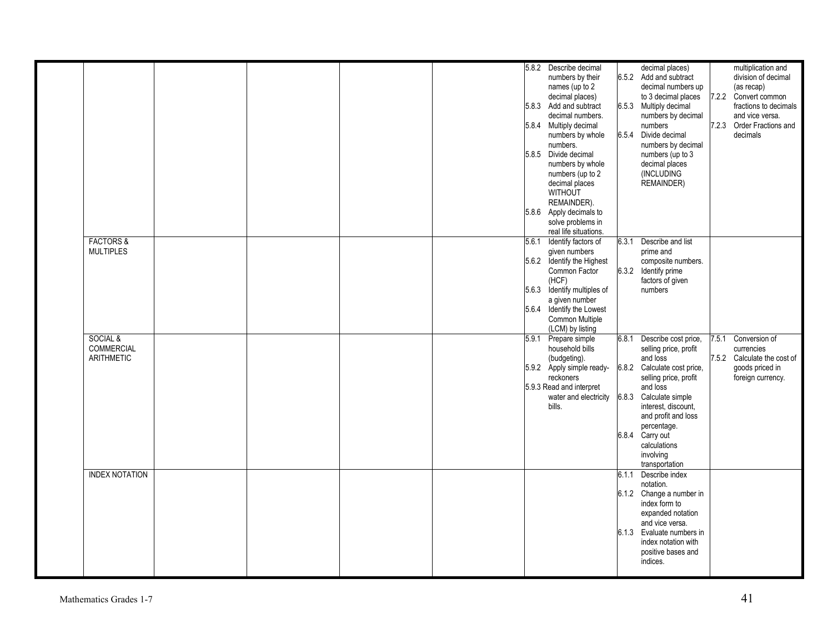|                       |  |  |       | 5.8.2 Describe decimal      |       | decimal places)           |       | multiplication and          |
|-----------------------|--|--|-------|-----------------------------|-------|---------------------------|-------|-----------------------------|
|                       |  |  |       | numbers by their            |       | 6.5.2 Add and subtract    |       | division of decimal         |
|                       |  |  |       | names (up to 2              |       | decimal numbers up        |       | (as recap)                  |
|                       |  |  |       | decimal places)             |       | to 3 decimal places       |       | 7.2.2 Convert common        |
|                       |  |  |       | 5.8.3 Add and subtract      |       | 6.5.3 Multiply decimal    |       | fractions to decimals       |
|                       |  |  |       | decimal numbers.            |       | numbers by decimal        |       | and vice versa.             |
|                       |  |  |       | 5.8.4 Multiply decimal      |       | numbers                   |       | 7.2.3 Order Fractions and   |
|                       |  |  |       | numbers by whole            | 6.5.4 | Divide decimal            |       | decimals                    |
|                       |  |  |       | numbers.                    |       | numbers by decimal        |       |                             |
|                       |  |  |       | 5.8.5 Divide decimal        |       | numbers (up to 3          |       |                             |
|                       |  |  |       | numbers by whole            |       | decimal places            |       |                             |
|                       |  |  |       | numbers (up to 2            |       | (INCLUDING                |       |                             |
|                       |  |  |       | decimal places              |       | REMAINDER)                |       |                             |
|                       |  |  |       | WITHOUT                     |       |                           |       |                             |
|                       |  |  |       | REMAINDER).                 |       |                           |       |                             |
|                       |  |  |       | 5.8.6 Apply decimals to     |       |                           |       |                             |
|                       |  |  |       | solve problems in           |       |                           |       |                             |
|                       |  |  |       | real life situations.       |       |                           |       |                             |
| <b>FACTORS &amp;</b>  |  |  | 5.6.1 | Identify factors of         | 6.3.1 | Describe and list         |       |                             |
| <b>MULTIPLES</b>      |  |  |       | given numbers               |       | prime and                 |       |                             |
|                       |  |  |       | 5.6.2 Identify the Highest  |       | composite numbers.        |       |                             |
|                       |  |  |       | Common Factor               |       | 6.3.2 Identify prime      |       |                             |
|                       |  |  |       | (HCF)                       |       | factors of given          |       |                             |
|                       |  |  |       | 5.6.3 Identify multiples of |       | numbers                   |       |                             |
|                       |  |  |       |                             |       |                           |       |                             |
|                       |  |  |       | a given number              |       |                           |       |                             |
|                       |  |  |       | 5.6.4 Identify the Lowest   |       |                           |       |                             |
|                       |  |  |       | Common Multiple             |       |                           |       |                             |
|                       |  |  |       | (LCM) by listing            |       |                           |       |                             |
| SOCIAL &              |  |  |       | 5.9.1 Prepare simple        | 6.8.1 | Describe cost price,      | 7.5.1 | Conversion of               |
| COMMERCIAL            |  |  |       | household bills             |       | selling price, profit     |       | currencies                  |
| ARITHMETIC            |  |  |       | (budgeting).                |       | and loss                  |       | 7.5.2 Calculate the cost of |
|                       |  |  |       | 5.9.2 Apply simple ready-   | 6.8.2 | Calculate cost price,     |       | goods priced in             |
|                       |  |  |       | reckoners                   |       | selling price, profit     |       | foreign currency.           |
|                       |  |  |       | 5.9.3 Read and interpret    |       | and loss                  |       |                             |
|                       |  |  |       | water and electricity       | 6.8.3 | Calculate simple          |       |                             |
|                       |  |  |       | bills.                      |       | interest, discount,       |       |                             |
|                       |  |  |       |                             |       | and profit and loss       |       |                             |
|                       |  |  |       |                             |       | percentage.               |       |                             |
|                       |  |  |       |                             |       | 6.8.4 Carry out           |       |                             |
|                       |  |  |       |                             |       | calculations              |       |                             |
|                       |  |  |       |                             |       | involving                 |       |                             |
|                       |  |  |       |                             |       | transportation            |       |                             |
| <b>INDEX NOTATION</b> |  |  |       |                             | 6.1.1 | Describe index            |       |                             |
|                       |  |  |       |                             |       | notation.                 |       |                             |
|                       |  |  |       |                             |       | 6.1.2 Change a number in  |       |                             |
|                       |  |  |       |                             |       | index form to             |       |                             |
|                       |  |  |       |                             |       | expanded notation         |       |                             |
|                       |  |  |       |                             |       | and vice versa.           |       |                             |
|                       |  |  |       |                             |       | 6.1.3 Evaluate numbers in |       |                             |
|                       |  |  |       |                             |       | index notation with       |       |                             |
|                       |  |  |       |                             |       | positive bases and        |       |                             |
|                       |  |  |       |                             |       | indices.                  |       |                             |
|                       |  |  |       |                             |       |                           |       |                             |
|                       |  |  |       |                             |       |                           |       |                             |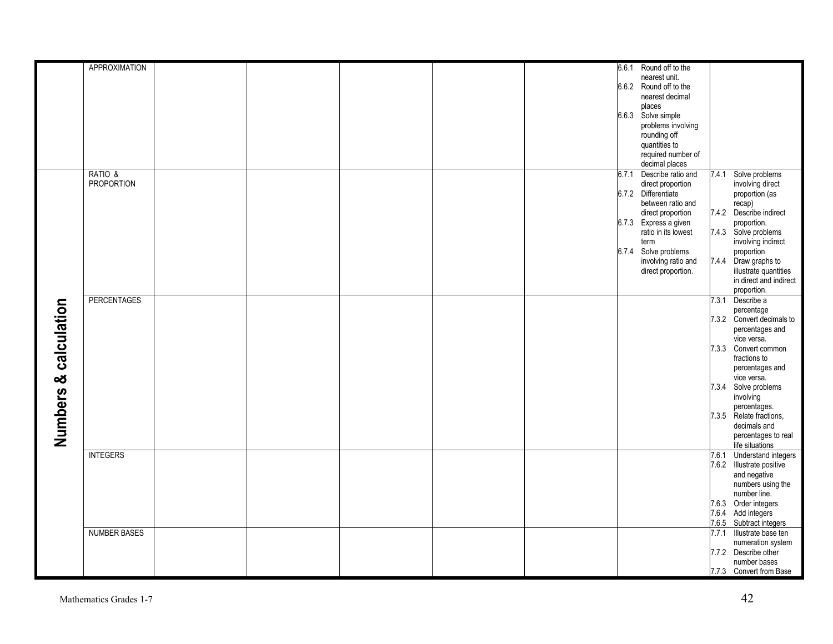|                       | <b>APPROXIMATION</b> |  |  | 6.6.1 Round off to the      |       |                           |
|-----------------------|----------------------|--|--|-----------------------------|-------|---------------------------|
|                       |                      |  |  | nearest unit.               |       |                           |
|                       |                      |  |  |                             |       |                           |
|                       |                      |  |  | 6.6.2 Round off to the      |       |                           |
|                       |                      |  |  | nearest decimal             |       |                           |
|                       |                      |  |  | places                      |       |                           |
|                       |                      |  |  | 6.6.3 Solve simple          |       |                           |
|                       |                      |  |  | problems involving          |       |                           |
|                       |                      |  |  | rounding off                |       |                           |
|                       |                      |  |  | quantities to               |       |                           |
|                       |                      |  |  | required number of          |       |                           |
|                       |                      |  |  | decimal places              |       |                           |
|                       | RATIO &              |  |  | Describe ratio and<br>6.7.1 | 7.4.1 | Solve problems            |
|                       | <b>PROPORTION</b>    |  |  | direct proportion           |       | involving direct          |
|                       |                      |  |  | 6.7.2 Differentiate         |       | proportion (as            |
|                       |                      |  |  | between ratio and           |       | recap)                    |
|                       |                      |  |  | direct proportion           |       | 7.4.2 Describe indirect   |
|                       |                      |  |  | 6.7.3 Express a given       |       | proportion.               |
|                       |                      |  |  | ratio in its lowest         |       | 7.4.3 Solve problems      |
|                       |                      |  |  |                             |       |                           |
|                       |                      |  |  | term                        |       | involving indirect        |
|                       |                      |  |  | 6.7.4 Solve problems        |       | proportion                |
|                       |                      |  |  | involving ratio and         |       | 7.4.4 Draw graphs to      |
|                       |                      |  |  | direct proportion.          |       | illustrate quantities     |
|                       |                      |  |  |                             |       | in direct and indirect    |
|                       |                      |  |  |                             |       | proportion.               |
|                       | <b>PERCENTAGES</b>   |  |  |                             | 7.3.1 | Describe a                |
| Numbers & calculation |                      |  |  |                             |       | percentage                |
|                       |                      |  |  |                             |       | 7.3.2 Convert decimals to |
|                       |                      |  |  |                             |       | percentages and           |
|                       |                      |  |  |                             |       | vice versa.               |
|                       |                      |  |  |                             |       | 7.3.3 Convert common      |
|                       |                      |  |  |                             |       | fractions to              |
|                       |                      |  |  |                             |       | percentages and           |
|                       |                      |  |  |                             |       | vice versa.               |
|                       |                      |  |  |                             |       | 7.3.4 Solve problems      |
|                       |                      |  |  |                             |       | involving                 |
|                       |                      |  |  |                             |       | percentages.              |
|                       |                      |  |  |                             |       | 7.3.5 Relate fractions,   |
|                       |                      |  |  |                             |       |                           |
|                       |                      |  |  |                             |       | decimals and              |
|                       |                      |  |  |                             |       | percentages to real       |
|                       |                      |  |  |                             |       | life situations           |
|                       | <b>INTEGERS</b>      |  |  |                             | 7.6.1 | Understand integers       |
|                       |                      |  |  |                             |       | 7.6.2 Illustrate positive |
|                       |                      |  |  |                             |       | and negative              |
|                       |                      |  |  |                             |       | numbers using the         |
|                       |                      |  |  |                             |       | number line.              |
|                       |                      |  |  |                             |       | 7.6.3 Order integers      |
|                       |                      |  |  |                             |       | 7.6.4 Add integers        |
|                       |                      |  |  |                             |       | 7.6.5 Subtract integers   |
|                       | <b>NUMBER BASES</b>  |  |  |                             | 7.7.1 | Illustrate base ten       |
|                       |                      |  |  |                             |       | numeration system         |
|                       |                      |  |  |                             |       | 7.7.2 Describe other      |
|                       |                      |  |  |                             |       | number bases              |
|                       |                      |  |  |                             |       | 7.7.3 Convert from Base   |
|                       |                      |  |  |                             |       |                           |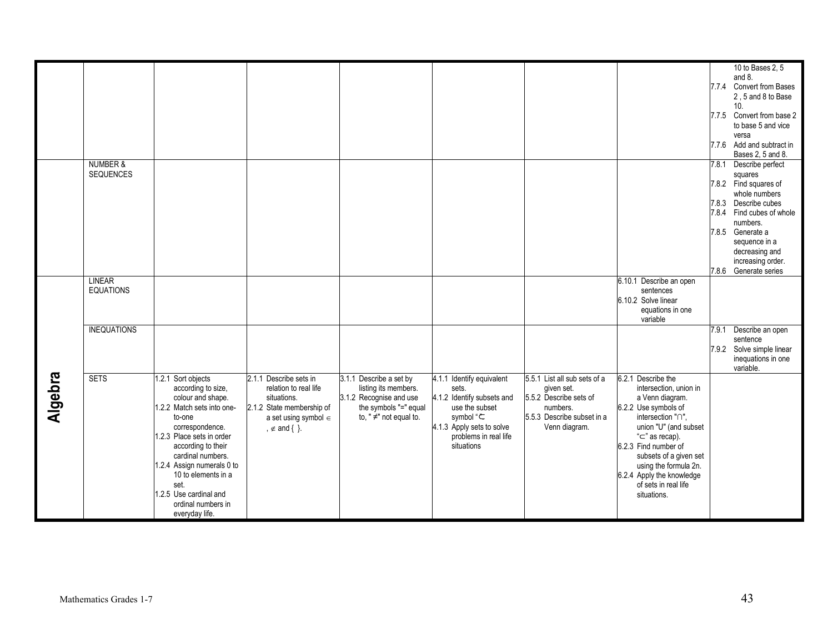|                |                     |                            |                           |                              |                            |                              |                           |       | 10 to Bases 2, 5          |
|----------------|---------------------|----------------------------|---------------------------|------------------------------|----------------------------|------------------------------|---------------------------|-------|---------------------------|
|                |                     |                            |                           |                              |                            |                              |                           |       | and 8.                    |
|                |                     |                            |                           |                              |                            |                              |                           |       | 7.7.4 Convert from Bases  |
|                |                     |                            |                           |                              |                            |                              |                           |       | 2.5 and 8 to Base         |
|                |                     |                            |                           |                              |                            |                              |                           |       | 10.                       |
|                |                     |                            |                           |                              |                            |                              |                           |       | 7.7.5 Convert from base 2 |
|                |                     |                            |                           |                              |                            |                              |                           |       | to base 5 and vice        |
|                |                     |                            |                           |                              |                            |                              |                           |       | versa                     |
|                |                     |                            |                           |                              |                            |                              |                           |       | 7.7.6 Add and subtract in |
|                |                     |                            |                           |                              |                            |                              |                           |       | Bases 2, 5 and 8.         |
|                | <b>NUMBER &amp;</b> |                            |                           |                              |                            |                              |                           | 7.8.1 |                           |
|                |                     |                            |                           |                              |                            |                              |                           |       | Describe perfect          |
|                | SEQUENCES           |                            |                           |                              |                            |                              |                           |       | squares                   |
|                |                     |                            |                           |                              |                            |                              |                           |       | 7.8.2 Find squares of     |
|                |                     |                            |                           |                              |                            |                              |                           |       | whole numbers             |
|                |                     |                            |                           |                              |                            |                              |                           |       | 7.8.3 Describe cubes      |
|                |                     |                            |                           |                              |                            |                              |                           |       | 7.8.4 Find cubes of whole |
|                |                     |                            |                           |                              |                            |                              |                           |       | numbers.                  |
|                |                     |                            |                           |                              |                            |                              |                           |       | 7.8.5 Generate a          |
|                |                     |                            |                           |                              |                            |                              |                           |       | sequence in a             |
|                |                     |                            |                           |                              |                            |                              |                           |       | decreasing and            |
|                |                     |                            |                           |                              |                            |                              |                           |       | increasing order.         |
|                |                     |                            |                           |                              |                            |                              |                           |       | 7.8.6 Generate series     |
|                | <b>LINEAR</b>       |                            |                           |                              |                            |                              | 6.10.1 Describe an open   |       |                           |
|                | <b>EQUATIONS</b>    |                            |                           |                              |                            |                              | sentences                 |       |                           |
|                |                     |                            |                           |                              |                            |                              | 6.10.2 Solve linear       |       |                           |
|                |                     |                            |                           |                              |                            |                              |                           |       |                           |
|                |                     |                            |                           |                              |                            |                              | equations in one          |       |                           |
|                |                     |                            |                           |                              |                            |                              | variable                  |       |                           |
|                | <b>INEQUATIONS</b>  |                            |                           |                              |                            |                              |                           | 7.9.1 | Describe an open          |
|                |                     |                            |                           |                              |                            |                              |                           |       | sentence                  |
|                |                     |                            |                           |                              |                            |                              |                           |       | 7.9.2 Solve simple linear |
|                |                     |                            |                           |                              |                            |                              |                           |       | inequations in one        |
|                |                     |                            |                           |                              |                            |                              |                           |       | variable.                 |
| <b>Algebra</b> | <b>SETS</b>         | 1.2.1 Sort objects         | 2.1.1 Describe sets in    | 3.1.1 Describe a set by      | 4.1.1 Identify equivalent  | 5.5.1 List all sub sets of a | 6.2.1 Describe the        |       |                           |
|                |                     | according to size,         | relation to real life     | listing its members.         | sets.                      | given set.                   | intersection, union in    |       |                           |
|                |                     | colour and shape.          | situations.               | 3.1.2 Recognise and use      | 4.1.2 Identify subsets and | 5.5.2 Describe sets of       | a Venn diagram.           |       |                           |
|                |                     | 1.2.2 Match sets into one- | 2.1.2 State membership of | the symbols "=" equal        | use the subset             | numbers.                     | 6.2.2 Use symbols of      |       |                           |
|                |                     | to-one                     | a set using symbol $\in$  | to, " $\neq$ " not equal to. | symbol "こ                  | 5.5.3 Describe subset in a   | intersection "n",         |       |                           |
|                |                     | correspondence.            | , $\notin$ and { }.       |                              | 4.1.3 Apply sets to solve  | Venn diagram.                | union "U" (and subset     |       |                           |
|                |                     | 1.2.3 Place sets in order  |                           |                              | problems in real life      |                              | " $\subset$ " as recap).  |       |                           |
|                |                     | according to their         |                           |                              | situations                 |                              | 6.2.3 Find number of      |       |                           |
|                |                     | cardinal numbers.          |                           |                              |                            |                              | subsets of a given set    |       |                           |
|                |                     | 1.2.4 Assign numerals 0 to |                           |                              |                            |                              | using the formula 2n.     |       |                           |
|                |                     | 10 to elements in a        |                           |                              |                            |                              | 6.2.4 Apply the knowledge |       |                           |
|                |                     | set.                       |                           |                              |                            |                              | of sets in real life      |       |                           |
|                |                     | 1.2.5 Use cardinal and     |                           |                              |                            |                              | situations.               |       |                           |
|                |                     |                            |                           |                              |                            |                              |                           |       |                           |
|                |                     | ordinal numbers in         |                           |                              |                            |                              |                           |       |                           |
|                |                     | everyday life.             |                           |                              |                            |                              |                           |       |                           |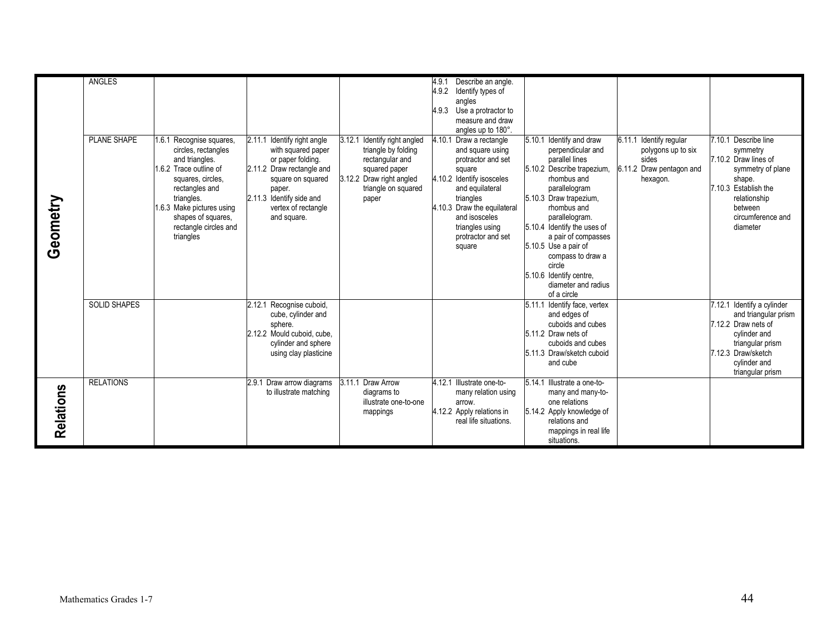|           | <b>ANGLES</b>       |                           |                                |                                 | Describe an angle.<br>4.9.1 |                                 |                          |                                        |
|-----------|---------------------|---------------------------|--------------------------------|---------------------------------|-----------------------------|---------------------------------|--------------------------|----------------------------------------|
|           |                     |                           |                                |                                 | 4.9.2<br>Identify types of  |                                 |                          |                                        |
|           |                     |                           |                                |                                 |                             |                                 |                          |                                        |
|           |                     |                           |                                |                                 | angles                      |                                 |                          |                                        |
|           |                     |                           |                                |                                 | 4.9.3 Use a protractor to   |                                 |                          |                                        |
|           |                     |                           |                                |                                 | measure and draw            |                                 |                          |                                        |
|           |                     |                           |                                |                                 | angles up to 180°.          |                                 |                          |                                        |
|           | <b>PLANE SHAPE</b>  | 1.6.1 Recognise squares,  | 2.11.1<br>Identify right angle | Identify right angled<br>3.12.1 | 4.10.1 Draw a rectangle     | 5.10.1 Identify and draw        | 6.11.1 Identify regular  | 7.10.1 Describe line                   |
|           |                     | circles, rectangles       | with squared paper             | triangle by folding             | and square using            | perpendicular and               | polygons up to six       | symmetry                               |
|           |                     | and triangles.            | or paper folding.              | rectangular and                 | protractor and set          | parallel lines                  | sides                    | 7.10.2 Draw lines of                   |
|           |                     | 1.6.2 Trace outline of    | 2.11.2 Draw rectangle and      | squared paper                   | square                      | 5.10.2 Describe trapezium.      | 6.11.2 Draw pentagon and | symmetry of plane                      |
|           |                     | squares, circles,         | square on squared              | 3.12.2 Draw right angled        | 4.10.2 Identify isosceles   | rhombus and                     | hexagon.                 | shape.                                 |
|           |                     | rectangles and            | paper.                         | triangle on squared             | and equilateral             | parallelogram                   |                          | 7.10.3 Establish the                   |
| Geometry  |                     | triangles.                | 2.11.3 Identify side and       | paper                           | triangles                   | 5.10.3 Draw trapezium,          |                          | relationship                           |
|           |                     | 1.6.3 Make pictures using | vertex of rectangle            |                                 | 4.10.3 Draw the equilateral | rhombus and                     |                          | between                                |
|           |                     | shapes of squares,        | and square.                    |                                 | and isosceles               | parallelogram.                  |                          | circumference and                      |
|           |                     | rectangle circles and     |                                |                                 | triangles using             | 5.10.4 Identify the uses of     |                          | diameter                               |
|           |                     | triangles                 |                                |                                 | protractor and set          | a pair of compasses             |                          |                                        |
|           |                     |                           |                                |                                 | square                      | 5.10.5 Use a pair of            |                          |                                        |
|           |                     |                           |                                |                                 |                             | compass to draw a               |                          |                                        |
|           |                     |                           |                                |                                 |                             | circle                          |                          |                                        |
|           |                     |                           |                                |                                 |                             | 5.10.6 Identify centre.         |                          |                                        |
|           |                     |                           |                                |                                 |                             | diameter and radius             |                          |                                        |
|           |                     |                           |                                |                                 |                             | of a circle                     |                          |                                        |
|           | <b>SOLID SHAPES</b> |                           | Recognise cuboid,<br>2.12.1    |                                 |                             | 5.11.1<br>Identify face, vertex |                          | 7.12.1 Identify a cylinder             |
|           |                     |                           | cube, cylinder and             |                                 |                             | and edges of                    |                          | and triangular prism                   |
|           |                     |                           | sphere.                        |                                 |                             | cuboids and cubes               |                          | 7.12.2 Draw nets of                    |
|           |                     |                           | 2.12.2 Mould cuboid, cube.     |                                 |                             | 5.11.2 Draw nets of             |                          | cylinder and                           |
|           |                     |                           |                                |                                 |                             | cuboids and cubes               |                          |                                        |
|           |                     |                           | cylinder and sphere            |                                 |                             | 5.11.3 Draw/sketch cuboid       |                          | triangular prism<br>7.12.3 Draw/sketch |
|           |                     |                           | using clay plasticine          |                                 |                             |                                 |                          |                                        |
|           |                     |                           |                                |                                 |                             | and cube                        |                          | cylinder and                           |
|           |                     |                           |                                |                                 |                             |                                 |                          | triangular prism                       |
|           | <b>RELATIONS</b>    |                           | 2.9.1 Draw arrow diagrams      | 3.11.1 Draw Arrow               | 4.12.1 Illustrate one-to-   | 5.14.1<br>Illustrate a one-to-  |                          |                                        |
|           |                     |                           | to illustrate matching         | diagrams to                     | many relation using         | many and many-to-               |                          |                                        |
| Relations |                     |                           |                                | illustrate one-to-one           | arrow.                      | one relations                   |                          |                                        |
|           |                     |                           |                                | mappings                        | 4.12.2 Apply relations in   | 5.14.2 Apply knowledge of       |                          |                                        |
|           |                     |                           |                                |                                 | real life situations.       | relations and                   |                          |                                        |
|           |                     |                           |                                |                                 |                             | mappings in real life           |                          |                                        |
|           |                     |                           |                                |                                 |                             | situations.                     |                          |                                        |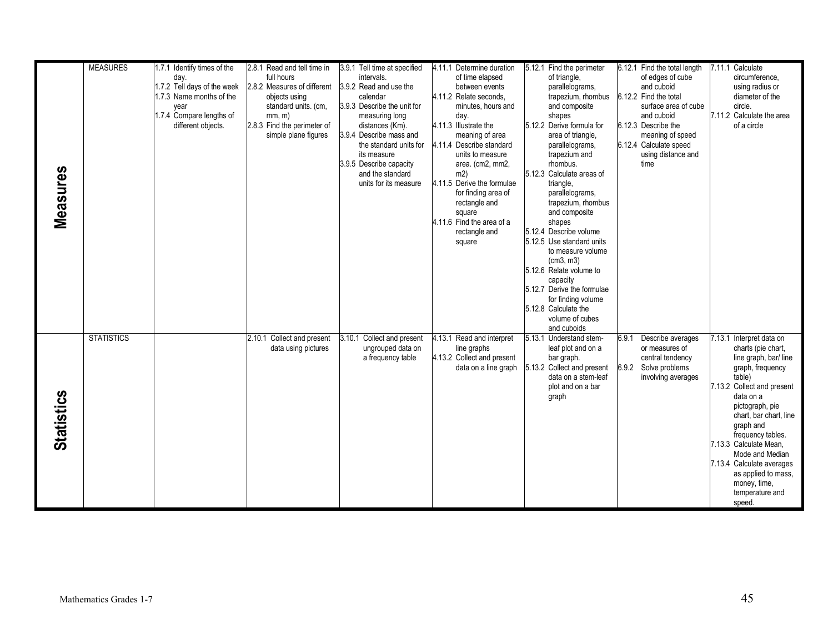|                   | <b>MEASURES</b>   | 1.7.1 Identify times of the | 2.8.1 Read and tell time in | 3.9.1 Tell time at specified                | 4.11.1 Determine duration         | 5.12.1 Find the perimeter                  | 6.12.1 Find the total length | 7.11.1 Calculate             |
|-------------------|-------------------|-----------------------------|-----------------------------|---------------------------------------------|-----------------------------------|--------------------------------------------|------------------------------|------------------------------|
|                   |                   | day.                        | full hours                  | intervals.                                  | of time elapsed                   | of triangle,                               | of edges of cube             | circumference,               |
|                   |                   | 1.7.2 Tell days of the week | 2.8.2 Measures of different | 3.9.2 Read and use the                      | between events                    | parallelograms,                            | and cuboid                   | using radius or              |
|                   |                   | 1.7.3 Name months of the    | objects using               | calendar                                    | 4.11.2 Relate seconds,            | trapezium, rhombus                         | 6.12.2 Find the total        | diameter of the              |
|                   |                   | year                        | standard units. (cm,        | 3.9.3 Describe the unit for                 | minutes, hours and                | and composite                              | surface area of cube         | circle.                      |
|                   |                   | 1.7.4 Compare lengths of    | mm, m)                      | measuring long                              | day.                              | shapes                                     | and cuboid                   | 7.11.2 Calculate the area    |
|                   |                   | different objects.          | 2.8.3 Find the perimeter of | distances (Km).                             | 4.11.3 Illustrate the             | 5.12.2 Derive formula for                  | 6.12.3 Describe the          | of a circle                  |
|                   |                   |                             | simple plane figures        | 3.9.4 Describe mass and                     | meaning of area                   | area of triangle,                          | meaning of speed             |                              |
|                   |                   |                             |                             | the standard units for                      | 4.11.4 Describe standard          | parallelograms,                            | 6.12.4 Calculate speed       |                              |
|                   |                   |                             |                             | its measure                                 | units to measure                  | trapezium and                              | using distance and           |                              |
|                   |                   |                             |                             | 3.9.5 Describe capacity<br>and the standard | area. (cm2, mm2,                  | rhombus.<br>5.12.3 Calculate areas of      | time                         |                              |
| Measures          |                   |                             |                             | units for its measure                       | m2)<br>4.11.5 Derive the formulae | triangle,                                  |                              |                              |
|                   |                   |                             |                             |                                             | for finding area of               | parallelograms,                            |                              |                              |
|                   |                   |                             |                             |                                             | rectangle and                     | trapezium, rhombus                         |                              |                              |
|                   |                   |                             |                             |                                             | square                            | and composite                              |                              |                              |
|                   |                   |                             |                             |                                             | 4.11.6 Find the area of a         | shapes                                     |                              |                              |
|                   |                   |                             |                             |                                             | rectangle and                     | 5.12.4 Describe volume                     |                              |                              |
|                   |                   |                             |                             |                                             | square                            | 5.12.5 Use standard units                  |                              |                              |
|                   |                   |                             |                             |                                             |                                   | to measure volume                          |                              |                              |
|                   |                   |                             |                             |                                             |                                   | (cm3, m3)                                  |                              |                              |
|                   |                   |                             |                             |                                             |                                   | 5.12.6 Relate volume to                    |                              |                              |
|                   |                   |                             |                             |                                             |                                   | capacity                                   |                              |                              |
|                   |                   |                             |                             |                                             |                                   | 5.12.7 Derive the formulae                 |                              |                              |
|                   |                   |                             |                             |                                             |                                   | for finding volume<br>5.12.8 Calculate the |                              |                              |
|                   |                   |                             |                             |                                             |                                   | volume of cubes                            |                              |                              |
|                   |                   |                             |                             |                                             |                                   | and cuboids                                |                              |                              |
|                   | <b>STATISTICS</b> |                             | 2.10.1 Collect and present  | 3.10.1<br>Collect and present               | 4.13.1 Read and interpret         | 5.13.1 Understand stem-                    | 6.9.1<br>Describe averages   | 7.13.1 Interpret data on     |
|                   |                   |                             | data using pictures         | ungrouped data on                           | line graphs                       | leaf plot and on a                         | or measures of               | charts (pie chart,           |
|                   |                   |                             |                             | a frequency table                           | 4.13.2 Collect and present        | bar graph.                                 | central tendency             | line graph, bar/line         |
|                   |                   |                             |                             |                                             | data on a line graph              | 5.13.2 Collect and present                 | 6.9.2 Solve problems         | graph, frequency             |
|                   |                   |                             |                             |                                             |                                   | data on a stem-leaf                        | involving averages           | table)                       |
|                   |                   |                             |                             |                                             |                                   | plot and on a bar                          |                              | 7.13.2 Collect and present   |
|                   |                   |                             |                             |                                             |                                   | graph                                      |                              | data on a<br>pictograph, pie |
|                   |                   |                             |                             |                                             |                                   |                                            |                              | chart, bar chart, line       |
|                   |                   |                             |                             |                                             |                                   |                                            |                              | graph and                    |
|                   |                   |                             |                             |                                             |                                   |                                            |                              | frequency tables.            |
| <b>Statistics</b> |                   |                             |                             |                                             |                                   |                                            |                              | 7.13.3 Calculate Mean.       |
|                   |                   |                             |                             |                                             |                                   |                                            |                              | Mode and Median              |
|                   |                   |                             |                             |                                             |                                   |                                            |                              | 7.13.4 Calculate averages    |
|                   |                   |                             |                             |                                             |                                   |                                            |                              | as applied to mass.          |
|                   |                   |                             |                             |                                             |                                   |                                            |                              | money, time,                 |
|                   |                   |                             |                             |                                             |                                   |                                            |                              | temperature and              |
|                   |                   |                             |                             |                                             |                                   |                                            |                              | speed.                       |